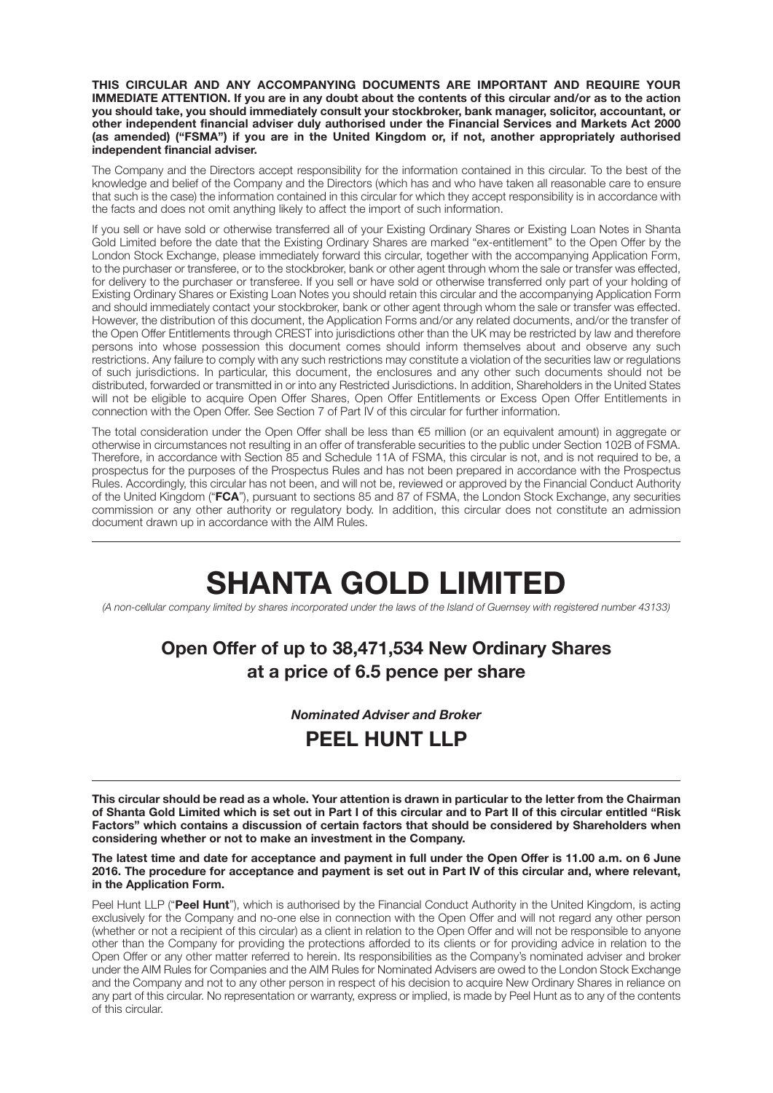**THIS CIRCULAR AND ANY ACCOMPANYING DOCUMENTS ARE IMPORTANT AND REQUIRE YOUR IMMEDIATE ATTENTION. If you are in any doubt about the contents of this circular and/or as to the action you should take, you should immediately consult your stockbroker, bank manager, solicitor, accountant, or other independent financial adviser duly authorised under the Financial Services and Markets Act 2000 (as amended) ("FSMA") if you are in the United Kingdom or, if not, another appropriately authorised independent financial adviser.**

The Company and the Directors accept responsibility for the information contained in this circular. To the best of the knowledge and belief of the Company and the Directors (which has and who have taken all reasonable care to ensure that such is the case) the information contained in this circular for which they accept responsibility is in accordance with the facts and does not omit anything likely to affect the import of such information.

If you sell or have sold or otherwise transferred all of your Existing Ordinary Shares or Existing Loan Notes in Shanta Gold Limited before the date that the Existing Ordinary Shares are marked "ex-entitlement" to the Open Offer by the London Stock Exchange, please immediately forward this circular, together with the accompanying Application Form, to the purchaser or transferee, or to the stockbroker, bank or other agent through whom the sale or transfer was effected, for delivery to the purchaser or transferee. If you sell or have sold or otherwise transferred only part of your holding of Existing Ordinary Shares or Existing Loan Notes you should retain this circular and the accompanying Application Form and should immediately contact your stockbroker, bank or other agent through whom the sale or transfer was effected. However, the distribution of this document, the Application Forms and/or any related documents, and/or the transfer of the Open Offer Entitlements through CREST into jurisdictions other than the UK may be restricted by law and therefore persons into whose possession this document comes should inform themselves about and observe any such restrictions. Any failure to comply with any such restrictions may constitute a violation of the securities law or regulations of such jurisdictions. In particular, this document, the enclosures and any other such documents should not be distributed, forwarded or transmitted in or into any Restricted Jurisdictions. In addition, Shareholders in the United States will not be eligible to acquire Open Offer Shares, Open Offer Entitlements or Excess Open Offer Entitlements in connection with the Open Offer. See Section 7 of Part IV of this circular for further information.

The total consideration under the Open Offer shall be less than €5 million (or an equivalent amount) in aggregate or otherwise in circumstances not resulting in an offer of transferable securities to the public under Section 102B of FSMA. Therefore, in accordance with Section 85 and Schedule 11A of FSMA, this circular is not, and is not required to be, a prospectus for the purposes of the Prospectus Rules and has not been prepared in accordance with the Prospectus Rules. Accordingly, this circular has not been, and will not be, reviewed or approved by the Financial Conduct Authority of the United Kingdom ("**FCA**"), pursuant to sections 85 and 87 of FSMA, the London Stock Exchange, any securities commission or any other authority or regulatory body. In addition, this circular does not constitute an admission document drawn up in accordance with the AIM Rules.

# **SHANTA GOLD LIMITED**

*(A non-cellular company limited by shares incorporated under the laws of the Island of Guernsey with registered number 43133)*

# **Open Offer of up to 38,471,534 New Ordinary Shares at a price of 6.5 pence per share**

#### *Nominated Adviser and Broker*

# **PEEL HUNT LLP**

**This circular should be read as a whole. Your attention is drawn in particular to the letter from the Chairman of Shanta Gold Limited which is set out in Part I of this circular and to Part II of this circular entitled "Risk Factors" which contains a discussion of certain factors that should be considered by Shareholders when considering whether or not to make an investment in the Company.**

**The latest time and date for acceptance and payment in full under the Open Offer is 11.00 a.m. on 6 June 2016. The procedure for acceptance and payment is set out in Part IV of this circular and, where relevant, in the Application Form.**

Peel Hunt LLP ("**Peel Hunt**"), which is authorised by the Financial Conduct Authority in the United Kingdom, is acting exclusively for the Company and no-one else in connection with the Open Offer and will not regard any other person (whether or not a recipient of this circular) as a client in relation to the Open Offer and will not be responsible to anyone other than the Company for providing the protections afforded to its clients or for providing advice in relation to the Open Offer or any other matter referred to herein. Its responsibilities as the Company's nominated adviser and broker under the AIM Rules for Companies and the AIM Rules for Nominated Advisers are owed to the London Stock Exchange and the Company and not to any other person in respect of his decision to acquire New Ordinary Shares in reliance on any part of this circular. No representation or warranty, express or implied, is made by Peel Hunt as to any of the contents of this circular.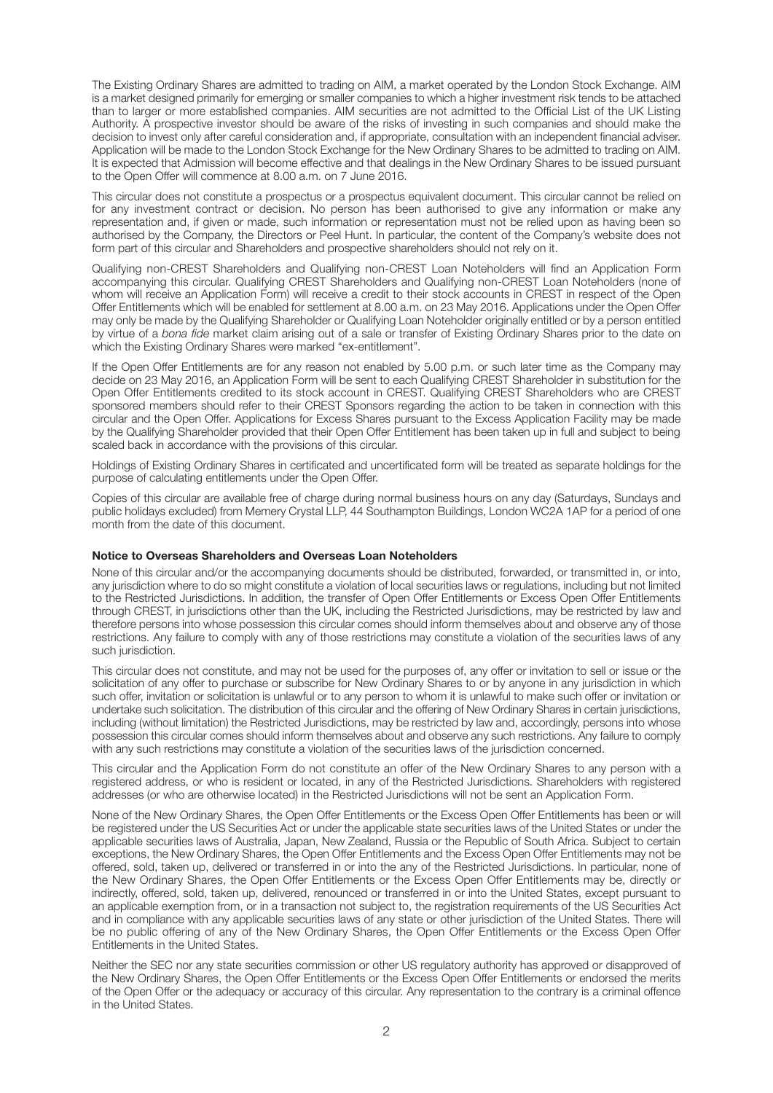The Existing Ordinary Shares are admitted to trading on AIM, a market operated by the London Stock Exchange. AIM is a market designed primarily for emerging or smaller companies to which a higher investment risk tends to be attached than to larger or more established companies. AIM securities are not admitted to the Official List of the UK Listing Authority. A prospective investor should be aware of the risks of investing in such companies and should make the decision to invest only after careful consideration and, if appropriate, consultation with an independent financial adviser. Application will be made to the London Stock Exchange for the New Ordinary Shares to be admitted to trading on AIM. It is expected that Admission will become effective and that dealings in the New Ordinary Shares to be issued pursuant to the Open Offer will commence at 8.00 a.m. on 7 June 2016.

This circular does not constitute a prospectus or a prospectus equivalent document. This circular cannot be relied on for any investment contract or decision. No person has been authorised to give any information or make any representation and, if given or made, such information or representation must not be relied upon as having been so authorised by the Company, the Directors or Peel Hunt. In particular, the content of the Company's website does not form part of this circular and Shareholders and prospective shareholders should not rely on it.

Qualifying non-CREST Shareholders and Qualifying non-CREST Loan Noteholders will find an Application Form accompanying this circular. Qualifying CREST Shareholders and Qualifying non-CREST Loan Noteholders (none of whom will receive an Application Form) will receive a credit to their stock accounts in CREST in respect of the Open Offer Entitlements which will be enabled for settlement at 8.00 a.m. on 23 May 2016. Applications under the Open Offer may only be made by the Qualifying Shareholder or Qualifying Loan Noteholder originally entitled or by a person entitled by virtue of a *bona fide* market claim arising out of a sale or transfer of Existing Ordinary Shares prior to the date on which the Existing Ordinary Shares were marked "ex-entitlement".

If the Open Offer Entitlements are for any reason not enabled by 5.00 p.m. or such later time as the Company may decide on 23 May 2016, an Application Form will be sent to each Qualifying CREST Shareholder in substitution for the Open Offer Entitlements credited to its stock account in CREST. Qualifying CREST Shareholders who are CREST sponsored members should refer to their CREST Sponsors regarding the action to be taken in connection with this circular and the Open Offer. Applications for Excess Shares pursuant to the Excess Application Facility may be made by the Qualifying Shareholder provided that their Open Offer Entitlement has been taken up in full and subject to being scaled back in accordance with the provisions of this circular.

Holdings of Existing Ordinary Shares in certificated and uncertificated form will be treated as separate holdings for the purpose of calculating entitlements under the Open Offer.

Copies of this circular are available free of charge during normal business hours on any day (Saturdays, Sundays and public holidays excluded) from Memery Crystal LLP, 44 Southampton Buildings, London WC2A 1AP for a period of one month from the date of this document.

#### **Notice to Overseas Shareholders and Overseas Loan Noteholders**

None of this circular and/or the accompanying documents should be distributed, forwarded, or transmitted in, or into, any jurisdiction where to do so might constitute a violation of local securities laws or regulations, including but not limited to the Restricted Jurisdictions. In addition, the transfer of Open Offer Entitlements or Excess Open Offer Entitlements through CREST, in jurisdictions other than the UK, including the Restricted Jurisdictions, may be restricted by law and therefore persons into whose possession this circular comes should inform themselves about and observe any of those restrictions. Any failure to comply with any of those restrictions may constitute a violation of the securities laws of any such jurisdiction.

This circular does not constitute, and may not be used for the purposes of, any offer or invitation to sell or issue or the solicitation of any offer to purchase or subscribe for New Ordinary Shares to or by anyone in any jurisdiction in which such offer, invitation or solicitation is unlawful or to any person to whom it is unlawful to make such offer or invitation or undertake such solicitation. The distribution of this circular and the offering of New Ordinary Shares in certain jurisdictions, including (without limitation) the Restricted Jurisdictions, may be restricted by law and, accordingly, persons into whose possession this circular comes should inform themselves about and observe any such restrictions. Any failure to comply with any such restrictions may constitute a violation of the securities laws of the jurisdiction concerned.

This circular and the Application Form do not constitute an offer of the New Ordinary Shares to any person with a registered address, or who is resident or located, in any of the Restricted Jurisdictions. Shareholders with registered addresses (or who are otherwise located) in the Restricted Jurisdictions will not be sent an Application Form.

None of the New Ordinary Shares, the Open Offer Entitlements or the Excess Open Offer Entitlements has been or will be registered under the US Securities Act or under the applicable state securities laws of the United States or under the applicable securities laws of Australia, Japan, New Zealand, Russia or the Republic of South Africa. Subject to certain exceptions, the New Ordinary Shares, the Open Offer Entitlements and the Excess Open Offer Entitlements may not be offered, sold, taken up, delivered or transferred in or into the any of the Restricted Jurisdictions. In particular, none of the New Ordinary Shares, the Open Offer Entitlements or the Excess Open Offer Entitlements may be, directly or indirectly, offered, sold, taken up, delivered, renounced or transferred in or into the United States, except pursuant to an applicable exemption from, or in a transaction not subject to, the registration requirements of the US Securities Act and in compliance with any applicable securities laws of any state or other jurisdiction of the United States. There will be no public offering of any of the New Ordinary Shares, the Open Offer Entitlements or the Excess Open Offer Entitlements in the United States.

Neither the SEC nor any state securities commission or other US regulatory authority has approved or disapproved of the New Ordinary Shares, the Open Offer Entitlements or the Excess Open Offer Entitlements or endorsed the merits of the Open Offer or the adequacy or accuracy of this circular. Any representation to the contrary is a criminal offence in the United States.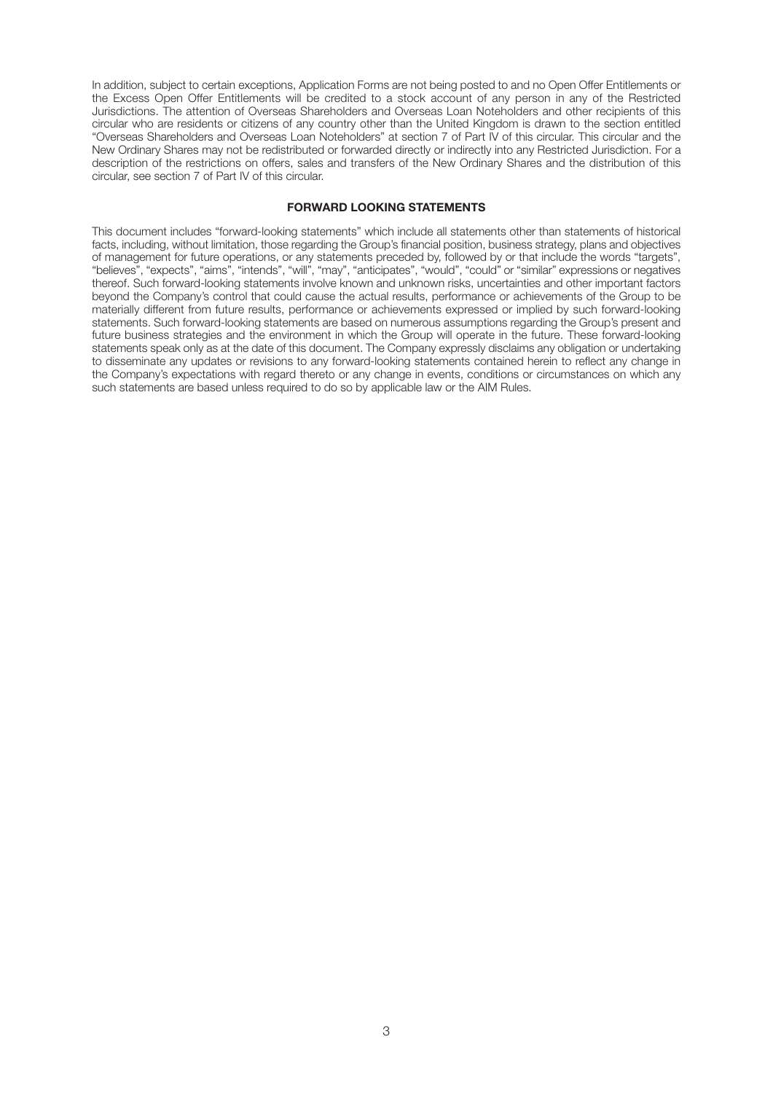In addition, subject to certain exceptions, Application Forms are not being posted to and no Open Offer Entitlements or the Excess Open Offer Entitlements will be credited to a stock account of any person in any of the Restricted Jurisdictions. The attention of Overseas Shareholders and Overseas Loan Noteholders and other recipients of this circular who are residents or citizens of any country other than the United Kingdom is drawn to the section entitled "Overseas Shareholders and Overseas Loan Noteholders" at section 7 of Part IV of this circular. This circular and the New Ordinary Shares may not be redistributed or forwarded directly or indirectly into any Restricted Jurisdiction. For a description of the restrictions on offers, sales and transfers of the New Ordinary Shares and the distribution of this circular, see section 7 of Part IV of this circular.

#### **FORWARD LOOKING STATEMENTS**

This document includes "forward-looking statements" which include all statements other than statements of historical facts, including, without limitation, those regarding the Group's financial position, business strategy, plans and objectives of management for future operations, or any statements preceded by, followed by or that include the words "targets", "believes", "expects", "aims", "intends", "will", "may", "anticipates", "would", "could" or "similar" expressions or negatives thereof. Such forward-looking statements involve known and unknown risks, uncertainties and other important factors beyond the Company's control that could cause the actual results, performance or achievements of the Group to be materially different from future results, performance or achievements expressed or implied by such forward-looking statements. Such forward-looking statements are based on numerous assumptions regarding the Group's present and future business strategies and the environment in which the Group will operate in the future. These forward-looking statements speak only as at the date of this document. The Company expressly disclaims any obligation or undertaking to disseminate any updates or revisions to any forward-looking statements contained herein to reflect any change in the Company's expectations with regard thereto or any change in events, conditions or circumstances on which any such statements are based unless required to do so by applicable law or the AIM Rules.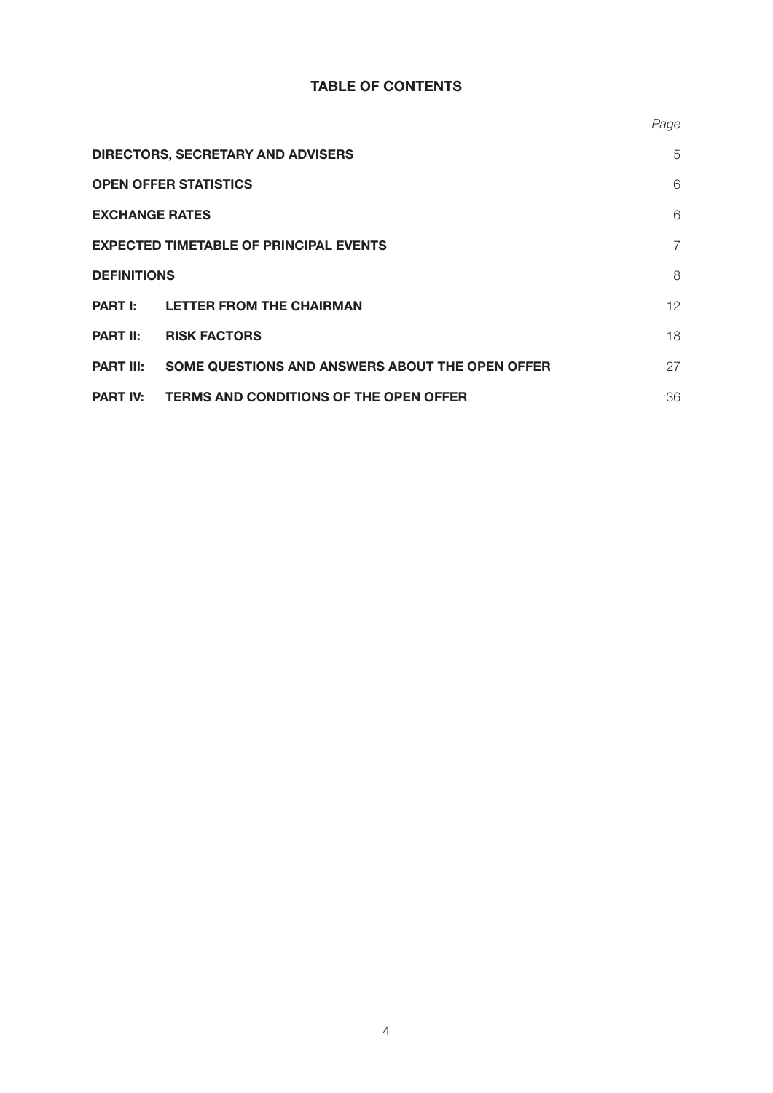## **TABLE OF CONTENTS**

|                                                                     | Page |
|---------------------------------------------------------------------|------|
| <b>DIRECTORS, SECRETARY AND ADVISERS</b>                            | 5    |
| <b>OPEN OFFER STATISTICS</b>                                        | 6    |
| <b>EXCHANGE RATES</b>                                               |      |
| <b>EXPECTED TIMETABLE OF PRINCIPAL EVENTS</b>                       |      |
| <b>DEFINITIONS</b>                                                  | 8    |
| <b>PART I: LETTER FROM THE CHAIRMAN</b>                             | 12   |
| <b>RISK FACTORS</b><br><b>PART II:</b>                              | 18   |
| SOME QUESTIONS AND ANSWERS ABOUT THE OPEN OFFER<br><b>PART III:</b> | 27   |
| <b>TERMS AND CONDITIONS OF THE OPEN OFFER</b><br><b>PART IV:</b>    | 36   |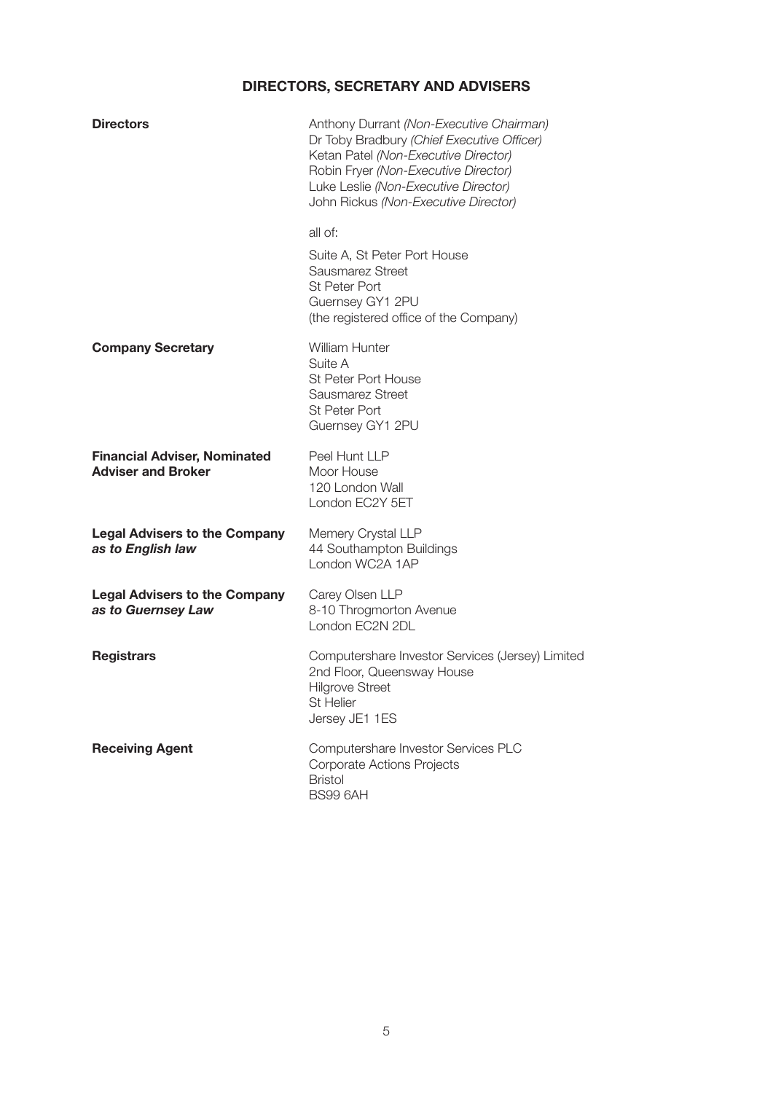# **DIRECTORS, SECRETARY AND ADVISERS**

| <b>Directors</b>                                                 | Anthony Durrant (Non-Executive Chairman)<br>Dr Toby Bradbury (Chief Executive Officer)<br>Ketan Patel (Non-Executive Director)<br>Robin Fryer (Non-Executive Director)<br>Luke Leslie (Non-Executive Director)<br>John Rickus (Non-Executive Director) |
|------------------------------------------------------------------|--------------------------------------------------------------------------------------------------------------------------------------------------------------------------------------------------------------------------------------------------------|
|                                                                  | all of:<br>Suite A, St Peter Port House<br>Sausmarez Street<br><b>St Peter Port</b><br>Guernsey GY1 2PU<br>(the registered office of the Company)                                                                                                      |
| <b>Company Secretary</b>                                         | <b>William Hunter</b><br>Suite A<br>St Peter Port House<br>Sausmarez Street<br><b>St Peter Port</b><br>Guernsey GY1 2PU                                                                                                                                |
| <b>Financial Adviser, Nominated</b><br><b>Adviser and Broker</b> | Peel Hunt LLP<br>Moor House<br>120 London Wall<br>London EC2Y 5ET                                                                                                                                                                                      |
| <b>Legal Advisers to the Company</b><br>as to English law        | Memery Crystal LLP<br>44 Southampton Buildings<br>London WC2A 1AP                                                                                                                                                                                      |
| <b>Legal Advisers to the Company</b><br>as to Guernsey Law       | Carey Olsen LLP<br>8-10 Throgmorton Avenue<br>London EC2N 2DL                                                                                                                                                                                          |
| <b>Registrars</b>                                                | Computershare Investor Services (Jersey) Limited<br>2nd Floor, Queensway House<br><b>Hilgrove Street</b><br><b>St Helier</b><br>Jersey JE1 1ES                                                                                                         |
| <b>Receiving Agent</b>                                           | Computershare Investor Services PLC<br><b>Corporate Actions Projects</b><br><b>Bristol</b><br>BS99 6AH                                                                                                                                                 |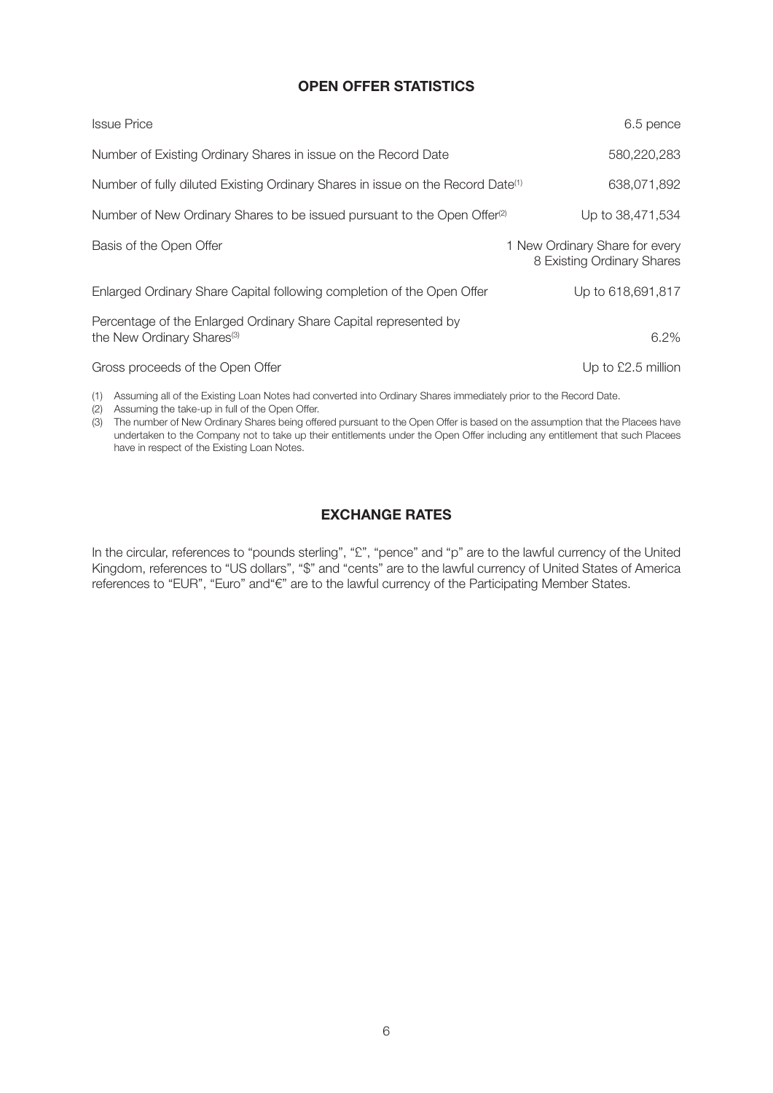### **OPEN OFFER STATISTICS**

| <b>Issue Price</b>                                                                                         | 6.5 pence                                                    |
|------------------------------------------------------------------------------------------------------------|--------------------------------------------------------------|
| Number of Existing Ordinary Shares in issue on the Record Date                                             | 580,220,283                                                  |
| Number of fully diluted Existing Ordinary Shares in issue on the Record Date <sup>(1)</sup>                | 638,071,892                                                  |
| Number of New Ordinary Shares to be issued pursuant to the Open Offer <sup>(2)</sup>                       | Up to 38,471,534                                             |
| Basis of the Open Offer                                                                                    | 1 New Ordinary Share for every<br>8 Existing Ordinary Shares |
| Enlarged Ordinary Share Capital following completion of the Open Offer                                     | Up to 618,691,817                                            |
| Percentage of the Enlarged Ordinary Share Capital represented by<br>the New Ordinary Shares <sup>(3)</sup> | 6.2%                                                         |
| Gross proceeds of the Open Offer                                                                           | Up to £2.5 million                                           |

(1) Assuming all of the Existing Loan Notes had converted into Ordinary Shares immediately prior to the Record Date.

(2) Assuming the take-up in full of the Open Offer.

(3) The number of New Ordinary Shares being offered pursuant to the Open Offer is based on the assumption that the Placees have undertaken to the Company not to take up their entitlements under the Open Offer including any entitlement that such Placees have in respect of the Existing Loan Notes.

### **EXCHANGE RATES**

In the circular, references to "pounds sterling", "£", "pence" and "p" are to the lawful currency of the United Kingdom, references to "US dollars", "\$" and "cents" are to the lawful currency of United States of America references to "EUR", "Euro" and"€" are to the lawful currency of the Participating Member States.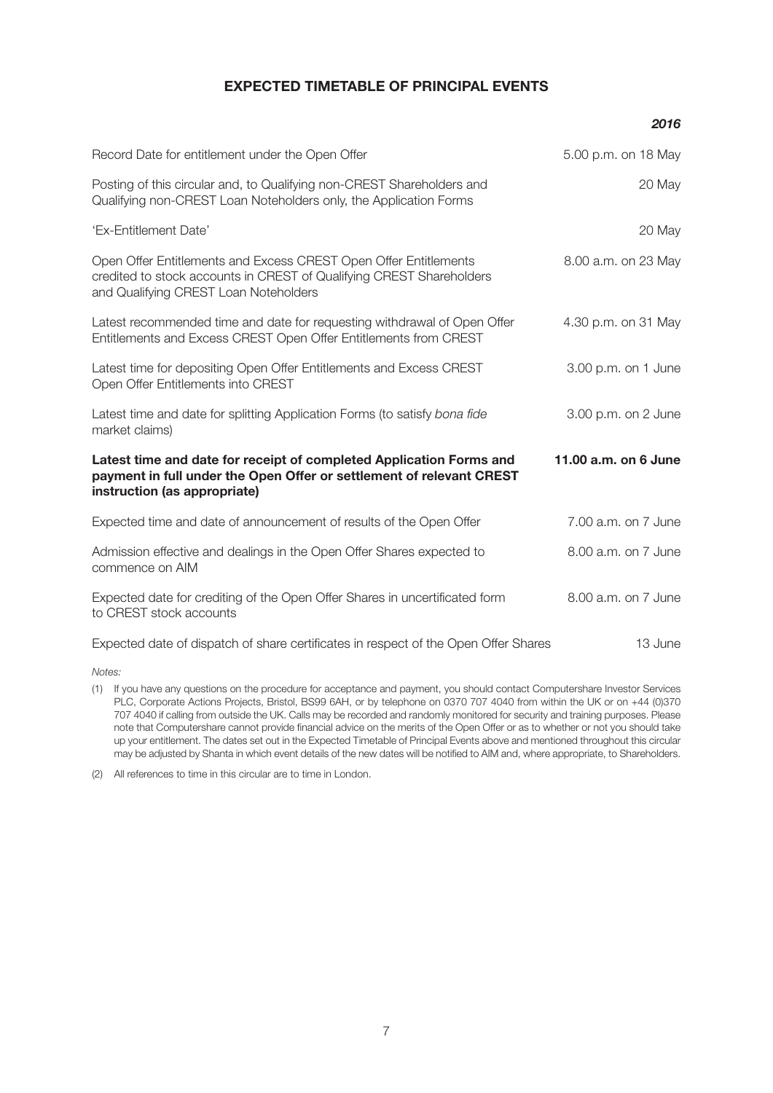#### **EXPECTED TIMETABLE OF PRINCIPAL EVENTS**

|                                                                                                                                                                                   | 2016                 |
|-----------------------------------------------------------------------------------------------------------------------------------------------------------------------------------|----------------------|
| Record Date for entitlement under the Open Offer                                                                                                                                  | 5.00 p.m. on 18 May  |
| Posting of this circular and, to Qualifying non-CREST Shareholders and<br>Qualifying non-CREST Loan Noteholders only, the Application Forms                                       | 20 May               |
| 'Ex-Entitlement Date'                                                                                                                                                             | 20 May               |
| Open Offer Entitlements and Excess CREST Open Offer Entitlements<br>credited to stock accounts in CREST of Qualifying CREST Shareholders<br>and Qualifying CREST Loan Noteholders | 8.00 a.m. on 23 May  |
| Latest recommended time and date for requesting withdrawal of Open Offer<br>Entitlements and Excess CREST Open Offer Entitlements from CREST                                      | 4.30 p.m. on 31 May  |
| Latest time for depositing Open Offer Entitlements and Excess CREST<br>Open Offer Entitlements into CREST                                                                         | 3.00 p.m. on 1 June  |
| Latest time and date for splitting Application Forms (to satisfy bona fide<br>market claims)                                                                                      | 3.00 p.m. on 2 June  |
| Latest time and date for receipt of completed Application Forms and<br>payment in full under the Open Offer or settlement of relevant CREST<br>instruction (as appropriate)       | 11.00 a.m. on 6 June |
| Expected time and date of announcement of results of the Open Offer                                                                                                               | 7.00 a.m. on 7 June  |
| Admission effective and dealings in the Open Offer Shares expected to<br>commence on AIM                                                                                          | 8.00 a.m. on 7 June  |
| Expected date for crediting of the Open Offer Shares in uncertificated form<br>to CREST stock accounts                                                                            | 8.00 a.m. on 7 June  |
| Expected date of dispatch of share certificates in respect of the Open Offer Shares                                                                                               | 13 June              |

*Notes:*

(1) If you have any questions on the procedure for acceptance and payment, you should contact Computershare Investor Services PLC, Corporate Actions Projects, Bristol, BS99 6AH, or by telephone on 0370 707 4040 from within the UK or on +44 (0)370 707 4040 if calling from outside the UK. Calls may be recorded and randomly monitored for security and training purposes. Please note that Computershare cannot provide financial advice on the merits of the Open Offer or as to whether or not you should take up your entitlement. The dates set out in the Expected Timetable of Principal Events above and mentioned throughout this circular may be adjusted by Shanta in which event details of the new dates will be notified to AIM and, where appropriate, to Shareholders.

(2) All references to time in this circular are to time in London.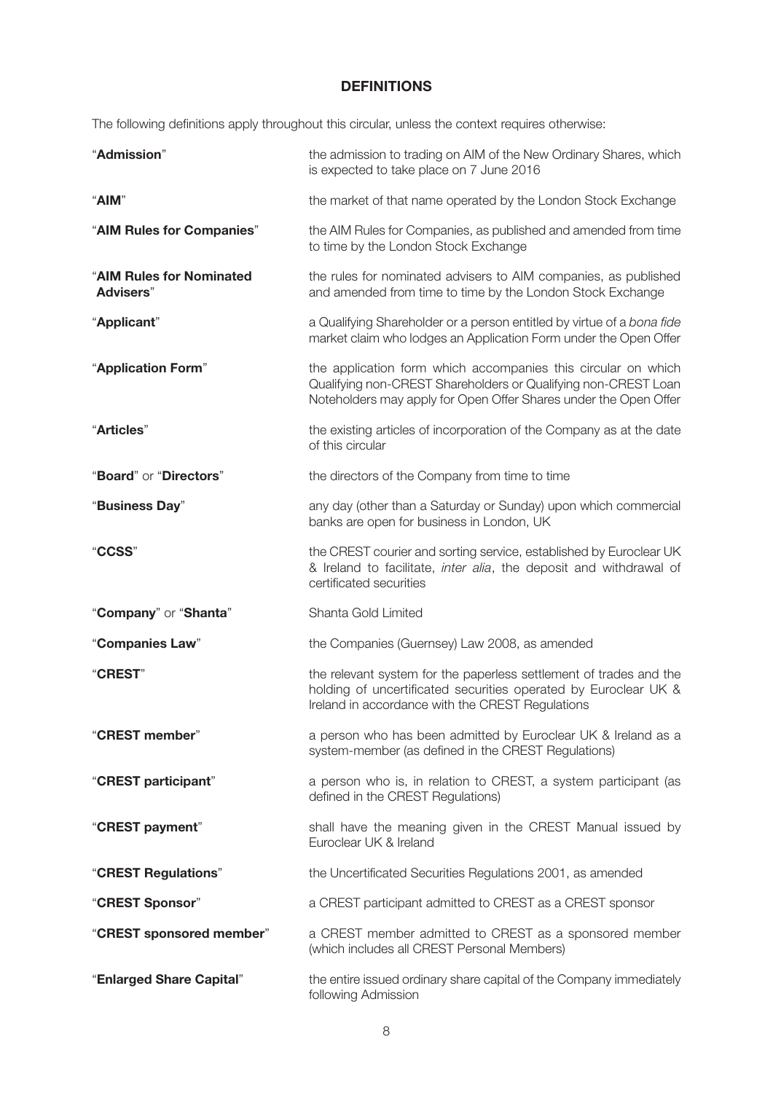### **DEFINITIONS**

The following definitions apply throughout this circular, unless the context requires otherwise:

| "Admission"                           | the admission to trading on AIM of the New Ordinary Shares, which<br>is expected to take place on 7 June 2016                                                                                       |
|---------------------------------------|-----------------------------------------------------------------------------------------------------------------------------------------------------------------------------------------------------|
| "AIM"                                 | the market of that name operated by the London Stock Exchange                                                                                                                                       |
| "AIM Rules for Companies"             | the AIM Rules for Companies, as published and amended from time<br>to time by the London Stock Exchange                                                                                             |
| "AIM Rules for Nominated<br>Advisers" | the rules for nominated advisers to AIM companies, as published<br>and amended from time to time by the London Stock Exchange                                                                       |
| "Applicant"                           | a Qualifying Shareholder or a person entitled by virtue of a bona fide<br>market claim who lodges an Application Form under the Open Offer                                                          |
| "Application Form"                    | the application form which accompanies this circular on which<br>Qualifying non-CREST Shareholders or Qualifying non-CREST Loan<br>Noteholders may apply for Open Offer Shares under the Open Offer |
| "Articles"                            | the existing articles of incorporation of the Company as at the date<br>of this circular                                                                                                            |
| "Board" or "Directors"                | the directors of the Company from time to time                                                                                                                                                      |
| "Business Day"                        | any day (other than a Saturday or Sunday) upon which commercial<br>banks are open for business in London, UK                                                                                        |
| "CCSS"                                | the CREST courier and sorting service, established by Euroclear UK<br>& Ireland to facilitate, inter alia, the deposit and withdrawal of<br>certificated securities                                 |
| "Company" or "Shanta"                 | Shanta Gold Limited                                                                                                                                                                                 |
| "Companies Law"                       | the Companies (Guernsey) Law 2008, as amended                                                                                                                                                       |
| "CREST"                               | the relevant system for the paperless settlement of trades and the<br>holding of uncertificated securities operated by Euroclear UK &<br>Ireland in accordance with the CREST Regulations           |
| "CREST member"                        | a person who has been admitted by Euroclear UK & Ireland as a<br>system-member (as defined in the CREST Regulations)                                                                                |
| "CREST participant"                   | a person who is, in relation to CREST, a system participant (as<br>defined in the CREST Regulations)                                                                                                |
| "CREST payment"                       | shall have the meaning given in the CREST Manual issued by<br>Euroclear UK & Ireland                                                                                                                |
| "CREST Regulations"                   | the Uncertificated Securities Regulations 2001, as amended                                                                                                                                          |
| "CREST Sponsor"                       | a CREST participant admitted to CREST as a CREST sponsor                                                                                                                                            |
| "CREST sponsored member"              | a CREST member admitted to CREST as a sponsored member<br>(which includes all CREST Personal Members)                                                                                               |
| "Enlarged Share Capital"              | the entire issued ordinary share capital of the Company immediately<br>following Admission                                                                                                          |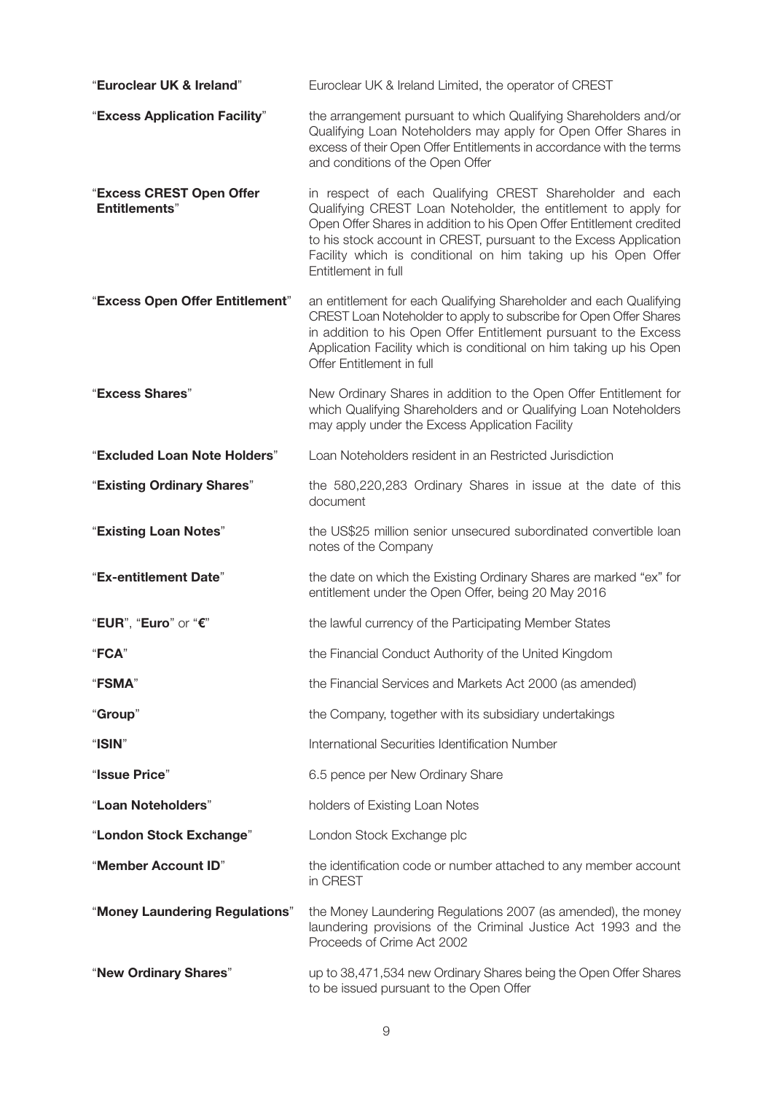| "Euroclear UK & Ireland"                         | Euroclear UK & Ireland Limited, the operator of CREST                                                                                                                                                                                                                                                                                                           |
|--------------------------------------------------|-----------------------------------------------------------------------------------------------------------------------------------------------------------------------------------------------------------------------------------------------------------------------------------------------------------------------------------------------------------------|
| "Excess Application Facility"                    | the arrangement pursuant to which Qualifying Shareholders and/or<br>Qualifying Loan Noteholders may apply for Open Offer Shares in<br>excess of their Open Offer Entitlements in accordance with the terms<br>and conditions of the Open Offer                                                                                                                  |
| "Excess CREST Open Offer<br><b>Entitlements"</b> | in respect of each Qualifying CREST Shareholder and each<br>Qualifying CREST Loan Noteholder, the entitlement to apply for<br>Open Offer Shares in addition to his Open Offer Entitlement credited<br>to his stock account in CREST, pursuant to the Excess Application<br>Facility which is conditional on him taking up his Open Offer<br>Entitlement in full |
| "Excess Open Offer Entitlement"                  | an entitlement for each Qualifying Shareholder and each Qualifying<br>CREST Loan Noteholder to apply to subscribe for Open Offer Shares<br>in addition to his Open Offer Entitlement pursuant to the Excess<br>Application Facility which is conditional on him taking up his Open<br>Offer Entitlement in full                                                 |
| "Excess Shares"                                  | New Ordinary Shares in addition to the Open Offer Entitlement for<br>which Qualifying Shareholders and or Qualifying Loan Noteholders<br>may apply under the Excess Application Facility                                                                                                                                                                        |
| "Excluded Loan Note Holders"                     | Loan Noteholders resident in an Restricted Jurisdiction                                                                                                                                                                                                                                                                                                         |
| "Existing Ordinary Shares"                       | the 580,220,283 Ordinary Shares in issue at the date of this<br>document                                                                                                                                                                                                                                                                                        |
| "Existing Loan Notes"                            | the US\$25 million senior unsecured subordinated convertible loan<br>notes of the Company                                                                                                                                                                                                                                                                       |
| "Ex-entitlement Date"                            | the date on which the Existing Ordinary Shares are marked "ex" for<br>entitlement under the Open Offer, being 20 May 2016                                                                                                                                                                                                                                       |
| "EUR", "Euro" or "€"                             | the lawful currency of the Participating Member States                                                                                                                                                                                                                                                                                                          |
| "FCA"                                            | the Financial Conduct Authority of the United Kingdom                                                                                                                                                                                                                                                                                                           |
| "FSMA"                                           | the Financial Services and Markets Act 2000 (as amended)                                                                                                                                                                                                                                                                                                        |
| "Group"                                          | the Company, together with its subsidiary undertakings                                                                                                                                                                                                                                                                                                          |
| "ISIN"                                           | International Securities Identification Number                                                                                                                                                                                                                                                                                                                  |
| "Issue Price"                                    | 6.5 pence per New Ordinary Share                                                                                                                                                                                                                                                                                                                                |
| "Loan Noteholders"                               | holders of Existing Loan Notes                                                                                                                                                                                                                                                                                                                                  |
| "London Stock Exchange"                          | London Stock Exchange plc                                                                                                                                                                                                                                                                                                                                       |
| "Member Account ID"                              | the identification code or number attached to any member account<br>in CREST                                                                                                                                                                                                                                                                                    |
| "Money Laundering Regulations"                   | the Money Laundering Regulations 2007 (as amended), the money<br>laundering provisions of the Criminal Justice Act 1993 and the<br>Proceeds of Crime Act 2002                                                                                                                                                                                                   |
| "New Ordinary Shares"                            | up to 38,471,534 new Ordinary Shares being the Open Offer Shares<br>to be issued pursuant to the Open Offer                                                                                                                                                                                                                                                     |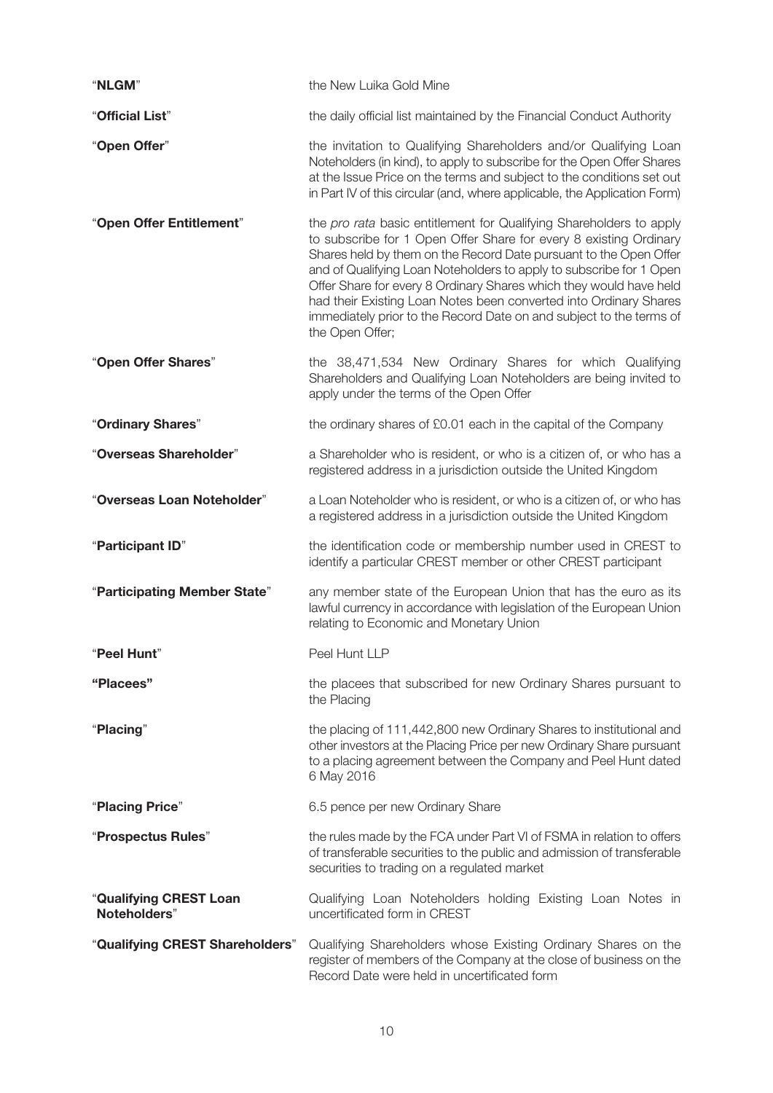| "NLGM"                                 | the New Luika Gold Mine                                                                                                                                                                                                                                                                                                                                                                                                                                                                                                   |
|----------------------------------------|---------------------------------------------------------------------------------------------------------------------------------------------------------------------------------------------------------------------------------------------------------------------------------------------------------------------------------------------------------------------------------------------------------------------------------------------------------------------------------------------------------------------------|
| "Official List"                        | the daily official list maintained by the Financial Conduct Authority                                                                                                                                                                                                                                                                                                                                                                                                                                                     |
| "Open Offer"                           | the invitation to Qualifying Shareholders and/or Qualifying Loan<br>Noteholders (in kind), to apply to subscribe for the Open Offer Shares<br>at the Issue Price on the terms and subject to the conditions set out<br>in Part IV of this circular (and, where applicable, the Application Form)                                                                                                                                                                                                                          |
| "Open Offer Entitlement"               | the pro rata basic entitlement for Qualifying Shareholders to apply<br>to subscribe for 1 Open Offer Share for every 8 existing Ordinary<br>Shares held by them on the Record Date pursuant to the Open Offer<br>and of Qualifying Loan Noteholders to apply to subscribe for 1 Open<br>Offer Share for every 8 Ordinary Shares which they would have held<br>had their Existing Loan Notes been converted into Ordinary Shares<br>immediately prior to the Record Date on and subject to the terms of<br>the Open Offer; |
| "Open Offer Shares"                    | the 38,471,534 New Ordinary Shares for which Qualifying<br>Shareholders and Qualifying Loan Noteholders are being invited to<br>apply under the terms of the Open Offer                                                                                                                                                                                                                                                                                                                                                   |
| "Ordinary Shares"                      | the ordinary shares of £0.01 each in the capital of the Company                                                                                                                                                                                                                                                                                                                                                                                                                                                           |
| "Overseas Shareholder"                 | a Shareholder who is resident, or who is a citizen of, or who has a<br>registered address in a jurisdiction outside the United Kingdom                                                                                                                                                                                                                                                                                                                                                                                    |
| "Overseas Loan Noteholder"             | a Loan Noteholder who is resident, or who is a citizen of, or who has<br>a registered address in a jurisdiction outside the United Kingdom                                                                                                                                                                                                                                                                                                                                                                                |
| "Participant ID"                       | the identification code or membership number used in CREST to<br>identify a particular CREST member or other CREST participant                                                                                                                                                                                                                                                                                                                                                                                            |
| "Participating Member State"           | any member state of the European Union that has the euro as its<br>lawful currency in accordance with legislation of the European Union<br>relating to Economic and Monetary Union                                                                                                                                                                                                                                                                                                                                        |
| "Peel Hunt"                            | Peel Hunt LLP                                                                                                                                                                                                                                                                                                                                                                                                                                                                                                             |
| "Placees"                              | the placees that subscribed for new Ordinary Shares pursuant to<br>the Placing                                                                                                                                                                                                                                                                                                                                                                                                                                            |
| "Placing"                              | the placing of 111,442,800 new Ordinary Shares to institutional and<br>other investors at the Placing Price per new Ordinary Share pursuant<br>to a placing agreement between the Company and Peel Hunt dated<br>6 May 2016                                                                                                                                                                                                                                                                                               |
| "Placing Price"                        | 6.5 pence per new Ordinary Share                                                                                                                                                                                                                                                                                                                                                                                                                                                                                          |
| "Prospectus Rules"                     | the rules made by the FCA under Part VI of FSMA in relation to offers<br>of transferable securities to the public and admission of transferable<br>securities to trading on a regulated market                                                                                                                                                                                                                                                                                                                            |
| "Qualifying CREST Loan<br>Noteholders" | Qualifying Loan Noteholders holding Existing Loan Notes in<br>uncertificated form in CREST                                                                                                                                                                                                                                                                                                                                                                                                                                |
| "Qualifying CREST Shareholders"        | Qualifying Shareholders whose Existing Ordinary Shares on the<br>register of members of the Company at the close of business on the<br>Record Date were held in uncertificated form                                                                                                                                                                                                                                                                                                                                       |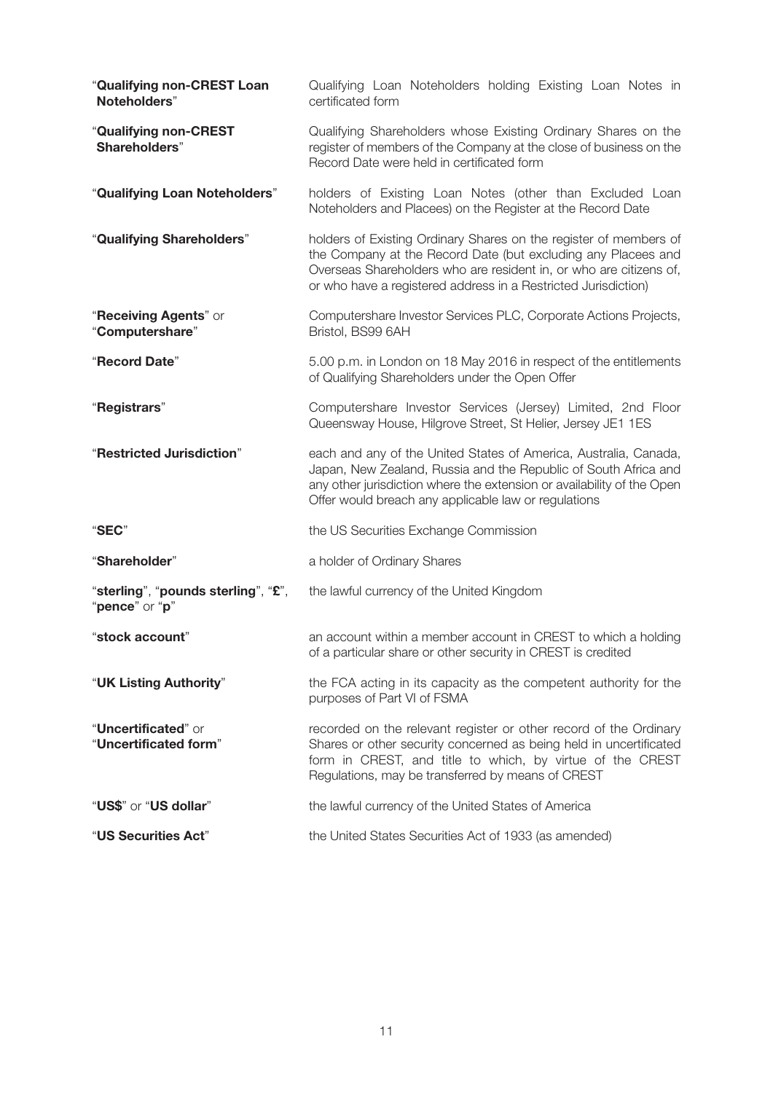| "Qualifying non-CREST Loan<br>Noteholders"            | Qualifying Loan Noteholders holding Existing Loan Notes in<br>certificated form                                                                                                                                                                                            |
|-------------------------------------------------------|----------------------------------------------------------------------------------------------------------------------------------------------------------------------------------------------------------------------------------------------------------------------------|
| "Qualifying non-CREST<br>Shareholders"                | Qualifying Shareholders whose Existing Ordinary Shares on the<br>register of members of the Company at the close of business on the<br>Record Date were held in certificated form                                                                                          |
| "Qualifying Loan Noteholders"                         | holders of Existing Loan Notes (other than Excluded Loan<br>Noteholders and Placees) on the Register at the Record Date                                                                                                                                                    |
| "Qualifying Shareholders"                             | holders of Existing Ordinary Shares on the register of members of<br>the Company at the Record Date (but excluding any Placees and<br>Overseas Shareholders who are resident in, or who are citizens of,<br>or who have a registered address in a Restricted Jurisdiction) |
| "Receiving Agents" or<br>"Computershare"              | Computershare Investor Services PLC, Corporate Actions Projects,<br>Bristol, BS99 6AH                                                                                                                                                                                      |
| "Record Date"                                         | 5.00 p.m. in London on 18 May 2016 in respect of the entitlements<br>of Qualifying Shareholders under the Open Offer                                                                                                                                                       |
| "Registrars"                                          | Computershare Investor Services (Jersey) Limited, 2nd Floor<br>Queensway House, Hilgrove Street, St Helier, Jersey JE1 1ES                                                                                                                                                 |
| "Restricted Jurisdiction"                             | each and any of the United States of America, Australia, Canada,<br>Japan, New Zealand, Russia and the Republic of South Africa and<br>any other jurisdiction where the extension or availability of the Open<br>Offer would breach any applicable law or regulations      |
| "SEC"                                                 | the US Securities Exchange Commission                                                                                                                                                                                                                                      |
| "Shareholder"                                         | a holder of Ordinary Shares                                                                                                                                                                                                                                                |
| "sterling", "pounds sterling", "£",<br>"pence" or "p" | the lawful currency of the United Kingdom                                                                                                                                                                                                                                  |
| "stock account"                                       | an account within a member account in CREST to which a holding<br>of a particular share or other security in CREST is credited                                                                                                                                             |
| "UK Listing Authority"                                | the FCA acting in its capacity as the competent authority for the<br>purposes of Part VI of FSMA                                                                                                                                                                           |
| "Uncertificated" or<br>"Uncertificated form"          | recorded on the relevant register or other record of the Ordinary<br>Shares or other security concerned as being held in uncertificated<br>form in CREST, and title to which, by virtue of the CREST<br>Regulations, may be transferred by means of CREST                  |
| "US\$" or "US dollar"                                 | the lawful currency of the United States of America                                                                                                                                                                                                                        |
| "US Securities Act"                                   | the United States Securities Act of 1933 (as amended)                                                                                                                                                                                                                      |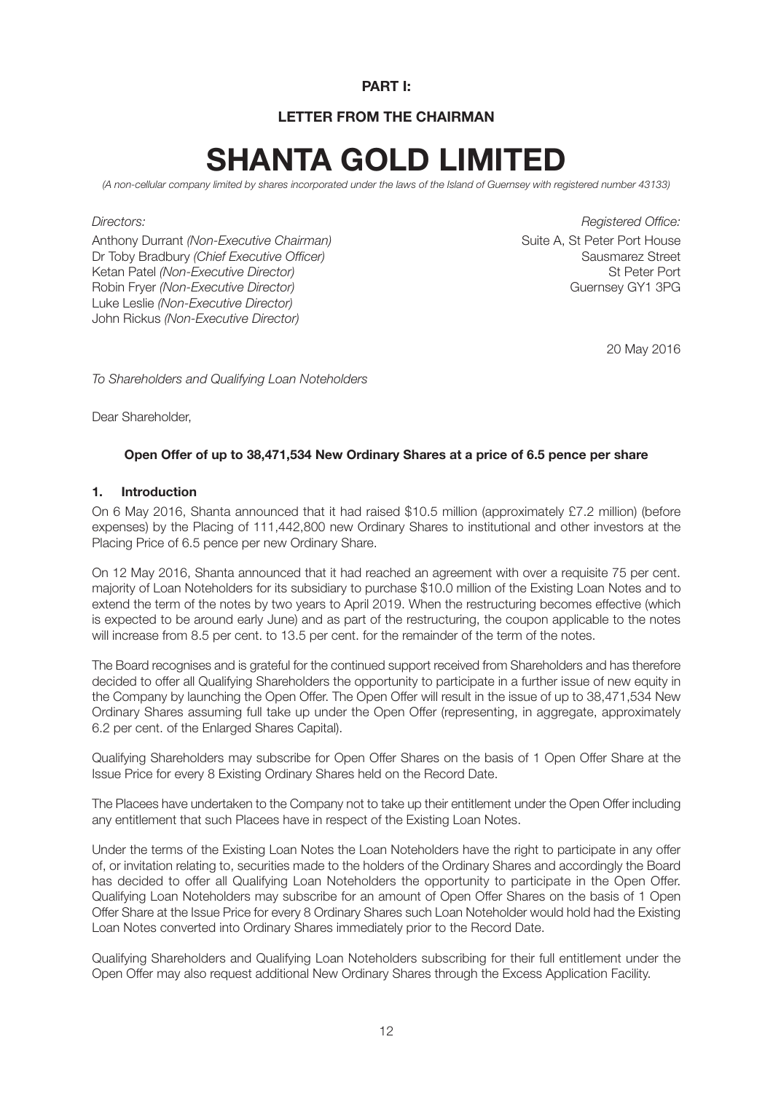#### **PART I:**

#### **LETTER FROM THE CHAIRMAN**

# **SHANTA GOLD LIMITED**

*(A non-cellular company limited by shares incorporated under the laws of the Island of Guernsey with registered number 43133)*

Anthony Durrant *(Non-Executive Chairman)* Suite A, St Peter Port House Dr Toby Bradbury *(Chief Executive Officer)*<br>Ketan Patel *(Non-Executive Director)* Sausmarez Street<br>St Peter Port Ketan Patel *(Non-Executive Director)* Robin Fryer *(Non-Executive Director)* and the state of the state of the Guernsey GY1 3PG Luke Leslie *(Non-Executive Director)* John Rickus *(Non-Executive Director)*

*Directors: Registered Office:*

20 May 2016

*To Shareholders and Qualifying Loan Noteholders*

Dear Shareholder,

#### **Open Offer of up to 38,471,534 New Ordinary Shares at a price of 6.5 pence per share**

#### **1. Introduction**

On 6 May 2016, Shanta announced that it had raised \$10.5 million (approximately £7.2 million) (before expenses) by the Placing of 111,442,800 new Ordinary Shares to institutional and other investors at the Placing Price of 6.5 pence per new Ordinary Share.

On 12 May 2016, Shanta announced that it had reached an agreement with over a requisite 75 per cent. majority of Loan Noteholders for its subsidiary to purchase \$10.0 million of the Existing Loan Notes and to extend the term of the notes by two years to April 2019. When the restructuring becomes effective (which is expected to be around early June) and as part of the restructuring, the coupon applicable to the notes will increase from 8.5 per cent. to 13.5 per cent. for the remainder of the term of the notes.

The Board recognises and is grateful for the continued support received from Shareholders and has therefore decided to offer all Qualifying Shareholders the opportunity to participate in a further issue of new equity in the Company by launching the Open Offer. The Open Offer will result in the issue of up to 38,471,534 New Ordinary Shares assuming full take up under the Open Offer (representing, in aggregate, approximately 6.2 per cent. of the Enlarged Shares Capital).

Qualifying Shareholders may subscribe for Open Offer Shares on the basis of 1 Open Offer Share at the Issue Price for every 8 Existing Ordinary Shares held on the Record Date.

The Placees have undertaken to the Company not to take up their entitlement under the Open Offer including any entitlement that such Placees have in respect of the Existing Loan Notes.

Under the terms of the Existing Loan Notes the Loan Noteholders have the right to participate in any offer of, or invitation relating to, securities made to the holders of the Ordinary Shares and accordingly the Board has decided to offer all Qualifying Loan Noteholders the opportunity to participate in the Open Offer. Qualifying Loan Noteholders may subscribe for an amount of Open Offer Shares on the basis of 1 Open Offer Share at the Issue Price for every 8 Ordinary Shares such Loan Noteholder would hold had the Existing Loan Notes converted into Ordinary Shares immediately prior to the Record Date.

Qualifying Shareholders and Qualifying Loan Noteholders subscribing for their full entitlement under the Open Offer may also request additional New Ordinary Shares through the Excess Application Facility.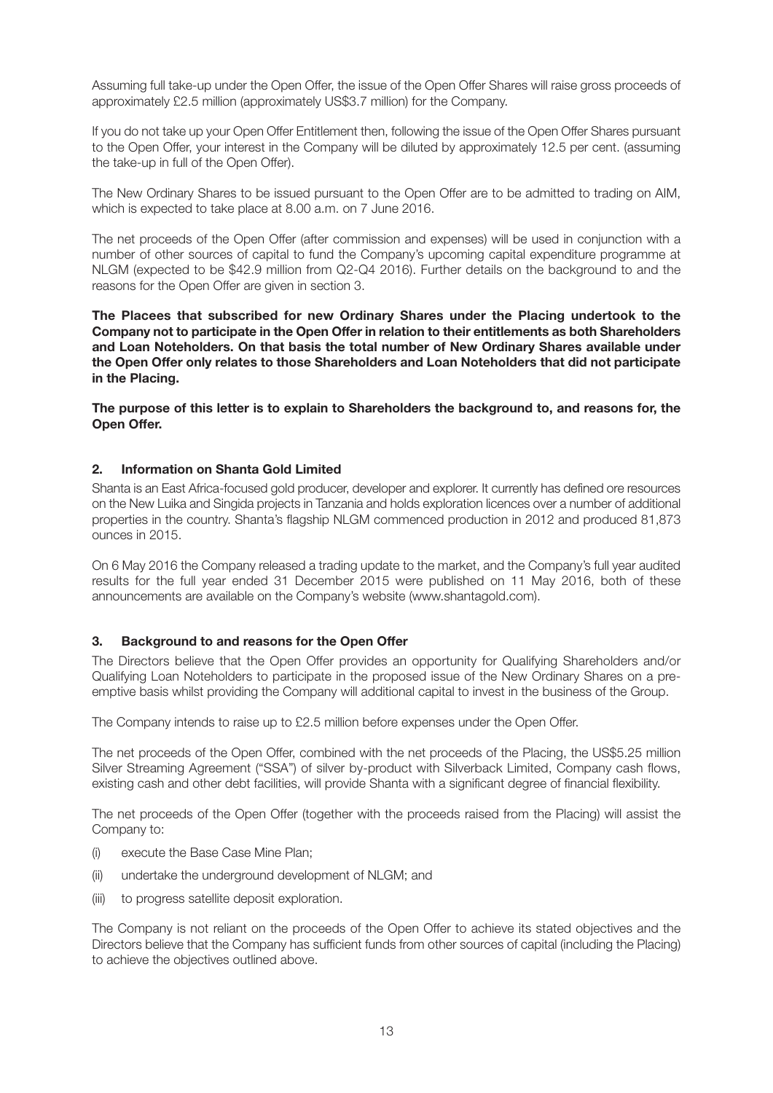Assuming full take-up under the Open Offer, the issue of the Open Offer Shares will raise gross proceeds of approximately £2.5 million (approximately US\$3.7 million) for the Company.

If you do not take up your Open Offer Entitlement then, following the issue of the Open Offer Shares pursuant to the Open Offer, your interest in the Company will be diluted by approximately 12.5 per cent. (assuming the take-up in full of the Open Offer).

The New Ordinary Shares to be issued pursuant to the Open Offer are to be admitted to trading on AIM, which is expected to take place at 8.00 a.m. on 7 June 2016.

The net proceeds of the Open Offer (after commission and expenses) will be used in conjunction with a number of other sources of capital to fund the Company's upcoming capital expenditure programme at NLGM (expected to be \$42.9 million from Q2-Q4 2016). Further details on the background to and the reasons for the Open Offer are given in section 3.

**The Placees that subscribed for new Ordinary Shares under the Placing undertook to the Company not to participate in the Open Offer in relation to their entitlements as both Shareholders and Loan Noteholders. On that basis the total number of New Ordinary Shares available under the Open Offer only relates to those Shareholders and Loan Noteholders that did not participate in the Placing.**

**The purpose of this letter is to explain to Shareholders the background to, and reasons for, the Open Offer.**

#### **2. Information on Shanta Gold Limited**

Shanta is an East Africa-focused gold producer, developer and explorer. It currently has defined ore resources on the New Luika and Singida projects in Tanzania and holds exploration licences over a number of additional properties in the country. Shanta's flagship NLGM commenced production in 2012 and produced 81,873 ounces in 2015.

On 6 May 2016 the Company released a trading update to the market, and the Company's full year audited results for the full year ended 31 December 2015 were published on 11 May 2016, both of these announcements are available on the Company's website (www.shantagold.com).

#### **3. Background to and reasons for the Open Offer**

The Directors believe that the Open Offer provides an opportunity for Qualifying Shareholders and/or Qualifying Loan Noteholders to participate in the proposed issue of the New Ordinary Shares on a preemptive basis whilst providing the Company will additional capital to invest in the business of the Group.

The Company intends to raise up to £2.5 million before expenses under the Open Offer.

The net proceeds of the Open Offer, combined with the net proceeds of the Placing, the US\$5.25 million Silver Streaming Agreement ("SSA") of silver by-product with Silverback Limited, Company cash flows, existing cash and other debt facilities, will provide Shanta with a significant degree of financial flexibility.

The net proceeds of the Open Offer (together with the proceeds raised from the Placing) will assist the Company to:

- (i) execute the Base Case Mine Plan;
- (ii) undertake the underground development of NLGM; and
- (iii) to progress satellite deposit exploration.

The Company is not reliant on the proceeds of the Open Offer to achieve its stated objectives and the Directors believe that the Company has sufficient funds from other sources of capital (including the Placing) to achieve the objectives outlined above.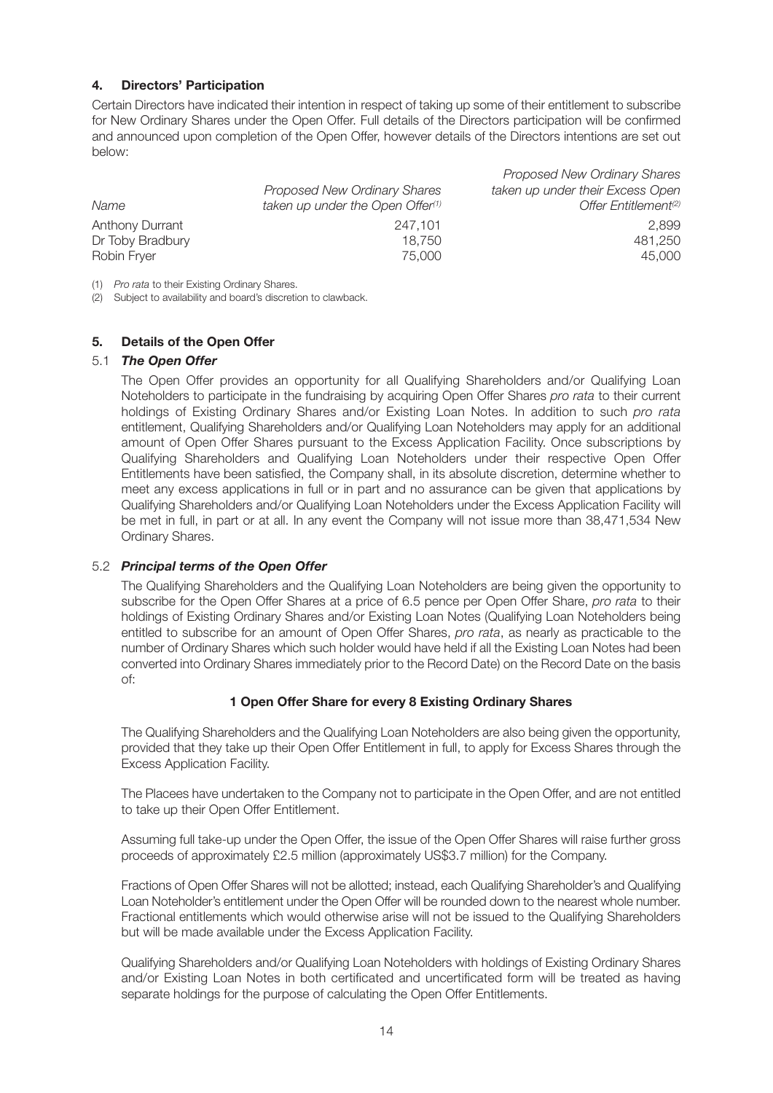#### **4. Directors' Participation**

Certain Directors have indicated their intention in respect of taking up some of their entitlement to subscribe for New Ordinary Shares under the Open Offer. Full details of the Directors participation will be confirmed and announced upon completion of the Open Offer, however details of the Directors intentions are set out below:

*Proposed New Ordinary Shares*

|                        |                                              | <i>I</i> TUDUSEU I VEW UTULIAI V UTAI ES |
|------------------------|----------------------------------------------|------------------------------------------|
|                        | <b>Proposed New Ordinary Shares</b>          | taken up under their Excess Open         |
| Name                   | taken up under the Open Offer <sup>(1)</sup> | Offer Entitlement <sup>(2)</sup>         |
| <b>Anthony Durrant</b> | 247.101                                      | 2.899                                    |
| Dr Toby Bradbury       | 18.750                                       | 481.250                                  |
| Robin Fryer            | 75,000                                       | 45.000                                   |

(1) *Pro rata* to their Existing Ordinary Shares.

(2) Subject to availability and board's discretion to clawback.

#### **5. Details of the Open Offer**

#### 5.1 *The Open Offer*

The Open Offer provides an opportunity for all Qualifying Shareholders and/or Qualifying Loan Noteholders to participate in the fundraising by acquiring Open Offer Shares *pro rata* to their current holdings of Existing Ordinary Shares and/or Existing Loan Notes. In addition to such *pro rata* entitlement, Qualifying Shareholders and/or Qualifying Loan Noteholders may apply for an additional amount of Open Offer Shares pursuant to the Excess Application Facility. Once subscriptions by Qualifying Shareholders and Qualifying Loan Noteholders under their respective Open Offer Entitlements have been satisfied, the Company shall, in its absolute discretion, determine whether to meet any excess applications in full or in part and no assurance can be given that applications by Qualifying Shareholders and/or Qualifying Loan Noteholders under the Excess Application Facility will be met in full, in part or at all. In any event the Company will not issue more than 38,471,534 New Ordinary Shares.

#### 5.2 *Principal terms of the Open Offer*

The Qualifying Shareholders and the Qualifying Loan Noteholders are being given the opportunity to subscribe for the Open Offer Shares at a price of 6.5 pence per Open Offer Share, *pro rata* to their holdings of Existing Ordinary Shares and/or Existing Loan Notes (Qualifying Loan Noteholders being entitled to subscribe for an amount of Open Offer Shares, *pro rata*, as nearly as practicable to the number of Ordinary Shares which such holder would have held if all the Existing Loan Notes had been converted into Ordinary Shares immediately prior to the Record Date) on the Record Date on the basis of:

#### **1 Open Offer Share for every 8 Existing Ordinary Shares**

The Qualifying Shareholders and the Qualifying Loan Noteholders are also being given the opportunity, provided that they take up their Open Offer Entitlement in full, to apply for Excess Shares through the Excess Application Facility.

The Placees have undertaken to the Company not to participate in the Open Offer, and are not entitled to take up their Open Offer Entitlement.

Assuming full take-up under the Open Offer, the issue of the Open Offer Shares will raise further gross proceeds of approximately £2.5 million (approximately US\$3.7 million) for the Company.

Fractions of Open Offer Shares will not be allotted; instead, each Qualifying Shareholder's and Qualifying Loan Noteholder's entitlement under the Open Offer will be rounded down to the nearest whole number. Fractional entitlements which would otherwise arise will not be issued to the Qualifying Shareholders but will be made available under the Excess Application Facility.

Qualifying Shareholders and/or Qualifying Loan Noteholders with holdings of Existing Ordinary Shares and/or Existing Loan Notes in both certificated and uncertificated form will be treated as having separate holdings for the purpose of calculating the Open Offer Entitlements.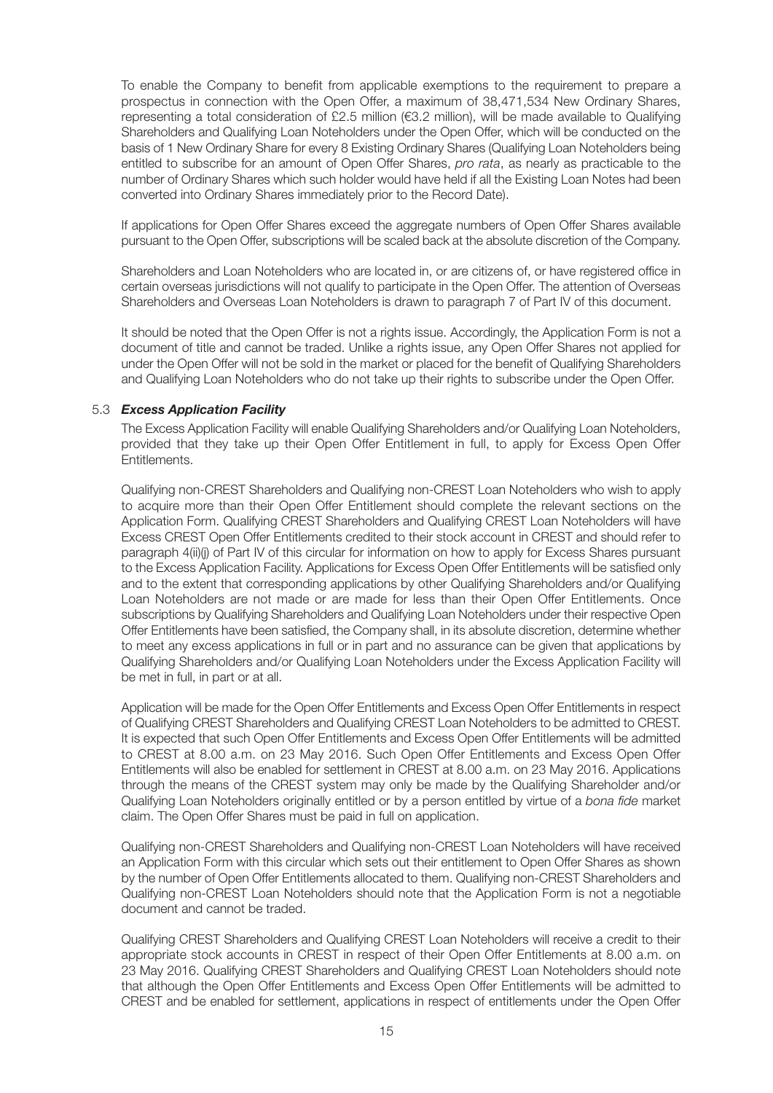To enable the Company to benefit from applicable exemptions to the requirement to prepare a prospectus in connection with the Open Offer, a maximum of 38,471,534 New Ordinary Shares, representing a total consideration of £2.5 million (€3.2 million), will be made available to Qualifying Shareholders and Qualifying Loan Noteholders under the Open Offer, which will be conducted on the basis of 1 New Ordinary Share for every 8 Existing Ordinary Shares (Qualifying Loan Noteholders being entitled to subscribe for an amount of Open Offer Shares, *pro rata*, as nearly as practicable to the number of Ordinary Shares which such holder would have held if all the Existing Loan Notes had been converted into Ordinary Shares immediately prior to the Record Date).

If applications for Open Offer Shares exceed the aggregate numbers of Open Offer Shares available pursuant to the Open Offer, subscriptions will be scaled back at the absolute discretion of the Company.

Shareholders and Loan Noteholders who are located in, or are citizens of, or have registered office in certain overseas jurisdictions will not qualify to participate in the Open Offer. The attention of Overseas Shareholders and Overseas Loan Noteholders is drawn to paragraph 7 of Part IV of this document.

It should be noted that the Open Offer is not a rights issue. Accordingly, the Application Form is not a document of title and cannot be traded. Unlike a rights issue, any Open Offer Shares not applied for under the Open Offer will not be sold in the market or placed for the benefit of Qualifying Shareholders and Qualifying Loan Noteholders who do not take up their rights to subscribe under the Open Offer.

#### 5.3 *Excess Application Facility*

The Excess Application Facility will enable Qualifying Shareholders and/or Qualifying Loan Noteholders, provided that they take up their Open Offer Entitlement in full, to apply for Excess Open Offer Entitlements.

Qualifying non-CREST Shareholders and Qualifying non-CREST Loan Noteholders who wish to apply to acquire more than their Open Offer Entitlement should complete the relevant sections on the Application Form. Qualifying CREST Shareholders and Qualifying CREST Loan Noteholders will have Excess CREST Open Offer Entitlements credited to their stock account in CREST and should refer to paragraph 4(ii)(i) of Part IV of this circular for information on how to apply for Excess Shares pursuant to the Excess Application Facility. Applications for Excess Open Offer Entitlements will be satisfied only and to the extent that corresponding applications by other Qualifying Shareholders and/or Qualifying Loan Noteholders are not made or are made for less than their Open Offer Entitlements. Once subscriptions by Qualifying Shareholders and Qualifying Loan Noteholders under their respective Open Offer Entitlements have been satisfied, the Company shall, in its absolute discretion, determine whether to meet any excess applications in full or in part and no assurance can be given that applications by Qualifying Shareholders and/or Qualifying Loan Noteholders under the Excess Application Facility will be met in full, in part or at all.

Application will be made for the Open Offer Entitlements and Excess Open Offer Entitlements in respect of Qualifying CREST Shareholders and Qualifying CREST Loan Noteholders to be admitted to CREST. It is expected that such Open Offer Entitlements and Excess Open Offer Entitlements will be admitted to CREST at 8.00 a.m. on 23 May 2016. Such Open Offer Entitlements and Excess Open Offer Entitlements will also be enabled for settlement in CREST at 8.00 a.m. on 23 May 2016. Applications through the means of the CREST system may only be made by the Qualifying Shareholder and/or Qualifying Loan Noteholders originally entitled or by a person entitled by virtue of a *bona fide* market claim. The Open Offer Shares must be paid in full on application.

Qualifying non-CREST Shareholders and Qualifying non-CREST Loan Noteholders will have received an Application Form with this circular which sets out their entitlement to Open Offer Shares as shown by the number of Open Offer Entitlements allocated to them. Qualifying non-CREST Shareholders and Qualifying non-CREST Loan Noteholders should note that the Application Form is not a negotiable document and cannot be traded.

Qualifying CREST Shareholders and Qualifying CREST Loan Noteholders will receive a credit to their appropriate stock accounts in CREST in respect of their Open Offer Entitlements at 8.00 a.m. on 23 May 2016. Qualifying CREST Shareholders and Qualifying CREST Loan Noteholders should note that although the Open Offer Entitlements and Excess Open Offer Entitlements will be admitted to CREST and be enabled for settlement, applications in respect of entitlements under the Open Offer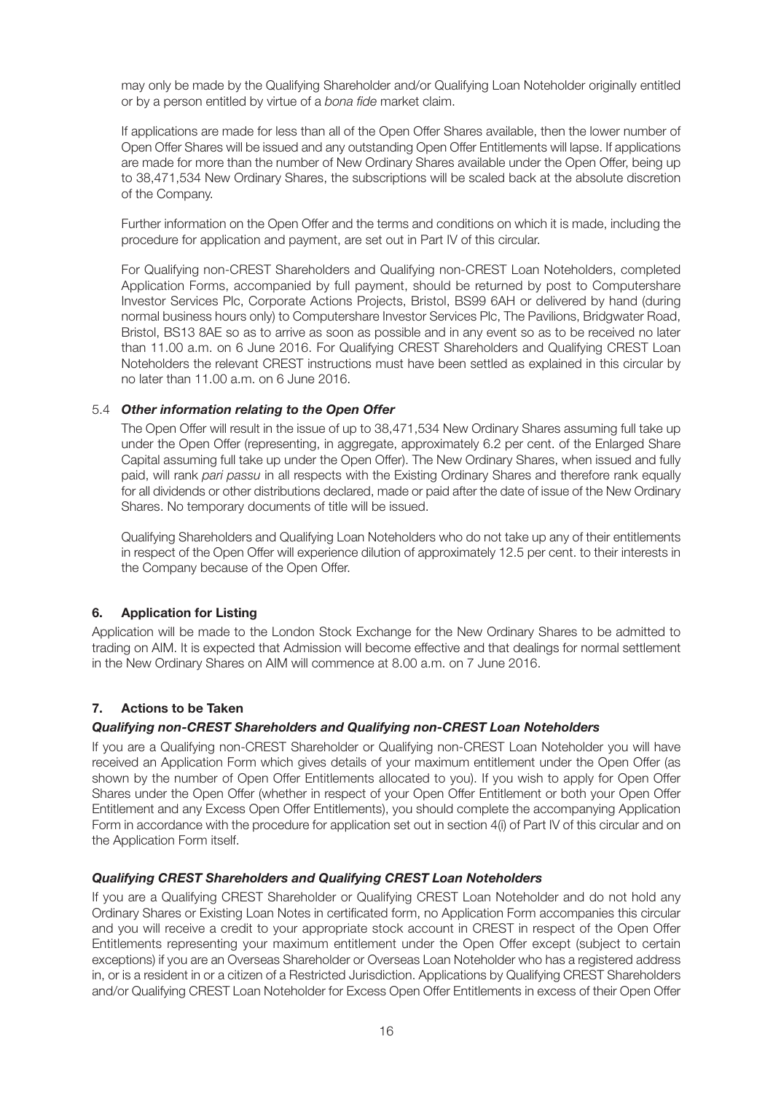may only be made by the Qualifying Shareholder and/or Qualifying Loan Noteholder originally entitled or by a person entitled by virtue of a *bona fide* market claim.

If applications are made for less than all of the Open Offer Shares available, then the lower number of Open Offer Shares will be issued and any outstanding Open Offer Entitlements will lapse. If applications are made for more than the number of New Ordinary Shares available under the Open Offer, being up to 38,471,534 New Ordinary Shares, the subscriptions will be scaled back at the absolute discretion of the Company.

Further information on the Open Offer and the terms and conditions on which it is made, including the procedure for application and payment, are set out in Part IV of this circular.

For Qualifying non-CREST Shareholders and Qualifying non-CREST Loan Noteholders, completed Application Forms, accompanied by full payment, should be returned by post to Computershare Investor Services Plc, Corporate Actions Projects, Bristol, BS99 6AH or delivered by hand (during normal business hours only) to Computershare Investor Services Plc, The Pavilions, Bridgwater Road, Bristol, BS13 8AE so as to arrive as soon as possible and in any event so as to be received no later than 11.00 a.m. on 6 June 2016. For Qualifying CREST Shareholders and Qualifying CREST Loan Noteholders the relevant CREST instructions must have been settled as explained in this circular by no later than 11.00 a.m. on 6 June 2016.

#### 5.4 *Other information relating to the Open Offer*

The Open Offer will result in the issue of up to 38,471,534 New Ordinary Shares assuming full take up under the Open Offer (representing, in aggregate, approximately 6.2 per cent. of the Enlarged Share Capital assuming full take up under the Open Offer). The New Ordinary Shares, when issued and fully paid, will rank *pari passu* in all respects with the Existing Ordinary Shares and therefore rank equally for all dividends or other distributions declared, made or paid after the date of issue of the New Ordinary Shares. No temporary documents of title will be issued.

Qualifying Shareholders and Qualifying Loan Noteholders who do not take up any of their entitlements in respect of the Open Offer will experience dilution of approximately 12.5 per cent. to their interests in the Company because of the Open Offer.

#### **6. Application for Listing**

Application will be made to the London Stock Exchange for the New Ordinary Shares to be admitted to trading on AIM. It is expected that Admission will become effective and that dealings for normal settlement in the New Ordinary Shares on AIM will commence at 8.00 a.m. on 7 June 2016.

#### **7. Actions to be Taken**

#### *Qualifying non-CREST Shareholders and Qualifying non-CREST Loan Noteholders*

If you are a Qualifying non-CREST Shareholder or Qualifying non-CREST Loan Noteholder you will have received an Application Form which gives details of your maximum entitlement under the Open Offer (as shown by the number of Open Offer Entitlements allocated to you). If you wish to apply for Open Offer Shares under the Open Offer (whether in respect of your Open Offer Entitlement or both your Open Offer Entitlement and any Excess Open Offer Entitlements), you should complete the accompanying Application Form in accordance with the procedure for application set out in section 4(i) of Part IV of this circular and on the Application Form itself.

#### *Qualifying CREST Shareholders and Qualifying CREST Loan Noteholders*

If you are a Qualifying CREST Shareholder or Qualifying CREST Loan Noteholder and do not hold any Ordinary Shares or Existing Loan Notes in certificated form, no Application Form accompanies this circular and you will receive a credit to your appropriate stock account in CREST in respect of the Open Offer Entitlements representing your maximum entitlement under the Open Offer except (subject to certain exceptions) if you are an Overseas Shareholder or Overseas Loan Noteholder who has a registered address in, or is a resident in or a citizen of a Restricted Jurisdiction. Applications by Qualifying CREST Shareholders and/or Qualifying CREST Loan Noteholder for Excess Open Offer Entitlements in excess of their Open Offer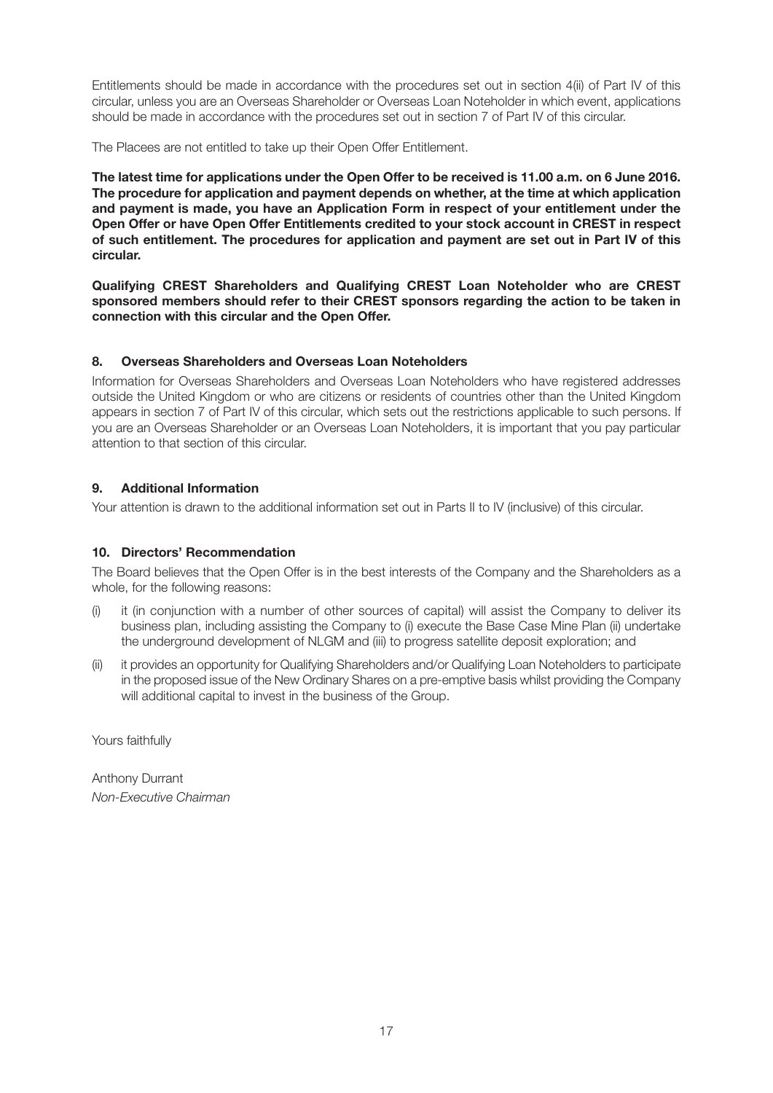Entitlements should be made in accordance with the procedures set out in section 4(ii) of Part IV of this circular, unless you are an Overseas Shareholder or Overseas Loan Noteholder in which event, applications should be made in accordance with the procedures set out in section 7 of Part IV of this circular.

The Placees are not entitled to take up their Open Offer Entitlement.

**The latest time for applications under the Open Offer to be received is 11.00 a.m. on 6 June 2016. The procedure for application and payment depends on whether, at the time at which application and payment is made, you have an Application Form in respect of your entitlement under the Open Offer or have Open Offer Entitlements credited to your stock account in CREST in respect of such entitlement. The procedures for application and payment are set out in Part IV of this circular.**

**Qualifying CREST Shareholders and Qualifying CREST Loan Noteholder who are CREST sponsored members should refer to their CREST sponsors regarding the action to be taken in connection with this circular and the Open Offer.**

#### **8. Overseas Shareholders and Overseas Loan Noteholders**

Information for Overseas Shareholders and Overseas Loan Noteholders who have registered addresses outside the United Kingdom or who are citizens or residents of countries other than the United Kingdom appears in section 7 of Part IV of this circular, which sets out the restrictions applicable to such persons. If you are an Overseas Shareholder or an Overseas Loan Noteholders, it is important that you pay particular attention to that section of this circular.

#### **9. Additional Information**

Your attention is drawn to the additional information set out in Parts II to IV (inclusive) of this circular.

#### **10. Directors' Recommendation**

The Board believes that the Open Offer is in the best interests of the Company and the Shareholders as a whole, for the following reasons:

- (i) it (in conjunction with a number of other sources of capital) will assist the Company to deliver its business plan, including assisting the Company to (i) execute the Base Case Mine Plan (ii) undertake the underground development of NLGM and (iii) to progress satellite deposit exploration; and
- (ii) it provides an opportunity for Qualifying Shareholders and/or Qualifying Loan Noteholders to participate in the proposed issue of the New Ordinary Shares on a pre-emptive basis whilst providing the Company will additional capital to invest in the business of the Group.

Yours faithfully

Anthony Durrant *Non-Executive Chairman*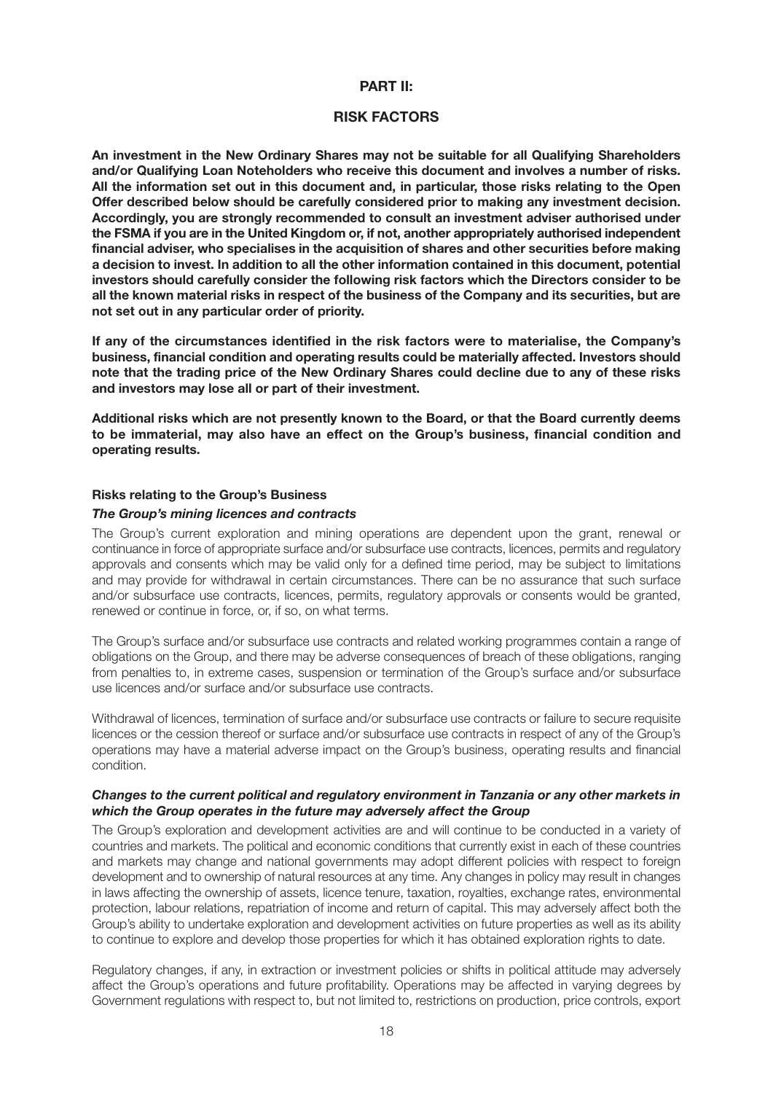#### **PART II:**

#### **RISK FACTORS**

**An investment in the New Ordinary Shares may not be suitable for all Qualifying Shareholders and/or Qualifying Loan Noteholders who receive this document and involves a number of risks. All the information set out in this document and, in particular, those risks relating to the Open Offer described below should be carefully considered prior to making any investment decision. Accordingly, you are strongly recommended to consult an investment adviser authorised under the FSMA if you are in the United Kingdom or, if not, another appropriately authorised independent financial adviser, who specialises in the acquisition of shares and other securities before making a decision to invest. In addition to all the other information contained in this document, potential investors should carefully consider the following risk factors which the Directors consider to be all the known material risks in respect of the business of the Company and its securities, but are not set out in any particular order of priority.**

**If any of the circumstances identified in the risk factors were to materialise, the Company's business, financial condition and operating results could be materially affected. Investors should note that the trading price of the New Ordinary Shares could decline due to any of these risks and investors may lose all or part of their investment.**

**Additional risks which are not presently known to the Board, or that the Board currently deems to be immaterial, may also have an effect on the Group's business, financial condition and operating results.**

#### **Risks relating to the Group's Business**

#### *The Group's mining licences and contracts*

The Group's current exploration and mining operations are dependent upon the grant, renewal or continuance in force of appropriate surface and/or subsurface use contracts, licences, permits and regulatory approvals and consents which may be valid only for a defined time period, may be subject to limitations and may provide for withdrawal in certain circumstances. There can be no assurance that such surface and/or subsurface use contracts, licences, permits, regulatory approvals or consents would be granted, renewed or continue in force, or, if so, on what terms.

The Group's surface and/or subsurface use contracts and related working programmes contain a range of obligations on the Group, and there may be adverse consequences of breach of these obligations, ranging from penalties to, in extreme cases, suspension or termination of the Group's surface and/or subsurface use licences and/or surface and/or subsurface use contracts.

Withdrawal of licences, termination of surface and/or subsurface use contracts or failure to secure requisite licences or the cession thereof or surface and/or subsurface use contracts in respect of any of the Group's operations may have a material adverse impact on the Group's business, operating results and financial condition.

#### *Changes to the current political and regulatory environment in Tanzania or any other markets in which the Group operates in the future may adversely affect the Group*

The Group's exploration and development activities are and will continue to be conducted in a variety of countries and markets. The political and economic conditions that currently exist in each of these countries and markets may change and national governments may adopt different policies with respect to foreign development and to ownership of natural resources at any time. Any changes in policy may result in changes in laws affecting the ownership of assets, licence tenure, taxation, royalties, exchange rates, environmental protection, labour relations, repatriation of income and return of capital. This may adversely affect both the Group's ability to undertake exploration and development activities on future properties as well as its ability to continue to explore and develop those properties for which it has obtained exploration rights to date.

Regulatory changes, if any, in extraction or investment policies or shifts in political attitude may adversely affect the Group's operations and future profitability. Operations may be affected in varying degrees by Government regulations with respect to, but not limited to, restrictions on production, price controls, export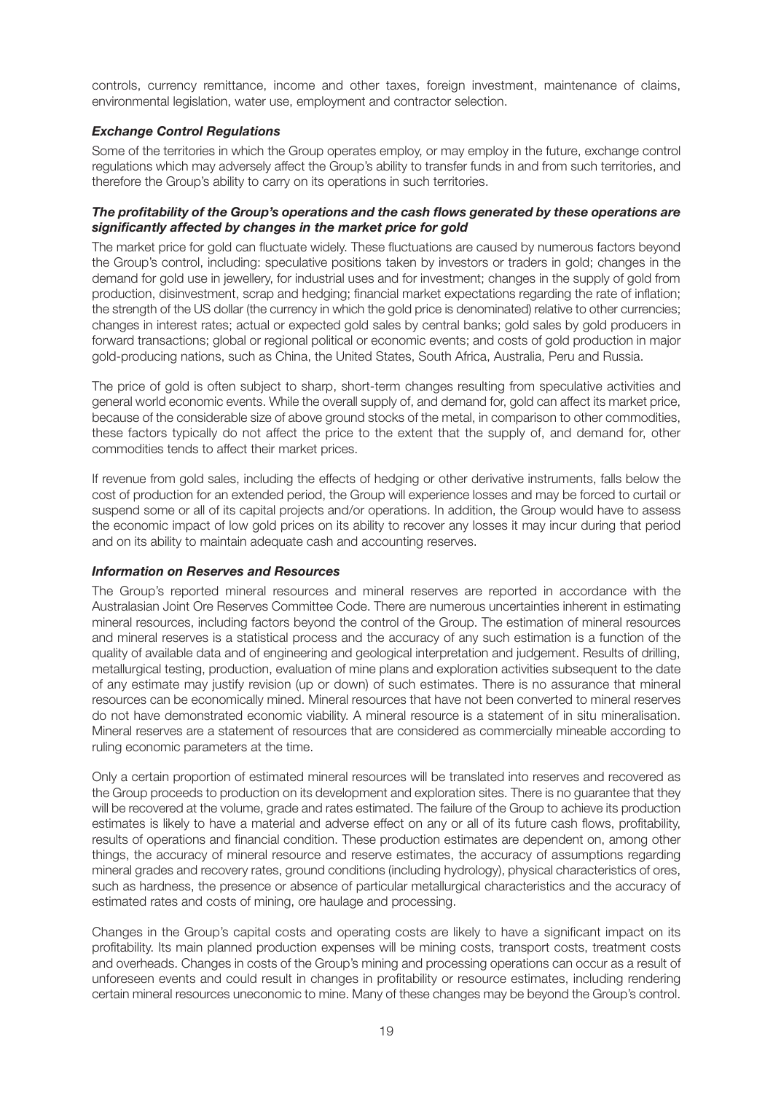controls, currency remittance, income and other taxes, foreign investment, maintenance of claims, environmental legislation, water use, employment and contractor selection.

#### *Exchange Control Regulations*

Some of the territories in which the Group operates employ, or may employ in the future, exchange control regulations which may adversely affect the Group's ability to transfer funds in and from such territories, and therefore the Group's ability to carry on its operations in such territories.

#### *The profitability of the Group's operations and the cash flows generated by these operations are significantly affected by changes in the market price for gold*

The market price for gold can fluctuate widely. These fluctuations are caused by numerous factors beyond the Group's control, including: speculative positions taken by investors or traders in gold; changes in the demand for gold use in jewellery, for industrial uses and for investment; changes in the supply of gold from production, disinvestment, scrap and hedging; financial market expectations regarding the rate of inflation; the strength of the US dollar (the currency in which the gold price is denominated) relative to other currencies; changes in interest rates; actual or expected gold sales by central banks; gold sales by gold producers in forward transactions; global or regional political or economic events; and costs of gold production in major gold-producing nations, such as China, the United States, South Africa, Australia, Peru and Russia.

The price of gold is often subject to sharp, short-term changes resulting from speculative activities and general world economic events. While the overall supply of, and demand for, gold can affect its market price, because of the considerable size of above ground stocks of the metal, in comparison to other commodities, these factors typically do not affect the price to the extent that the supply of, and demand for, other commodities tends to affect their market prices.

If revenue from gold sales, including the effects of hedging or other derivative instruments, falls below the cost of production for an extended period, the Group will experience losses and may be forced to curtail or suspend some or all of its capital projects and/or operations. In addition, the Group would have to assess the economic impact of low gold prices on its ability to recover any losses it may incur during that period and on its ability to maintain adequate cash and accounting reserves.

#### *Information on Reserves and Resources*

The Group's reported mineral resources and mineral reserves are reported in accordance with the Australasian Joint Ore Reserves Committee Code. There are numerous uncertainties inherent in estimating mineral resources, including factors beyond the control of the Group. The estimation of mineral resources and mineral reserves is a statistical process and the accuracy of any such estimation is a function of the quality of available data and of engineering and geological interpretation and judgement. Results of drilling, metallurgical testing, production, evaluation of mine plans and exploration activities subsequent to the date of any estimate may justify revision (up or down) of such estimates. There is no assurance that mineral resources can be economically mined. Mineral resources that have not been converted to mineral reserves do not have demonstrated economic viability. A mineral resource is a statement of in situ mineralisation. Mineral reserves are a statement of resources that are considered as commercially mineable according to ruling economic parameters at the time.

Only a certain proportion of estimated mineral resources will be translated into reserves and recovered as the Group proceeds to production on its development and exploration sites. There is no guarantee that they will be recovered at the volume, grade and rates estimated. The failure of the Group to achieve its production estimates is likely to have a material and adverse effect on any or all of its future cash flows, profitability, results of operations and financial condition. These production estimates are dependent on, among other things, the accuracy of mineral resource and reserve estimates, the accuracy of assumptions regarding mineral grades and recovery rates, ground conditions (including hydrology), physical characteristics of ores, such as hardness, the presence or absence of particular metallurgical characteristics and the accuracy of estimated rates and costs of mining, ore haulage and processing.

Changes in the Group's capital costs and operating costs are likely to have a significant impact on its profitability. Its main planned production expenses will be mining costs, transport costs, treatment costs and overheads. Changes in costs of the Group's mining and processing operations can occur as a result of unforeseen events and could result in changes in profitability or resource estimates, including rendering certain mineral resources uneconomic to mine. Many of these changes may be beyond the Group's control.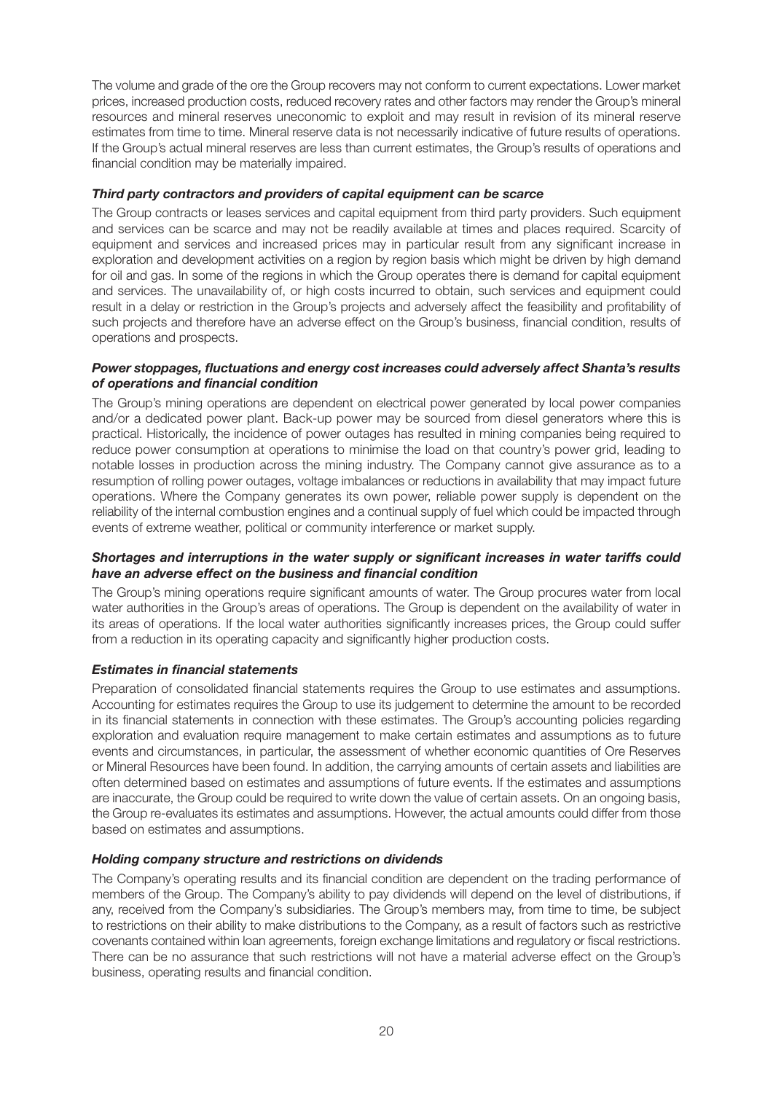The volume and grade of the ore the Group recovers may not conform to current expectations. Lower market prices, increased production costs, reduced recovery rates and other factors may render the Group's mineral resources and mineral reserves uneconomic to exploit and may result in revision of its mineral reserve estimates from time to time. Mineral reserve data is not necessarily indicative of future results of operations. If the Group's actual mineral reserves are less than current estimates, the Group's results of operations and financial condition may be materially impaired.

#### *Third party contractors and providers of capital equipment can be scarce*

The Group contracts or leases services and capital equipment from third party providers. Such equipment and services can be scarce and may not be readily available at times and places required. Scarcity of equipment and services and increased prices may in particular result from any significant increase in exploration and development activities on a region by region basis which might be driven by high demand for oil and gas. In some of the regions in which the Group operates there is demand for capital equipment and services. The unavailability of, or high costs incurred to obtain, such services and equipment could result in a delay or restriction in the Group's projects and adversely affect the feasibility and profitability of such projects and therefore have an adverse effect on the Group's business, financial condition, results of operations and prospects.

#### *Power stoppages, fluctuations and energy cost increases could adversely affect Shanta's results of operations and financial condition*

The Group's mining operations are dependent on electrical power generated by local power companies and/or a dedicated power plant. Back-up power may be sourced from diesel generators where this is practical. Historically, the incidence of power outages has resulted in mining companies being required to reduce power consumption at operations to minimise the load on that country's power grid, leading to notable losses in production across the mining industry. The Company cannot give assurance as to a resumption of rolling power outages, voltage imbalances or reductions in availability that may impact future operations. Where the Company generates its own power, reliable power supply is dependent on the reliability of the internal combustion engines and a continual supply of fuel which could be impacted through events of extreme weather, political or community interference or market supply.

#### *Shortages and interruptions in the water supply or significant increases in water tariffs could have an adverse effect on the business and financial condition*

The Group's mining operations require significant amounts of water. The Group procures water from local water authorities in the Group's areas of operations. The Group is dependent on the availability of water in its areas of operations. If the local water authorities significantly increases prices, the Group could suffer from a reduction in its operating capacity and significantly higher production costs.

#### *Estimates in financial statements*

Preparation of consolidated financial statements requires the Group to use estimates and assumptions. Accounting for estimates requires the Group to use its judgement to determine the amount to be recorded in its financial statements in connection with these estimates. The Group's accounting policies regarding exploration and evaluation require management to make certain estimates and assumptions as to future events and circumstances, in particular, the assessment of whether economic quantities of Ore Reserves or Mineral Resources have been found. In addition, the carrying amounts of certain assets and liabilities are often determined based on estimates and assumptions of future events. If the estimates and assumptions are inaccurate, the Group could be required to write down the value of certain assets. On an ongoing basis, the Group re-evaluates its estimates and assumptions. However, the actual amounts could differ from those based on estimates and assumptions.

#### *Holding company structure and restrictions on dividends*

The Company's operating results and its financial condition are dependent on the trading performance of members of the Group. The Company's ability to pay dividends will depend on the level of distributions, if any, received from the Company's subsidiaries. The Group's members may, from time to time, be subject to restrictions on their ability to make distributions to the Company, as a result of factors such as restrictive covenants contained within loan agreements, foreign exchange limitations and regulatory or fiscal restrictions. There can be no assurance that such restrictions will not have a material adverse effect on the Group's business, operating results and financial condition.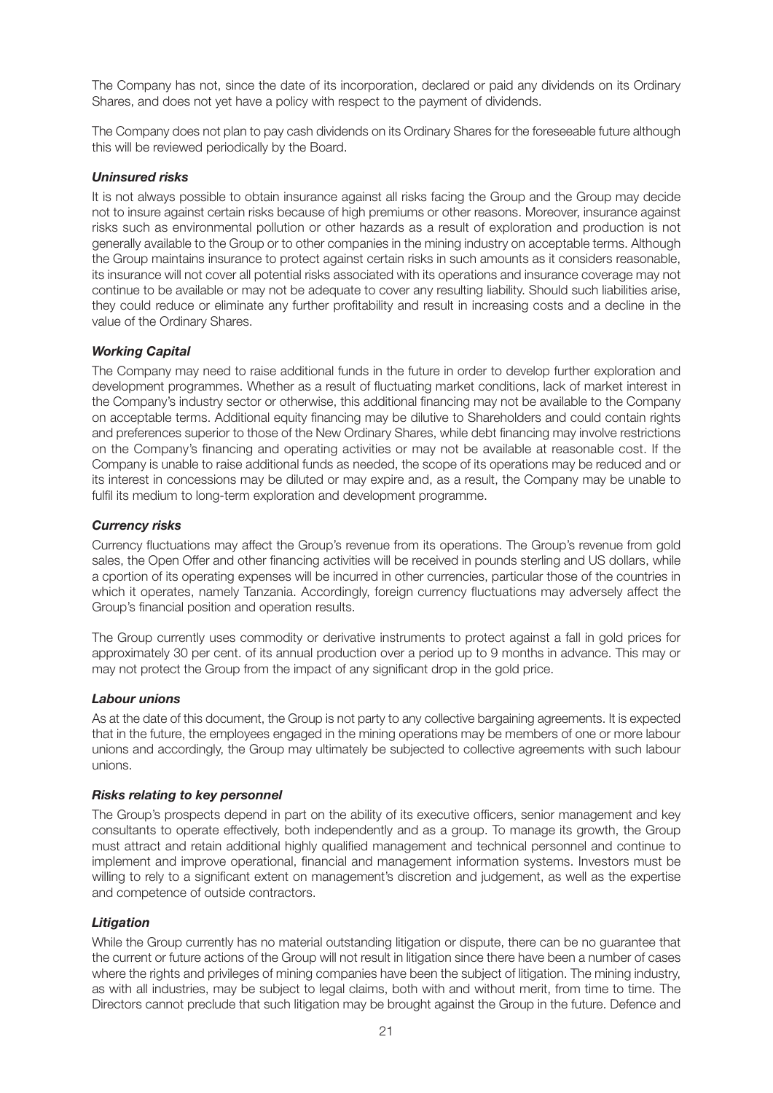The Company has not, since the date of its incorporation, declared or paid any dividends on its Ordinary Shares, and does not yet have a policy with respect to the payment of dividends.

The Company does not plan to pay cash dividends on its Ordinary Shares for the foreseeable future although this will be reviewed periodically by the Board.

#### *Uninsured risks*

It is not always possible to obtain insurance against all risks facing the Group and the Group may decide not to insure against certain risks because of high premiums or other reasons. Moreover, insurance against risks such as environmental pollution or other hazards as a result of exploration and production is not generally available to the Group or to other companies in the mining industry on acceptable terms. Although the Group maintains insurance to protect against certain risks in such amounts as it considers reasonable, its insurance will not cover all potential risks associated with its operations and insurance coverage may not continue to be available or may not be adequate to cover any resulting liability. Should such liabilities arise, they could reduce or eliminate any further profitability and result in increasing costs and a decline in the value of the Ordinary Shares.

#### *Working Capital*

The Company may need to raise additional funds in the future in order to develop further exploration and development programmes. Whether as a result of fluctuating market conditions, lack of market interest in the Company's industry sector or otherwise, this additional financing may not be available to the Company on acceptable terms. Additional equity financing may be dilutive to Shareholders and could contain rights and preferences superior to those of the New Ordinary Shares, while debt financing may involve restrictions on the Company's financing and operating activities or may not be available at reasonable cost. If the Company is unable to raise additional funds as needed, the scope of its operations may be reduced and or its interest in concessions may be diluted or may expire and, as a result, the Company may be unable to fulfil its medium to long-term exploration and development programme.

#### *Currency risks*

Currency fluctuations may affect the Group's revenue from its operations. The Group's revenue from gold sales, the Open Offer and other financing activities will be received in pounds sterling and US dollars, while a cportion of its operating expenses will be incurred in other currencies, particular those of the countries in which it operates, namely Tanzania. Accordingly, foreign currency fluctuations may adversely affect the Group's financial position and operation results.

The Group currently uses commodity or derivative instruments to protect against a fall in gold prices for approximately 30 per cent. of its annual production over a period up to 9 months in advance. This may or may not protect the Group from the impact of any significant drop in the gold price.

#### *Labour unions*

As at the date of this document, the Group is not party to any collective bargaining agreements. It is expected that in the future, the employees engaged in the mining operations may be members of one or more labour unions and accordingly, the Group may ultimately be subjected to collective agreements with such labour unions.

#### *Risks relating to key personnel*

The Group's prospects depend in part on the ability of its executive officers, senior management and key consultants to operate effectively, both independently and as a group. To manage its growth, the Group must attract and retain additional highly qualified management and technical personnel and continue to implement and improve operational, financial and management information systems. Investors must be willing to rely to a significant extent on management's discretion and judgement, as well as the expertise and competence of outside contractors.

#### *Litigation*

While the Group currently has no material outstanding litigation or dispute, there can be no guarantee that the current or future actions of the Group will not result in litigation since there have been a number of cases where the rights and privileges of mining companies have been the subject of litigation. The mining industry, as with all industries, may be subject to legal claims, both with and without merit, from time to time. The Directors cannot preclude that such litigation may be brought against the Group in the future. Defence and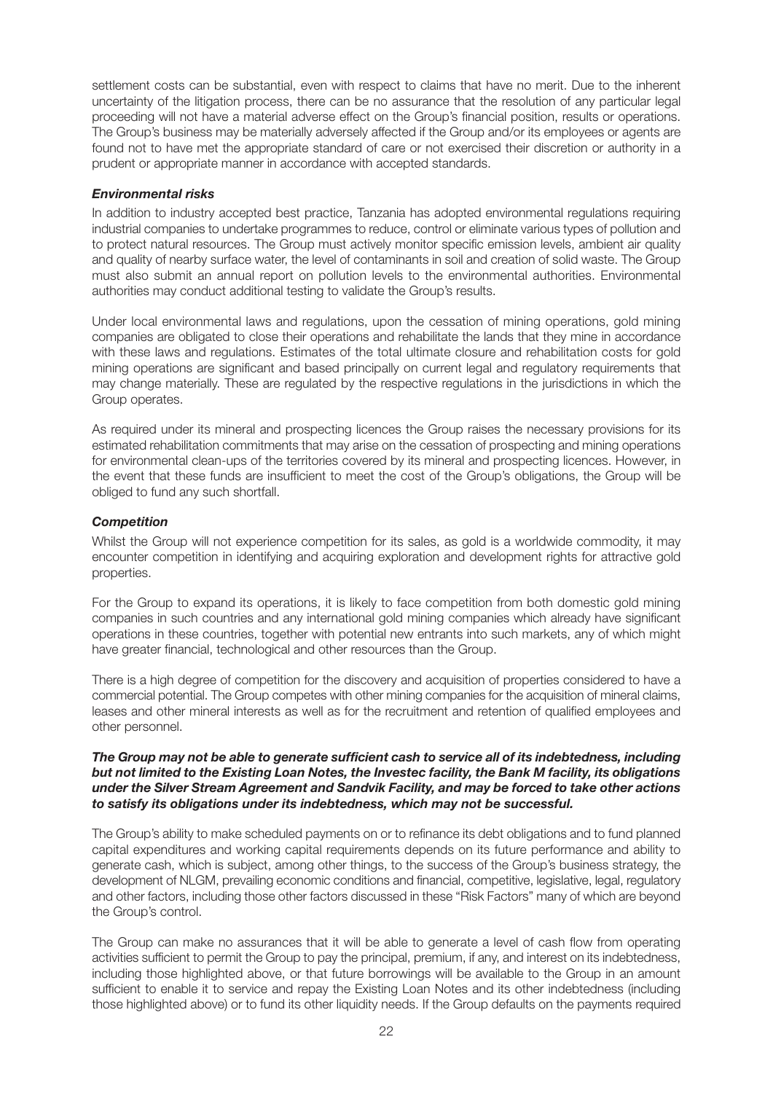settlement costs can be substantial, even with respect to claims that have no merit. Due to the inherent uncertainty of the litigation process, there can be no assurance that the resolution of any particular legal proceeding will not have a material adverse effect on the Group's financial position, results or operations. The Group's business may be materially adversely affected if the Group and/or its employees or agents are found not to have met the appropriate standard of care or not exercised their discretion or authority in a prudent or appropriate manner in accordance with accepted standards.

#### *Environmental risks*

In addition to industry accepted best practice, Tanzania has adopted environmental regulations requiring industrial companies to undertake programmes to reduce, control or eliminate various types of pollution and to protect natural resources. The Group must actively monitor specific emission levels, ambient air quality and quality of nearby surface water, the level of contaminants in soil and creation of solid waste. The Group must also submit an annual report on pollution levels to the environmental authorities. Environmental authorities may conduct additional testing to validate the Group's results.

Under local environmental laws and regulations, upon the cessation of mining operations, gold mining companies are obligated to close their operations and rehabilitate the lands that they mine in accordance with these laws and regulations. Estimates of the total ultimate closure and rehabilitation costs for gold mining operations are significant and based principally on current legal and regulatory requirements that may change materially. These are regulated by the respective regulations in the jurisdictions in which the Group operates.

As required under its mineral and prospecting licences the Group raises the necessary provisions for its estimated rehabilitation commitments that may arise on the cessation of prospecting and mining operations for environmental clean-ups of the territories covered by its mineral and prospecting licences. However, in the event that these funds are insufficient to meet the cost of the Group's obligations, the Group will be obliged to fund any such shortfall.

#### *Competition*

Whilst the Group will not experience competition for its sales, as gold is a worldwide commodity, it may encounter competition in identifying and acquiring exploration and development rights for attractive gold properties.

For the Group to expand its operations, it is likely to face competition from both domestic gold mining companies in such countries and any international gold mining companies which already have significant operations in these countries, together with potential new entrants into such markets, any of which might have greater financial, technological and other resources than the Group.

There is a high degree of competition for the discovery and acquisition of properties considered to have a commercial potential. The Group competes with other mining companies for the acquisition of mineral claims, leases and other mineral interests as well as for the recruitment and retention of qualified employees and other personnel.

#### *The Group may not be able to generate sufficient cash to service all of its indebtedness, including but not limited to the Existing Loan Notes, the Investec facility, the Bank M facility, its obligations under the Silver Stream Agreement and Sandvik Facility, and may be forced to take other actions to satisfy its obligations under its indebtedness, which may not be successful.*

The Group's ability to make scheduled payments on or to refinance its debt obligations and to fund planned capital expenditures and working capital requirements depends on its future performance and ability to generate cash, which is subject, among other things, to the success of the Group's business strategy, the development of NLGM, prevailing economic conditions and financial, competitive, legislative, legal, regulatory and other factors, including those other factors discussed in these "Risk Factors" many of which are beyond the Group's control.

The Group can make no assurances that it will be able to generate a level of cash flow from operating activities sufficient to permit the Group to pay the principal, premium, if any, and interest on its indebtedness, including those highlighted above, or that future borrowings will be available to the Group in an amount sufficient to enable it to service and repay the Existing Loan Notes and its other indebtedness (including those highlighted above) or to fund its other liquidity needs. If the Group defaults on the payments required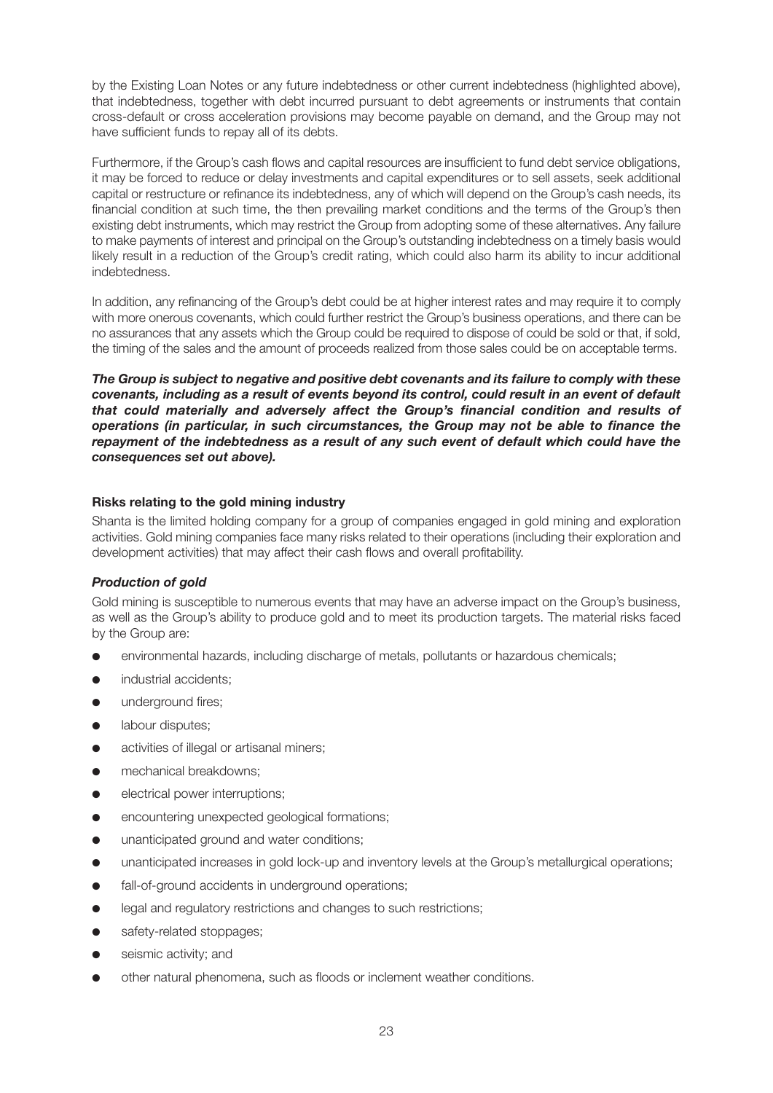by the Existing Loan Notes or any future indebtedness or other current indebtedness (highlighted above), that indebtedness, together with debt incurred pursuant to debt agreements or instruments that contain cross-default or cross acceleration provisions may become payable on demand, and the Group may not have sufficient funds to repay all of its debts.

Furthermore, if the Group's cash flows and capital resources are insufficient to fund debt service obligations, it may be forced to reduce or delay investments and capital expenditures or to sell assets, seek additional capital or restructure or refinance its indebtedness, any of which will depend on the Group's cash needs, its financial condition at such time, the then prevailing market conditions and the terms of the Group's then existing debt instruments, which may restrict the Group from adopting some of these alternatives. Any failure to make payments of interest and principal on the Group's outstanding indebtedness on a timely basis would likely result in a reduction of the Group's credit rating, which could also harm its ability to incur additional indebtedness.

In addition, any refinancing of the Group's debt could be at higher interest rates and may require it to comply with more onerous covenants, which could further restrict the Group's business operations, and there can be no assurances that any assets which the Group could be required to dispose of could be sold or that, if sold, the timing of the sales and the amount of proceeds realized from those sales could be on acceptable terms.

*The Group is subject to negative and positive debt covenants and its failure to comply with these covenants, including as a result of events beyond its control, could result in an event of default that could materially and adversely affect the Group's financial condition and results of operations (in particular, in such circumstances, the Group may not be able to finance the repayment of the indebtedness as a result of any such event of default which could have the consequences set out above).*

#### **Risks relating to the gold mining industry**

Shanta is the limited holding company for a group of companies engaged in gold mining and exploration activities. Gold mining companies face many risks related to their operations (including their exploration and development activities) that may affect their cash flows and overall profitability.

#### *Production of gold*

Gold mining is susceptible to numerous events that may have an adverse impact on the Group's business, as well as the Group's ability to produce gold and to meet its production targets. The material risks faced by the Group are:

- environmental hazards, including discharge of metals, pollutants or hazardous chemicals;
- industrial accidents;
- **•** underground fires;
- **•** labour disputes:
- activities of illegal or artisanal miners:
- **•** mechanical breakdowns;
- electrical power interruptions;
- encountering unexpected geological formations;
- unanticipated ground and water conditions:
- unanticipated increases in gold lock-up and inventory levels at the Group's metallurgical operations;
- fall-of-ground accidents in underground operations;
- legal and regulatory restrictions and changes to such restrictions;
- safety-related stoppages;
- seismic activity; and
- other natural phenomena, such as floods or inclement weather conditions.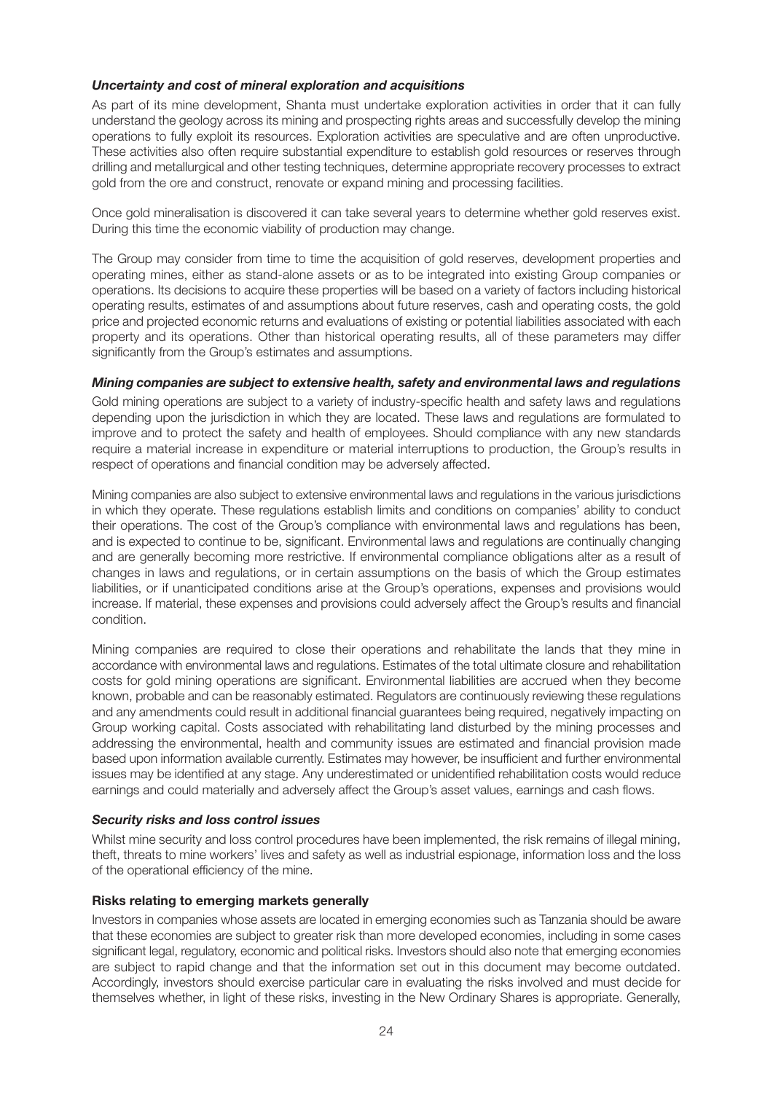#### *Uncertainty and cost of mineral exploration and acquisitions*

As part of its mine development, Shanta must undertake exploration activities in order that it can fully understand the geology across its mining and prospecting rights areas and successfully develop the mining operations to fully exploit its resources. Exploration activities are speculative and are often unproductive. These activities also often require substantial expenditure to establish gold resources or reserves through drilling and metallurgical and other testing techniques, determine appropriate recovery processes to extract gold from the ore and construct, renovate or expand mining and processing facilities.

Once gold mineralisation is discovered it can take several years to determine whether gold reserves exist. During this time the economic viability of production may change.

The Group may consider from time to time the acquisition of gold reserves, development properties and operating mines, either as stand-alone assets or as to be integrated into existing Group companies or operations. Its decisions to acquire these properties will be based on a variety of factors including historical operating results, estimates of and assumptions about future reserves, cash and operating costs, the gold price and projected economic returns and evaluations of existing or potential liabilities associated with each property and its operations. Other than historical operating results, all of these parameters may differ significantly from the Group's estimates and assumptions.

#### *Mining companies are subject to extensive health, safety and environmental laws and regulations*

Gold mining operations are subject to a variety of industry-specific health and safety laws and regulations depending upon the jurisdiction in which they are located. These laws and regulations are formulated to improve and to protect the safety and health of employees. Should compliance with any new standards require a material increase in expenditure or material interruptions to production, the Group's results in respect of operations and financial condition may be adversely affected.

Mining companies are also subject to extensive environmental laws and regulations in the various jurisdictions in which they operate. These regulations establish limits and conditions on companies' ability to conduct their operations. The cost of the Group's compliance with environmental laws and regulations has been, and is expected to continue to be, significant. Environmental laws and regulations are continually changing and are generally becoming more restrictive. If environmental compliance obligations alter as a result of changes in laws and regulations, or in certain assumptions on the basis of which the Group estimates liabilities, or if unanticipated conditions arise at the Group's operations, expenses and provisions would increase. If material, these expenses and provisions could adversely affect the Group's results and financial condition.

Mining companies are required to close their operations and rehabilitate the lands that they mine in accordance with environmental laws and regulations. Estimates of the total ultimate closure and rehabilitation costs for gold mining operations are significant. Environmental liabilities are accrued when they become known, probable and can be reasonably estimated. Regulators are continuously reviewing these regulations and any amendments could result in additional financial guarantees being required, negatively impacting on Group working capital. Costs associated with rehabilitating land disturbed by the mining processes and addressing the environmental, health and community issues are estimated and financial provision made based upon information available currently. Estimates may however, be insufficient and further environmental issues may be identified at any stage. Any underestimated or unidentified rehabilitation costs would reduce earnings and could materially and adversely affect the Group's asset values, earnings and cash flows.

#### *Security risks and loss control issues*

Whilst mine security and loss control procedures have been implemented, the risk remains of illegal mining, theft, threats to mine workers' lives and safety as well as industrial espionage, information loss and the loss of the operational efficiency of the mine.

#### **Risks relating to emerging markets generally**

Investors in companies whose assets are located in emerging economies such as Tanzania should be aware that these economies are subject to greater risk than more developed economies, including in some cases significant legal, regulatory, economic and political risks. Investors should also note that emerging economies are subject to rapid change and that the information set out in this document may become outdated. Accordingly, investors should exercise particular care in evaluating the risks involved and must decide for themselves whether, in light of these risks, investing in the New Ordinary Shares is appropriate. Generally,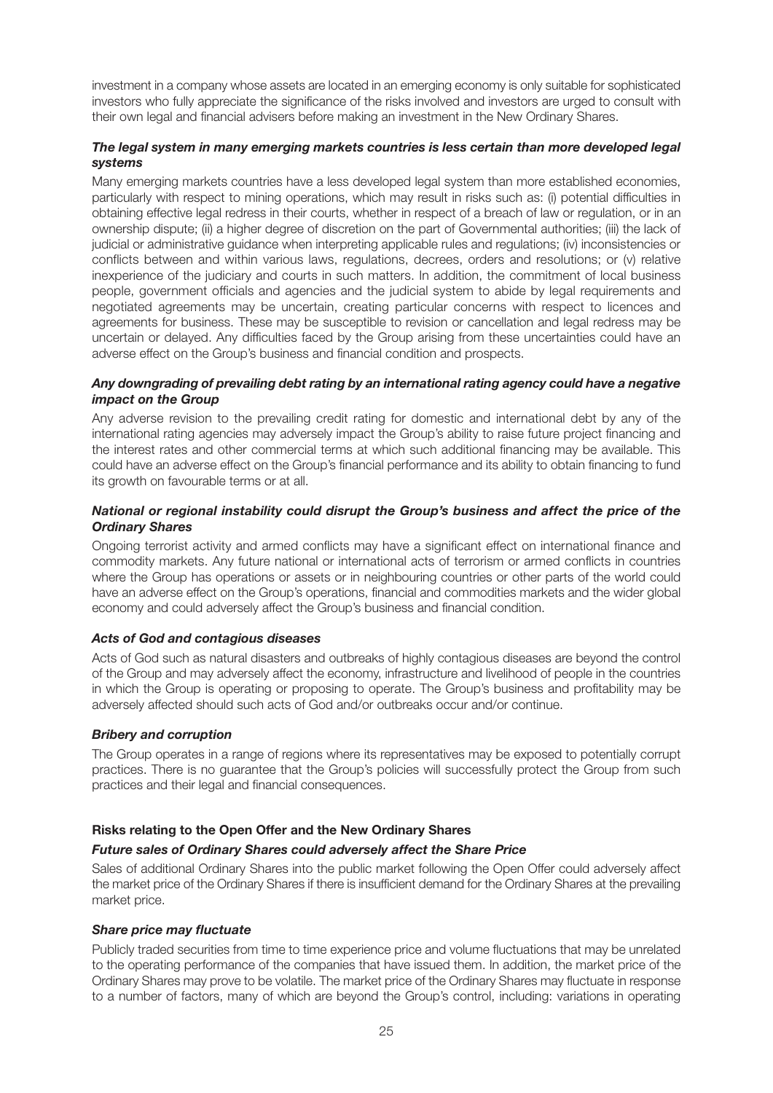investment in a company whose assets are located in an emerging economy is only suitable for sophisticated investors who fully appreciate the significance of the risks involved and investors are urged to consult with their own legal and financial advisers before making an investment in the New Ordinary Shares.

#### *The legal system in many emerging markets countries is less certain than more developed legal systems*

Many emerging markets countries have a less developed legal system than more established economies, particularly with respect to mining operations, which may result in risks such as: (i) potential difficulties in obtaining effective legal redress in their courts, whether in respect of a breach of law or regulation, or in an ownership dispute; (ii) a higher degree of discretion on the part of Governmental authorities; (iii) the lack of judicial or administrative guidance when interpreting applicable rules and regulations; (iv) inconsistencies or conflicts between and within various laws, regulations, decrees, orders and resolutions; or (v) relative inexperience of the judiciary and courts in such matters. In addition, the commitment of local business people, government officials and agencies and the judicial system to abide by legal requirements and negotiated agreements may be uncertain, creating particular concerns with respect to licences and agreements for business. These may be susceptible to revision or cancellation and legal redress may be uncertain or delayed. Any difficulties faced by the Group arising from these uncertainties could have an adverse effect on the Group's business and financial condition and prospects.

#### *Any downgrading of prevailing debt rating by an international rating agency could have a negative impact on the Group*

Any adverse revision to the prevailing credit rating for domestic and international debt by any of the international rating agencies may adversely impact the Group's ability to raise future project financing and the interest rates and other commercial terms at which such additional financing may be available. This could have an adverse effect on the Group's financial performance and its ability to obtain financing to fund its growth on favourable terms or at all.

#### *National or regional instability could disrupt the Group's business and affect the price of the Ordinary Shares*

Ongoing terrorist activity and armed conflicts may have a significant effect on international finance and commodity markets. Any future national or international acts of terrorism or armed conflicts in countries where the Group has operations or assets or in neighbouring countries or other parts of the world could have an adverse effect on the Group's operations, financial and commodities markets and the wider global economy and could adversely affect the Group's business and financial condition.

#### *Acts of God and contagious diseases*

Acts of God such as natural disasters and outbreaks of highly contagious diseases are beyond the control of the Group and may adversely affect the economy, infrastructure and livelihood of people in the countries in which the Group is operating or proposing to operate. The Group's business and profitability may be adversely affected should such acts of God and/or outbreaks occur and/or continue.

#### *Bribery and corruption*

The Group operates in a range of regions where its representatives may be exposed to potentially corrupt practices. There is no guarantee that the Group's policies will successfully protect the Group from such practices and their legal and financial consequences.

#### **Risks relating to the Open Offer and the New Ordinary Shares**

#### *Future sales of Ordinary Shares could adversely affect the Share Price*

Sales of additional Ordinary Shares into the public market following the Open Offer could adversely affect the market price of the Ordinary Shares if there is insufficient demand for the Ordinary Shares at the prevailing market price.

#### *Share price may fluctuate*

Publicly traded securities from time to time experience price and volume fluctuations that may be unrelated to the operating performance of the companies that have issued them. In addition, the market price of the Ordinary Shares may prove to be volatile. The market price of the Ordinary Shares may fluctuate in response to a number of factors, many of which are beyond the Group's control, including: variations in operating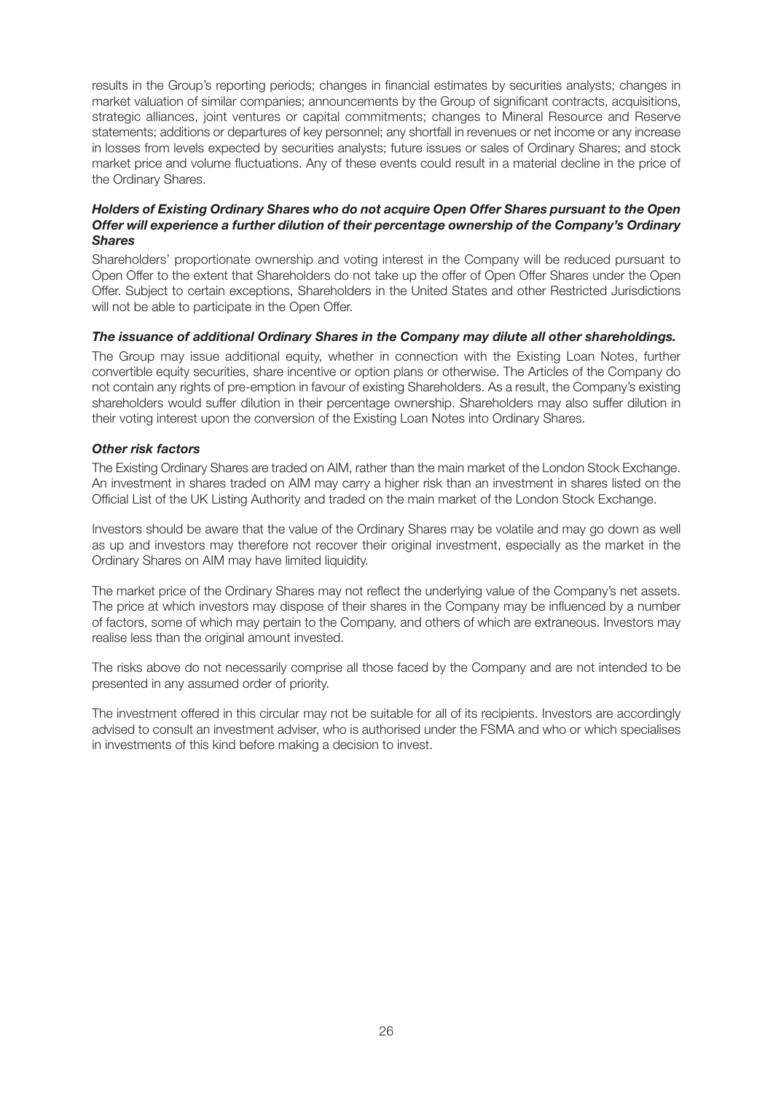results in the Group's reporting periods; changes in financial estimates by securities analysts; changes in market valuation of similar companies; announcements by the Group of significant contracts, acquisitions, strategic alliances, joint ventures or capital commitments; changes to Mineral Resource and Reserve statements; additions or departures of key personnel; any shortfall in revenues or net income or any increase in losses from levels expected by securities analysts; future issues or sales of Ordinary Shares; and stock market price and volume fluctuations. Any of these events could result in a material decline in the price of the Ordinary Shares.

#### *Holders of Existing Ordinary Shares who do not acquire Open Offer Shares pursuant to the Open Offer will experience a further dilution of their percentage ownership of the Company's Ordinary Shares*

Shareholders' proportionate ownership and voting interest in the Company will be reduced pursuant to Open Offer to the extent that Shareholders do not take up the offer of Open Offer Shares under the Open Offer. Subject to certain exceptions, Shareholders in the United States and other Restricted Jurisdictions will not be able to participate in the Open Offer.

#### *The issuance of additional Ordinary Shares in the Company may dilute all other shareholdings.*

The Group may issue additional equity, whether in connection with the Existing Loan Notes, further convertible equity securities, share incentive or option plans or otherwise. The Articles of the Company do not contain any rights of pre-emption in favour of existing Shareholders. As a result, the Company's existing shareholders would suffer dilution in their percentage ownership. Shareholders may also suffer dilution in their voting interest upon the conversion of the Existing Loan Notes into Ordinary Shares.

#### *Other risk factors*

The Existing Ordinary Shares are traded on AIM, rather than the main market of the London Stock Exchange. An investment in shares traded on AIM may carry a higher risk than an investment in shares listed on the Official List of the UK Listing Authority and traded on the main market of the London Stock Exchange.

Investors should be aware that the value of the Ordinary Shares may be volatile and may go down as well as up and investors may therefore not recover their original investment, especially as the market in the Ordinary Shares on AIM may have limited liquidity.

The market price of the Ordinary Shares may not reflect the underlying value of the Company's net assets. The price at which investors may dispose of their shares in the Company may be influenced by a number of factors, some of which may pertain to the Company, and others of which are extraneous. Investors may realise less than the original amount invested.

The risks above do not necessarily comprise all those faced by the Company and are not intended to be presented in any assumed order of priority.

The investment offered in this circular may not be suitable for all of its recipients. Investors are accordingly advised to consult an investment adviser, who is authorised under the FSMA and who or which specialises in investments of this kind before making a decision to invest.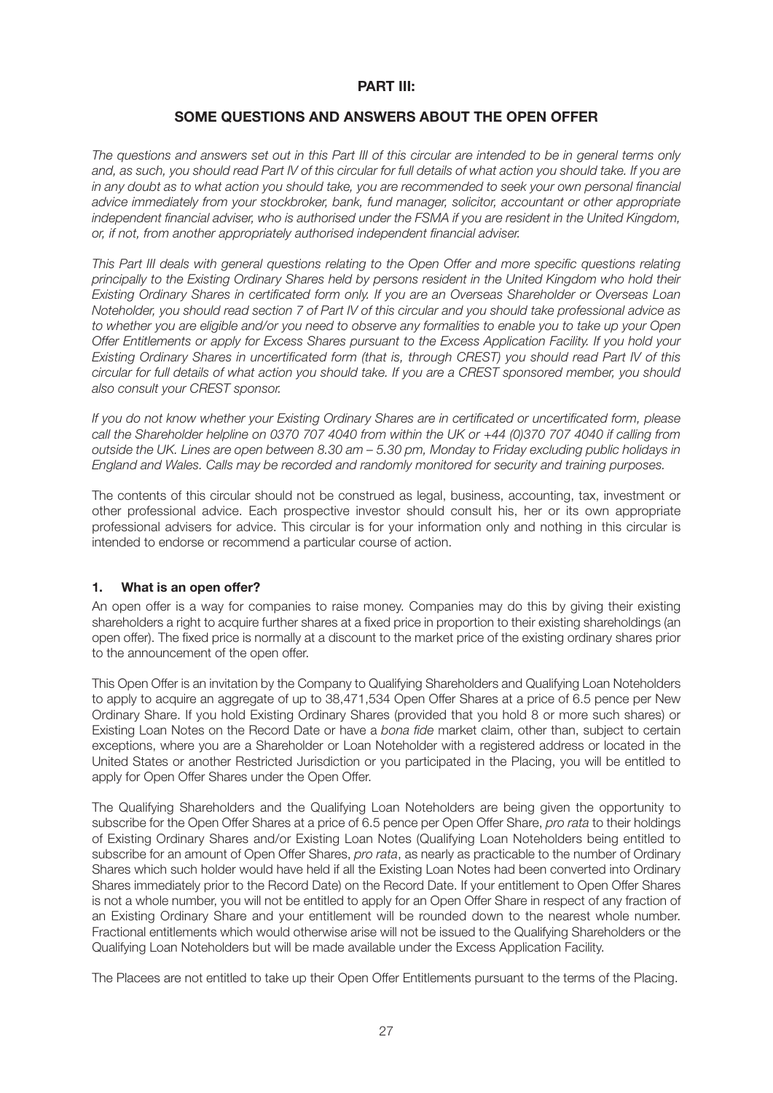#### **PART III:**

#### **SOME QUESTIONS AND ANSWERS ABOUT THE OPEN OFFER**

*The questions and answers set out in this Part III of this circular are intended to be in general terms only and, as such, you should read Part IV of this circular for full details of what action you should take. If you are in any doubt as to what action you should take, you are recommended to seek your own personal financial advice immediately from your stockbroker, bank, fund manager, solicitor, accountant or other appropriate independent financial adviser, who is authorised under the FSMA if you are resident in the United Kingdom, or, if not, from another appropriately authorised independent financial adviser.*

*This Part III deals with general questions relating to the Open Offer and more specific questions relating principally to the Existing Ordinary Shares held by persons resident in the United Kingdom who hold their Existing Ordinary Shares in certificated form only. If you are an Overseas Shareholder or Overseas Loan Noteholder, you should read section 7 of Part IV of this circular and you should take professional advice as to whether you are eligible and/or you need to observe any formalities to enable you to take up your Open Offer Entitlements or apply for Excess Shares pursuant to the Excess Application Facility. If you hold your Existing Ordinary Shares in uncertificated form (that is, through CREST) you should read Part IV of this circular for full details of what action you should take. If you are a CREST sponsored member, you should also consult your CREST sponsor.*

*If you do not know whether your Existing Ordinary Shares are in certificated or uncertificated form, please call the Shareholder helpline on 0370 707 4040 from within the UK or +44 (0)370 707 4040 if calling from outside the UK. Lines are open between 8.30 am – 5.30 pm, Monday to Friday excluding public holidays in England and Wales. Calls may be recorded and randomly monitored for security and training purposes.*

The contents of this circular should not be construed as legal, business, accounting, tax, investment or other professional advice. Each prospective investor should consult his, her or its own appropriate professional advisers for advice. This circular is for your information only and nothing in this circular is intended to endorse or recommend a particular course of action.

#### **1. What is an open offer?**

An open offer is a way for companies to raise money. Companies may do this by giving their existing shareholders a right to acquire further shares at a fixed price in proportion to their existing shareholdings (an open offer). The fixed price is normally at a discount to the market price of the existing ordinary shares prior to the announcement of the open offer.

This Open Offer is an invitation by the Company to Qualifying Shareholders and Qualifying Loan Noteholders to apply to acquire an aggregate of up to 38,471,534 Open Offer Shares at a price of 6.5 pence per New Ordinary Share. If you hold Existing Ordinary Shares (provided that you hold 8 or more such shares) or Existing Loan Notes on the Record Date or have a *bona fide* market claim, other than, subject to certain exceptions, where you are a Shareholder or Loan Noteholder with a registered address or located in the United States or another Restricted Jurisdiction or you participated in the Placing, you will be entitled to apply for Open Offer Shares under the Open Offer.

The Qualifying Shareholders and the Qualifying Loan Noteholders are being given the opportunity to subscribe for the Open Offer Shares at a price of 6.5 pence per Open Offer Share, *pro rata* to their holdings of Existing Ordinary Shares and/or Existing Loan Notes (Qualifying Loan Noteholders being entitled to subscribe for an amount of Open Offer Shares, *pro rata*, as nearly as practicable to the number of Ordinary Shares which such holder would have held if all the Existing Loan Notes had been converted into Ordinary Shares immediately prior to the Record Date) on the Record Date. If your entitlement to Open Offer Shares is not a whole number, you will not be entitled to apply for an Open Offer Share in respect of any fraction of an Existing Ordinary Share and your entitlement will be rounded down to the nearest whole number. Fractional entitlements which would otherwise arise will not be issued to the Qualifying Shareholders or the Qualifying Loan Noteholders but will be made available under the Excess Application Facility.

The Placees are not entitled to take up their Open Offer Entitlements pursuant to the terms of the Placing.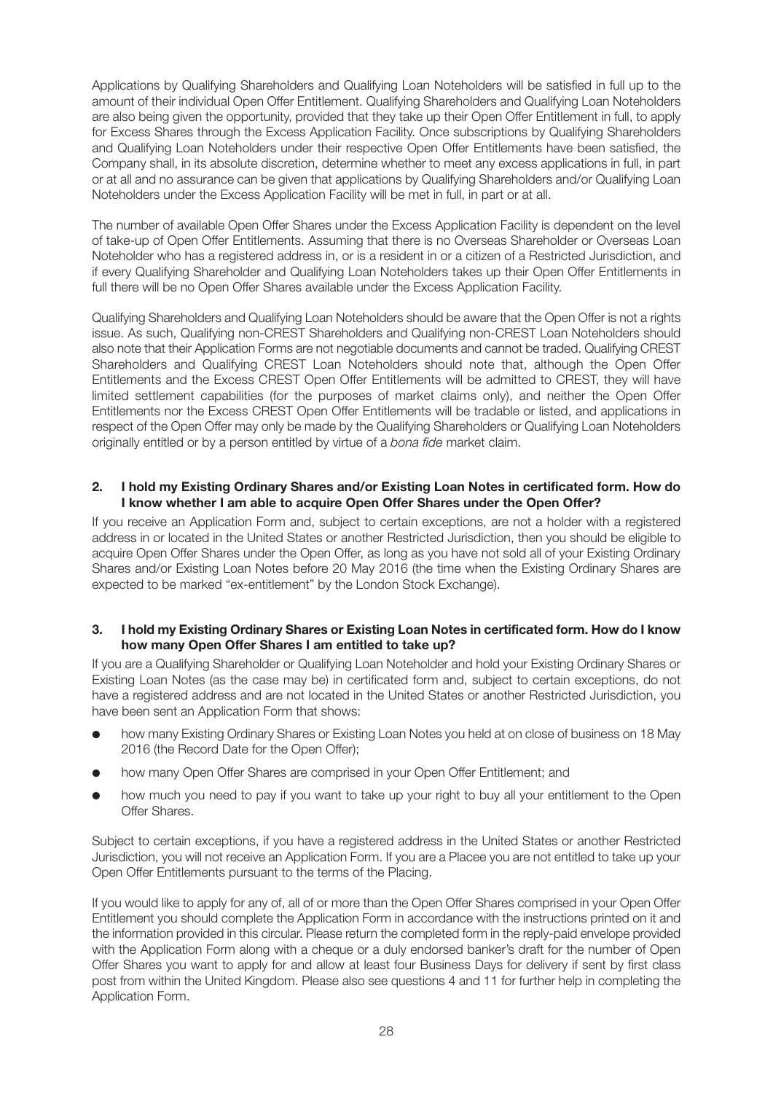Applications by Qualifying Shareholders and Qualifying Loan Noteholders will be satisfied in full up to the amount of their individual Open Offer Entitlement. Qualifying Shareholders and Qualifying Loan Noteholders are also being given the opportunity, provided that they take up their Open Offer Entitlement in full, to apply for Excess Shares through the Excess Application Facility. Once subscriptions by Qualifying Shareholders and Qualifying Loan Noteholders under their respective Open Offer Entitlements have been satisfied, the Company shall, in its absolute discretion, determine whether to meet any excess applications in full, in part or at all and no assurance can be given that applications by Qualifying Shareholders and/or Qualifying Loan Noteholders under the Excess Application Facility will be met in full, in part or at all.

The number of available Open Offer Shares under the Excess Application Facility is dependent on the level of take-up of Open Offer Entitlements. Assuming that there is no Overseas Shareholder or Overseas Loan Noteholder who has a registered address in, or is a resident in or a citizen of a Restricted Jurisdiction, and if every Qualifying Shareholder and Qualifying Loan Noteholders takes up their Open Offer Entitlements in full there will be no Open Offer Shares available under the Excess Application Facility.

Qualifying Shareholders and Qualifying Loan Noteholders should be aware that the Open Offer is not a rights issue. As such, Qualifying non-CREST Shareholders and Qualifying non-CREST Loan Noteholders should also note that their Application Forms are not negotiable documents and cannot be traded. Qualifying CREST Shareholders and Qualifying CREST Loan Noteholders should note that, although the Open Offer Entitlements and the Excess CREST Open Offer Entitlements will be admitted to CREST, they will have limited settlement capabilities (for the purposes of market claims only), and neither the Open Offer Entitlements nor the Excess CREST Open Offer Entitlements will be tradable or listed, and applications in respect of the Open Offer may only be made by the Qualifying Shareholders or Qualifying Loan Noteholders originally entitled or by a person entitled by virtue of a *bona fide* market claim.

#### **2. I hold my Existing Ordinary Shares and/or Existing Loan Notes in certificated form. How do I know whether I am able to acquire Open Offer Shares under the Open Offer?**

If you receive an Application Form and, subject to certain exceptions, are not a holder with a registered address in or located in the United States or another Restricted Jurisdiction, then you should be eligible to acquire Open Offer Shares under the Open Offer, as long as you have not sold all of your Existing Ordinary Shares and/or Existing Loan Notes before 20 May 2016 (the time when the Existing Ordinary Shares are expected to be marked "ex-entitlement" by the London Stock Exchange).

#### **3. I hold my Existing Ordinary Shares or Existing Loan Notes in certificated form. How do I know how many Open Offer Shares I am entitled to take up?**

If you are a Qualifying Shareholder or Qualifying Loan Noteholder and hold your Existing Ordinary Shares or Existing Loan Notes (as the case may be) in certificated form and, subject to certain exceptions, do not have a registered address and are not located in the United States or another Restricted Jurisdiction, you have been sent an Application Form that shows:

- how many Existing Ordinary Shares or Existing Loan Notes you held at on close of business on 18 May 2016 (the Record Date for the Open Offer);
- how many Open Offer Shares are comprised in your Open Offer Entitlement; and
- how much you need to pay if you want to take up your right to buy all your entitlement to the Open Offer Shares.

Subject to certain exceptions, if you have a registered address in the United States or another Restricted Jurisdiction, you will not receive an Application Form. If you are a Placee you are not entitled to take up your Open Offer Entitlements pursuant to the terms of the Placing.

If you would like to apply for any of, all of or more than the Open Offer Shares comprised in your Open Offer Entitlement you should complete the Application Form in accordance with the instructions printed on it and the information provided in this circular. Please return the completed form in the reply-paid envelope provided with the Application Form along with a cheque or a duly endorsed banker's draft for the number of Open Offer Shares you want to apply for and allow at least four Business Days for delivery if sent by first class post from within the United Kingdom. Please also see questions 4 and 11 for further help in completing the Application Form.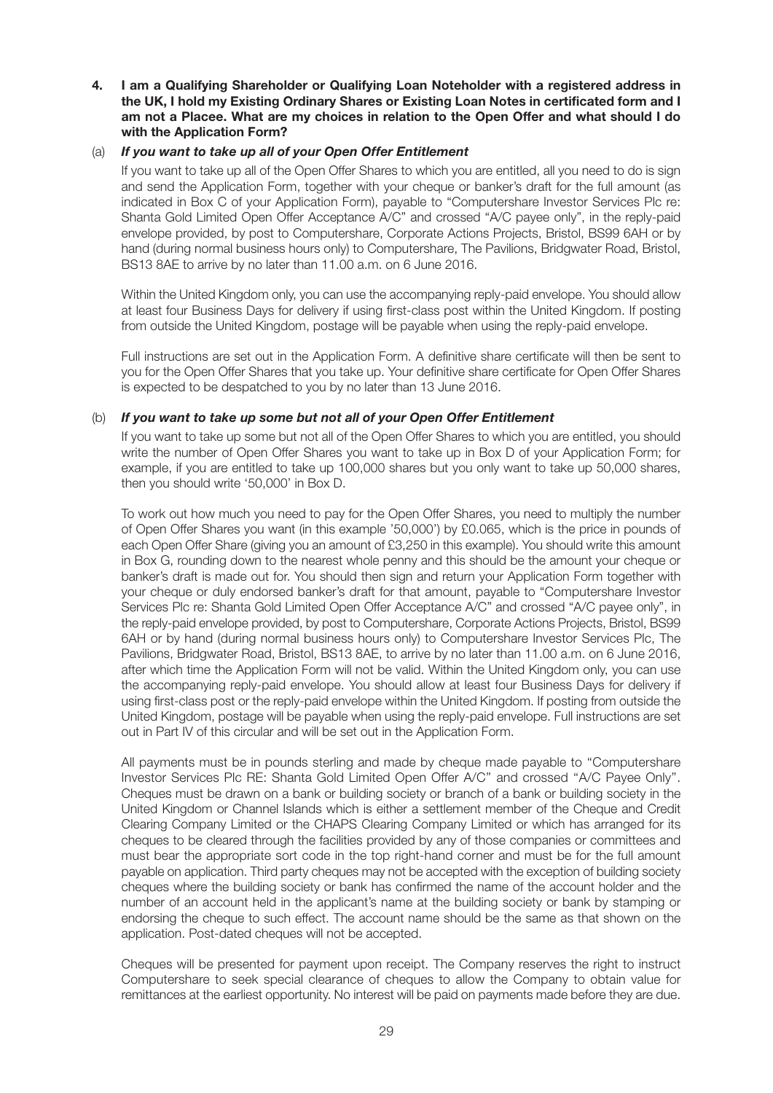**4. I am a Qualifying Shareholder or Qualifying Loan Noteholder with a registered address in the UK, I hold my Existing Ordinary Shares or Existing Loan Notes in certificated form and I am not a Placee. What are my choices in relation to the Open Offer and what should I do with the Application Form?**

#### (a) *If you want to take up all of your Open Offer Entitlement*

If you want to take up all of the Open Offer Shares to which you are entitled, all you need to do is sign and send the Application Form, together with your cheque or banker's draft for the full amount (as indicated in Box C of your Application Form), payable to "Computershare Investor Services Plc re: Shanta Gold Limited Open Offer Acceptance A/C" and crossed "A/C payee only", in the reply-paid envelope provided, by post to Computershare, Corporate Actions Projects, Bristol, BS99 6AH or by hand (during normal business hours only) to Computershare, The Pavilions, Bridgwater Road, Bristol, BS13 8AE to arrive by no later than 11.00 a.m. on 6 June 2016.

Within the United Kingdom only, you can use the accompanying reply-paid envelope. You should allow at least four Business Days for delivery if using first-class post within the United Kingdom. If posting from outside the United Kingdom, postage will be payable when using the reply-paid envelope.

Full instructions are set out in the Application Form. A definitive share certificate will then be sent to you for the Open Offer Shares that you take up. Your definitive share certificate for Open Offer Shares is expected to be despatched to you by no later than 13 June 2016.

#### (b) *If you want to take up some but not all of your Open Offer Entitlement*

If you want to take up some but not all of the Open Offer Shares to which you are entitled, you should write the number of Open Offer Shares you want to take up in Box D of your Application Form; for example, if you are entitled to take up 100,000 shares but you only want to take up 50,000 shares, then you should write '50,000' in Box D.

To work out how much you need to pay for the Open Offer Shares, you need to multiply the number of Open Offer Shares you want (in this example '50,000') by £0.065, which is the price in pounds of each Open Offer Share (giving you an amount of £3,250 in this example). You should write this amount in Box G, rounding down to the nearest whole penny and this should be the amount your cheque or banker's draft is made out for. You should then sign and return your Application Form together with your cheque or duly endorsed banker's draft for that amount, payable to "Computershare Investor Services Plc re: Shanta Gold Limited Open Offer Acceptance A/C" and crossed "A/C payee only", in the reply-paid envelope provided, by post to Computershare, Corporate Actions Projects, Bristol, BS99 6AH or by hand (during normal business hours only) to Computershare Investor Services Plc, The Pavilions, Bridgwater Road, Bristol, BS13 8AE, to arrive by no later than 11.00 a.m. on 6 June 2016, after which time the Application Form will not be valid. Within the United Kingdom only, you can use the accompanying reply-paid envelope. You should allow at least four Business Days for delivery if using first-class post or the reply-paid envelope within the United Kingdom. If posting from outside the United Kingdom, postage will be payable when using the reply-paid envelope. Full instructions are set out in Part IV of this circular and will be set out in the Application Form.

All payments must be in pounds sterling and made by cheque made payable to ''Computershare Investor Services Plc RE: Shanta Gold Limited Open Offer A/C'' and crossed ''A/C Payee Only''. Cheques must be drawn on a bank or building society or branch of a bank or building society in the United Kingdom or Channel Islands which is either a settlement member of the Cheque and Credit Clearing Company Limited or the CHAPS Clearing Company Limited or which has arranged for its cheques to be cleared through the facilities provided by any of those companies or committees and must bear the appropriate sort code in the top right-hand corner and must be for the full amount payable on application. Third party cheques may not be accepted with the exception of building society cheques where the building society or bank has confirmed the name of the account holder and the number of an account held in the applicant's name at the building society or bank by stamping or endorsing the cheque to such effect. The account name should be the same as that shown on the application. Post-dated cheques will not be accepted.

Cheques will be presented for payment upon receipt. The Company reserves the right to instruct Computershare to seek special clearance of cheques to allow the Company to obtain value for remittances at the earliest opportunity. No interest will be paid on payments made before they are due.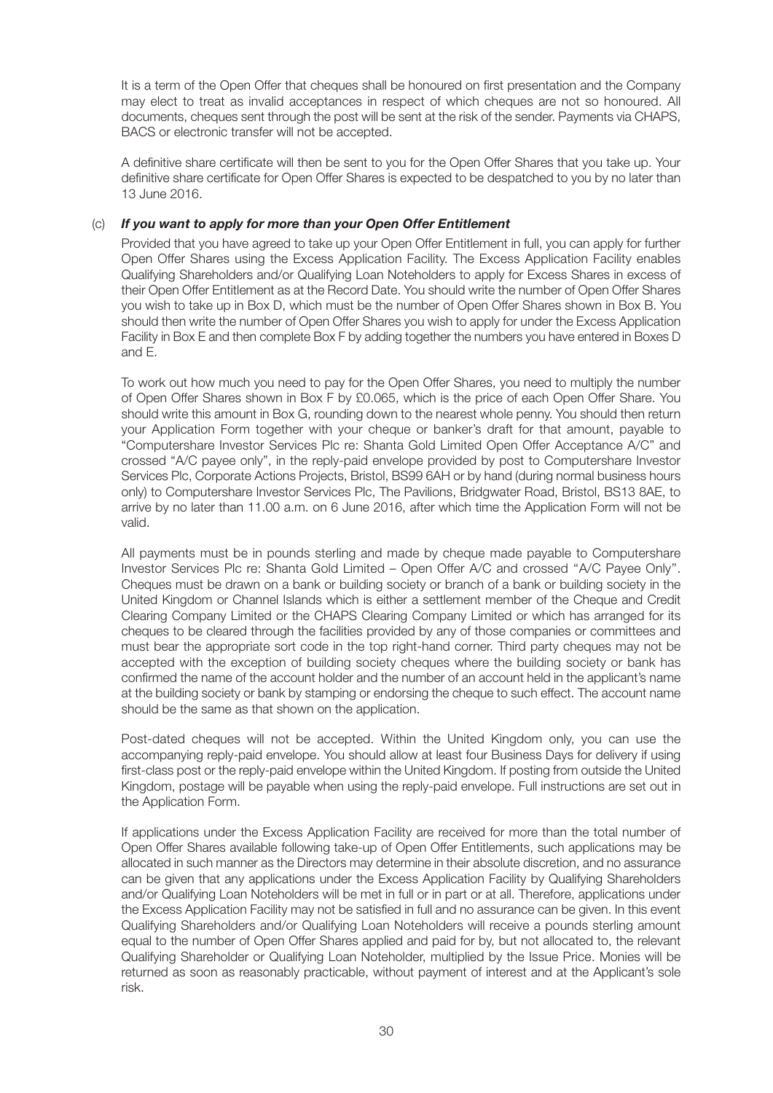It is a term of the Open Offer that cheques shall be honoured on first presentation and the Company may elect to treat as invalid acceptances in respect of which cheques are not so honoured. All documents, cheques sent through the post will be sent at the risk of the sender. Payments via CHAPS, BACS or electronic transfer will not be accepted.

A definitive share certificate will then be sent to you for the Open Offer Shares that you take up. Your definitive share certificate for Open Offer Shares is expected to be despatched to you by no later than 13 June 2016.

#### (c) *If you want to apply for more than your Open Offer Entitlement*

Provided that you have agreed to take up your Open Offer Entitlement in full, you can apply for further Open Offer Shares using the Excess Application Facility. The Excess Application Facility enables Qualifying Shareholders and/or Qualifying Loan Noteholders to apply for Excess Shares in excess of their Open Offer Entitlement as at the Record Date. You should write the number of Open Offer Shares you wish to take up in Box D, which must be the number of Open Offer Shares shown in Box B. You should then write the number of Open Offer Shares you wish to apply for under the Excess Application Facility in Box E and then complete Box F by adding together the numbers you have entered in Boxes D and E.

To work out how much you need to pay for the Open Offer Shares, you need to multiply the number of Open Offer Shares shown in Box F by £0.065, which is the price of each Open Offer Share. You should write this amount in Box G, rounding down to the nearest whole penny. You should then return your Application Form together with your cheque or banker's draft for that amount, payable to "Computershare Investor Services Plc re: Shanta Gold Limited Open Offer Acceptance A/C" and crossed "A/C payee only", in the reply-paid envelope provided by post to Computershare Investor Services Plc, Corporate Actions Projects, Bristol, BS99 6AH or by hand (during normal business hours only) to Computershare Investor Services Plc, The Pavilions, Bridgwater Road, Bristol, BS13 8AE, to arrive by no later than 11.00 a.m. on 6 June 2016, after which time the Application Form will not be valid.

All payments must be in pounds sterling and made by cheque made payable to Computershare Investor Services Plc re: Shanta Gold Limited – Open Offer A/C and crossed ''A/C Payee Only''. Cheques must be drawn on a bank or building society or branch of a bank or building society in the United Kingdom or Channel Islands which is either a settlement member of the Cheque and Credit Clearing Company Limited or the CHAPS Clearing Company Limited or which has arranged for its cheques to be cleared through the facilities provided by any of those companies or committees and must bear the appropriate sort code in the top right-hand corner. Third party cheques may not be accepted with the exception of building society cheques where the building society or bank has confirmed the name of the account holder and the number of an account held in the applicant's name at the building society or bank by stamping or endorsing the cheque to such effect. The account name should be the same as that shown on the application.

Post-dated cheques will not be accepted. Within the United Kingdom only, you can use the accompanying reply-paid envelope. You should allow at least four Business Days for delivery if using first-class post or the reply-paid envelope within the United Kingdom. If posting from outside the United Kingdom, postage will be payable when using the reply-paid envelope. Full instructions are set out in the Application Form.

If applications under the Excess Application Facility are received for more than the total number of Open Offer Shares available following take-up of Open Offer Entitlements, such applications may be allocated in such manner as the Directors may determine in their absolute discretion, and no assurance can be given that any applications under the Excess Application Facility by Qualifying Shareholders and/or Qualifying Loan Noteholders will be met in full or in part or at all. Therefore, applications under the Excess Application Facility may not be satisfied in full and no assurance can be given. In this event Qualifying Shareholders and/or Qualifying Loan Noteholders will receive a pounds sterling amount equal to the number of Open Offer Shares applied and paid for by, but not allocated to, the relevant Qualifying Shareholder or Qualifying Loan Noteholder, multiplied by the Issue Price. Monies will be returned as soon as reasonably practicable, without payment of interest and at the Applicant's sole risk.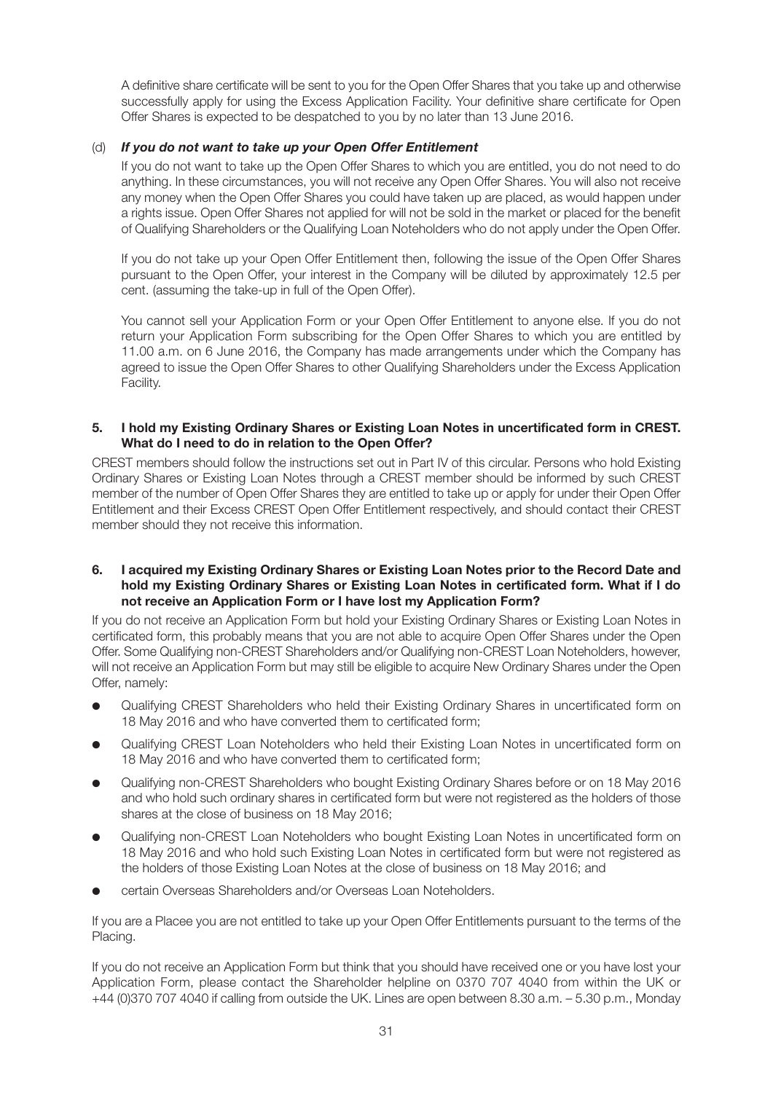A definitive share certificate will be sent to you for the Open Offer Shares that you take up and otherwise successfully apply for using the Excess Application Facility. Your definitive share certificate for Open Offer Shares is expected to be despatched to you by no later than 13 June 2016.

#### (d) *If you do not want to take up your Open Offer Entitlement*

If you do not want to take up the Open Offer Shares to which you are entitled, you do not need to do anything. In these circumstances, you will not receive any Open Offer Shares. You will also not receive any money when the Open Offer Shares you could have taken up are placed, as would happen under a rights issue. Open Offer Shares not applied for will not be sold in the market or placed for the benefit of Qualifying Shareholders or the Qualifying Loan Noteholders who do not apply under the Open Offer.

If you do not take up your Open Offer Entitlement then, following the issue of the Open Offer Shares pursuant to the Open Offer, your interest in the Company will be diluted by approximately 12.5 per cent. (assuming the take-up in full of the Open Offer).

You cannot sell your Application Form or your Open Offer Entitlement to anyone else. If you do not return your Application Form subscribing for the Open Offer Shares to which you are entitled by 11.00 a.m. on 6 June 2016, the Company has made arrangements under which the Company has agreed to issue the Open Offer Shares to other Qualifying Shareholders under the Excess Application Facility.

#### **5. I hold my Existing Ordinary Shares or Existing Loan Notes in uncertificated form in CREST. What do I need to do in relation to the Open Offer?**

CREST members should follow the instructions set out in Part IV of this circular. Persons who hold Existing Ordinary Shares or Existing Loan Notes through a CREST member should be informed by such CREST member of the number of Open Offer Shares they are entitled to take up or apply for under their Open Offer Entitlement and their Excess CREST Open Offer Entitlement respectively, and should contact their CREST member should they not receive this information.

#### **6. I acquired my Existing Ordinary Shares or Existing Loan Notes prior to the Record Date and hold my Existing Ordinary Shares or Existing Loan Notes in certificated form. What if I do not receive an Application Form or I have lost my Application Form?**

If you do not receive an Application Form but hold your Existing Ordinary Shares or Existing Loan Notes in certificated form, this probably means that you are not able to acquire Open Offer Shares under the Open Offer. Some Qualifying non-CREST Shareholders and/or Qualifying non-CREST Loan Noteholders, however, will not receive an Application Form but may still be eligible to acquire New Ordinary Shares under the Open Offer, namely:

- Qualifying CREST Shareholders who held their Existing Ordinary Shares in uncertificated form on 18 May 2016 and who have converted them to certificated form;
- Qualifying CREST Loan Noteholders who held their Existing Loan Notes in uncertificated form on 18 May 2016 and who have converted them to certificated form;
- Qualifying non-CREST Shareholders who bought Existing Ordinary Shares before or on 18 May 2016 and who hold such ordinary shares in certificated form but were not registered as the holders of those shares at the close of business on 18 May 2016;
- Qualifying non-CREST Loan Noteholders who bought Existing Loan Notes in uncertificated form on 18 May 2016 and who hold such Existing Loan Notes in certificated form but were not registered as the holders of those Existing Loan Notes at the close of business on 18 May 2016; and
- certain Overseas Shareholders and/or Overseas Loan Noteholders.

If you are a Placee you are not entitled to take up your Open Offer Entitlements pursuant to the terms of the Placing.

If you do not receive an Application Form but think that you should have received one or you have lost your Application Form, please contact the Shareholder helpline on 0370 707 4040 from within the UK or +44 (0)370 707 4040 if calling from outside the UK. Lines are open between 8.30 a.m. – 5.30 p.m., Monday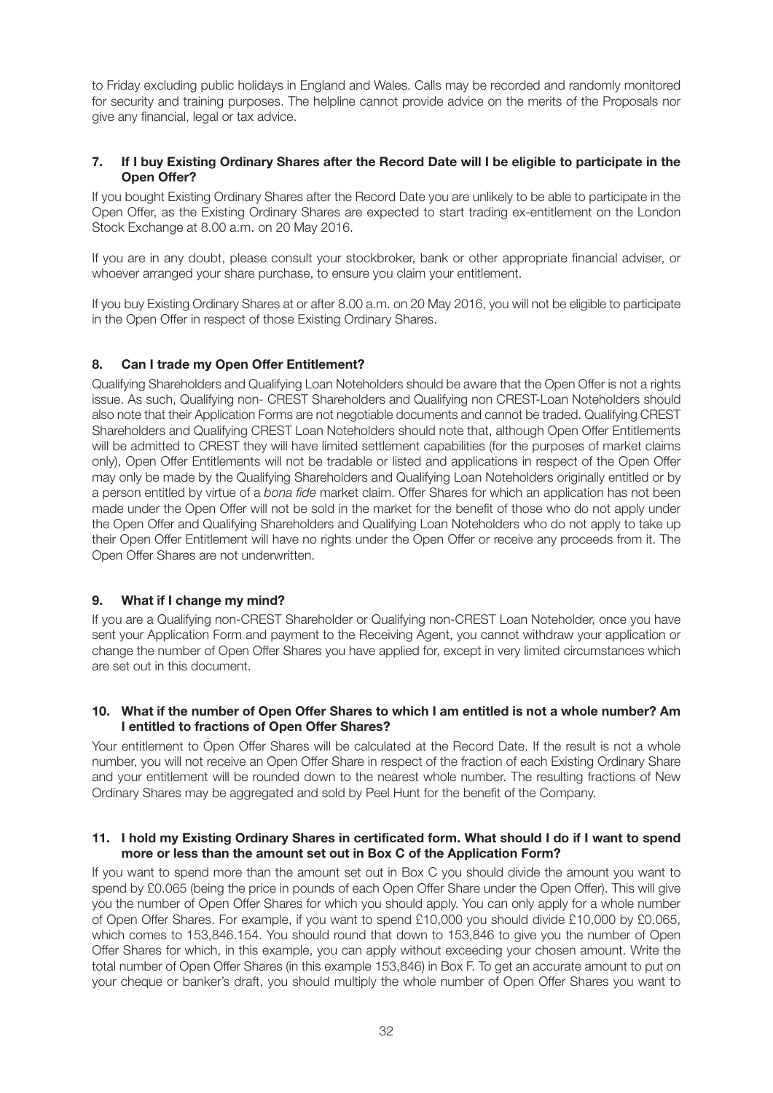to Friday excluding public holidays in England and Wales. Calls may be recorded and randomly monitored for security and training purposes. The helpline cannot provide advice on the merits of the Proposals nor give any financial, legal or tax advice.

#### **7. If I buy Existing Ordinary Shares after the Record Date will I be eligible to participate in the Open Offer?**

If you bought Existing Ordinary Shares after the Record Date you are unlikely to be able to participate in the Open Offer, as the Existing Ordinary Shares are expected to start trading ex-entitlement on the London Stock Exchange at 8.00 a.m. on 20 May 2016.

If you are in any doubt, please consult your stockbroker, bank or other appropriate financial adviser, or whoever arranged your share purchase, to ensure you claim your entitlement.

If you buy Existing Ordinary Shares at or after 8.00 a.m. on 20 May 2016, you will not be eligible to participate in the Open Offer in respect of those Existing Ordinary Shares.

#### **8. Can I trade my Open Offer Entitlement?**

Qualifying Shareholders and Qualifying Loan Noteholders should be aware that the Open Offer is not a rights issue. As such, Qualifying non- CREST Shareholders and Qualifying non CREST-Loan Noteholders should also note that their Application Forms are not negotiable documents and cannot be traded. Qualifying CREST Shareholders and Qualifying CREST Loan Noteholders should note that, although Open Offer Entitlements will be admitted to CREST they will have limited settlement capabilities (for the purposes of market claims only), Open Offer Entitlements will not be tradable or listed and applications in respect of the Open Offer may only be made by the Qualifying Shareholders and Qualifying Loan Noteholders originally entitled or by a person entitled by virtue of a *bona fide* market claim. Offer Shares for which an application has not been made under the Open Offer will not be sold in the market for the benefit of those who do not apply under the Open Offer and Qualifying Shareholders and Qualifying Loan Noteholders who do not apply to take up their Open Offer Entitlement will have no rights under the Open Offer or receive any proceeds from it. The Open Offer Shares are not underwritten.

#### **9. What if I change my mind?**

If you are a Qualifying non-CREST Shareholder or Qualifying non-CREST Loan Noteholder, once you have sent your Application Form and payment to the Receiving Agent, you cannot withdraw your application or change the number of Open Offer Shares you have applied for, except in very limited circumstances which are set out in this document.

#### **10. What if the number of Open Offer Shares to which I am entitled is not a whole number? Am I entitled to fractions of Open Offer Shares?**

Your entitlement to Open Offer Shares will be calculated at the Record Date. If the result is not a whole number, you will not receive an Open Offer Share in respect of the fraction of each Existing Ordinary Share and your entitlement will be rounded down to the nearest whole number. The resulting fractions of New Ordinary Shares may be aggregated and sold by Peel Hunt for the benefit of the Company.

#### **11. I hold my Existing Ordinary Shares in certificated form. What should I do if I want to spend more or less than the amount set out in Box C of the Application Form?**

If you want to spend more than the amount set out in Box C you should divide the amount you want to spend by £0.065 (being the price in pounds of each Open Offer Share under the Open Offer). This will give you the number of Open Offer Shares for which you should apply. You can only apply for a whole number of Open Offer Shares. For example, if you want to spend £10,000 you should divide £10,000 by £0.065, which comes to 153,846.154. You should round that down to 153,846 to give you the number of Open Offer Shares for which, in this example, you can apply without exceeding your chosen amount. Write the total number of Open Offer Shares (in this example 153,846) in Box F. To get an accurate amount to put on your cheque or banker's draft, you should multiply the whole number of Open Offer Shares you want to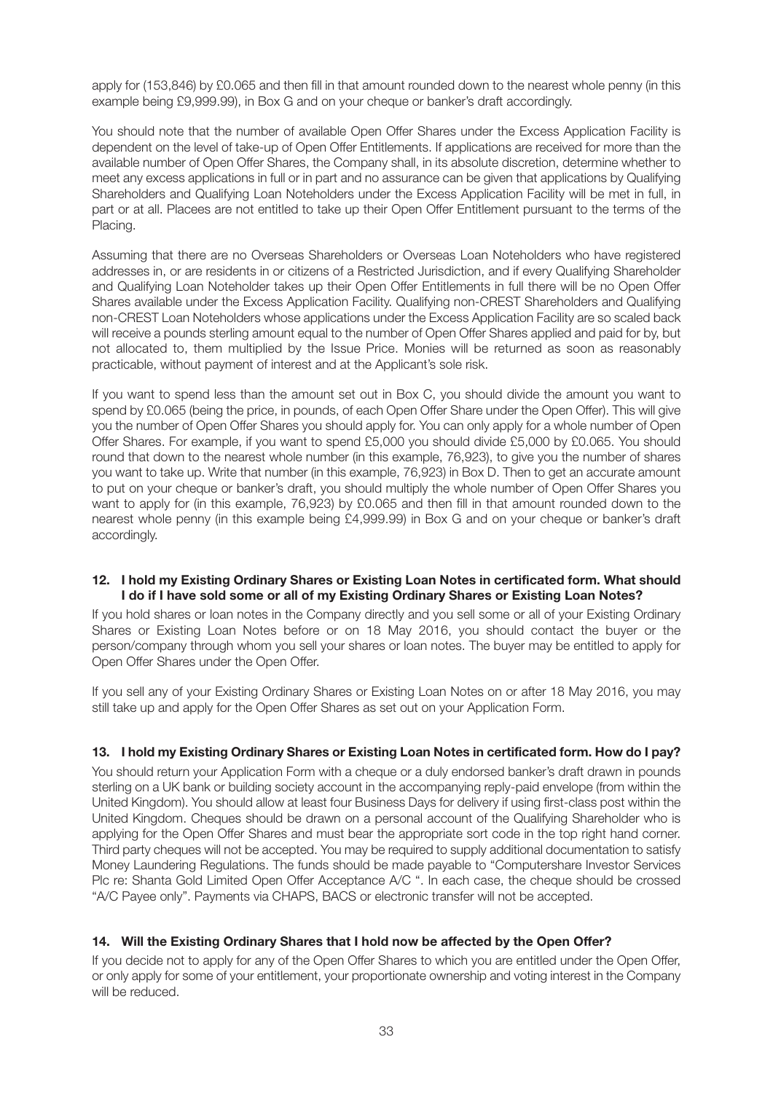apply for (153,846) by £0.065 and then fill in that amount rounded down to the nearest whole penny (in this example being £9,999.99), in Box G and on your cheque or banker's draft accordingly.

You should note that the number of available Open Offer Shares under the Excess Application Facility is dependent on the level of take-up of Open Offer Entitlements. If applications are received for more than the available number of Open Offer Shares, the Company shall, in its absolute discretion, determine whether to meet any excess applications in full or in part and no assurance can be given that applications by Qualifying Shareholders and Qualifying Loan Noteholders under the Excess Application Facility will be met in full, in part or at all. Placees are not entitled to take up their Open Offer Entitlement pursuant to the terms of the Placing.

Assuming that there are no Overseas Shareholders or Overseas Loan Noteholders who have registered addresses in, or are residents in or citizens of a Restricted Jurisdiction, and if every Qualifying Shareholder and Qualifying Loan Noteholder takes up their Open Offer Entitlements in full there will be no Open Offer Shares available under the Excess Application Facility. Qualifying non-CREST Shareholders and Qualifying non-CREST Loan Noteholders whose applications under the Excess Application Facility are so scaled back will receive a pounds sterling amount equal to the number of Open Offer Shares applied and paid for by, but not allocated to, them multiplied by the Issue Price. Monies will be returned as soon as reasonably practicable, without payment of interest and at the Applicant's sole risk.

If you want to spend less than the amount set out in Box C, you should divide the amount you want to spend by £0.065 (being the price, in pounds, of each Open Offer Share under the Open Offer). This will give you the number of Open Offer Shares you should apply for. You can only apply for a whole number of Open Offer Shares. For example, if you want to spend £5,000 you should divide £5,000 by £0.065. You should round that down to the nearest whole number (in this example, 76,923), to give you the number of shares you want to take up. Write that number (in this example, 76,923) in Box D. Then to get an accurate amount to put on your cheque or banker's draft, you should multiply the whole number of Open Offer Shares you want to apply for (in this example, 76,923) by £0.065 and then fill in that amount rounded down to the nearest whole penny (in this example being £4,999.99) in Box G and on your cheque or banker's draft accordingly.

#### **12. I hold my Existing Ordinary Shares or Existing Loan Notes in certificated form. What should I do if I have sold some or all of my Existing Ordinary Shares or Existing Loan Notes?**

If you hold shares or loan notes in the Company directly and you sell some or all of your Existing Ordinary Shares or Existing Loan Notes before or on 18 May 2016, you should contact the buyer or the person/company through whom you sell your shares or loan notes. The buyer may be entitled to apply for Open Offer Shares under the Open Offer.

If you sell any of your Existing Ordinary Shares or Existing Loan Notes on or after 18 May 2016, you may still take up and apply for the Open Offer Shares as set out on your Application Form.

#### **13. I hold my Existing Ordinary Shares or Existing Loan Notes in certificated form. How do I pay?**

You should return your Application Form with a cheque or a duly endorsed banker's draft drawn in pounds sterling on a UK bank or building society account in the accompanying reply-paid envelope (from within the United Kingdom). You should allow at least four Business Days for delivery if using first-class post within the United Kingdom. Cheques should be drawn on a personal account of the Qualifying Shareholder who is applying for the Open Offer Shares and must bear the appropriate sort code in the top right hand corner. Third party cheques will not be accepted. You may be required to supply additional documentation to satisfy Money Laundering Regulations. The funds should be made payable to "Computershare Investor Services Plc re: Shanta Gold Limited Open Offer Acceptance A/C ". In each case, the cheque should be crossed "A/C Payee only". Payments via CHAPS, BACS or electronic transfer will not be accepted.

#### **14. Will the Existing Ordinary Shares that I hold now be affected by the Open Offer?**

If you decide not to apply for any of the Open Offer Shares to which you are entitled under the Open Offer, or only apply for some of your entitlement, your proportionate ownership and voting interest in the Company will be reduced.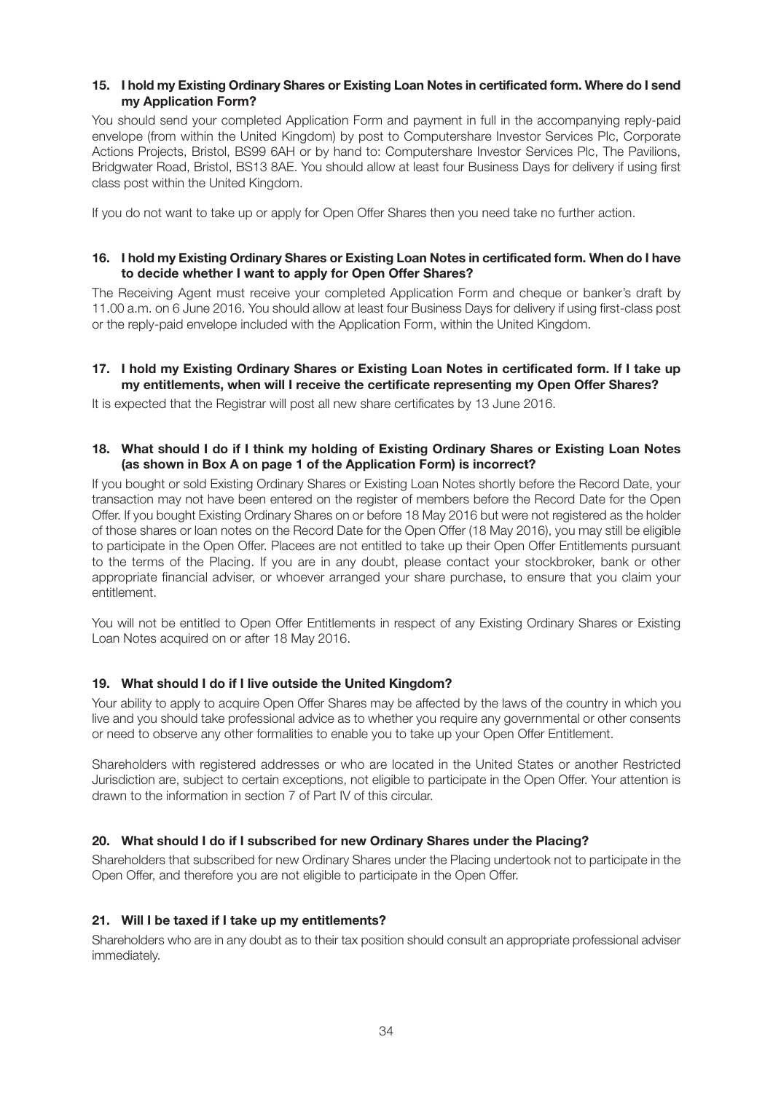#### **15. I hold my Existing Ordinary Shares or Existing Loan Notes in certificated form. Where do I send my Application Form?**

You should send your completed Application Form and payment in full in the accompanying reply-paid envelope (from within the United Kingdom) by post to Computershare Investor Services Plc, Corporate Actions Projects, Bristol, BS99 6AH or by hand to: Computershare Investor Services Plc, The Pavilions, Bridgwater Road, Bristol, BS13 8AE. You should allow at least four Business Days for delivery if using first class post within the United Kingdom.

If you do not want to take up or apply for Open Offer Shares then you need take no further action.

#### **16. I hold my Existing Ordinary Shares or Existing Loan Notes in certificated form. When do I have to decide whether I want to apply for Open Offer Shares?**

The Receiving Agent must receive your completed Application Form and cheque or banker's draft by 11.00 a.m. on 6 June 2016. You should allow at least four Business Days for delivery if using first-class post or the reply-paid envelope included with the Application Form, within the United Kingdom.

#### **17. I hold my Existing Ordinary Shares or Existing Loan Notes in certificated form. If I take up my entitlements, when will I receive the certificate representing my Open Offer Shares?**

It is expected that the Registrar will post all new share certificates by 13 June 2016.

#### **18. What should I do if I think my holding of Existing Ordinary Shares or Existing Loan Notes (as shown in Box A on page 1 of the Application Form) is incorrect?**

If you bought or sold Existing Ordinary Shares or Existing Loan Notes shortly before the Record Date, your transaction may not have been entered on the register of members before the Record Date for the Open Offer. If you bought Existing Ordinary Shares on or before 18 May 2016 but were not registered as the holder of those shares or loan notes on the Record Date for the Open Offer (18 May 2016), you may still be eligible to participate in the Open Offer. Placees are not entitled to take up their Open Offer Entitlements pursuant to the terms of the Placing. If you are in any doubt, please contact your stockbroker, bank or other appropriate financial adviser, or whoever arranged your share purchase, to ensure that you claim your entitlement.

You will not be entitled to Open Offer Entitlements in respect of any Existing Ordinary Shares or Existing Loan Notes acquired on or after 18 May 2016.

#### **19. What should I do if I live outside the United Kingdom?**

Your ability to apply to acquire Open Offer Shares may be affected by the laws of the country in which you live and you should take professional advice as to whether you require any governmental or other consents or need to observe any other formalities to enable you to take up your Open Offer Entitlement.

Shareholders with registered addresses or who are located in the United States or another Restricted Jurisdiction are, subject to certain exceptions, not eligible to participate in the Open Offer. Your attention is drawn to the information in section 7 of Part IV of this circular.

#### **20. What should I do if I subscribed for new Ordinary Shares under the Placing?**

Shareholders that subscribed for new Ordinary Shares under the Placing undertook not to participate in the Open Offer, and therefore you are not eligible to participate in the Open Offer.

#### **21. Will I be taxed if I take up my entitlements?**

Shareholders who are in any doubt as to their tax position should consult an appropriate professional adviser immediately.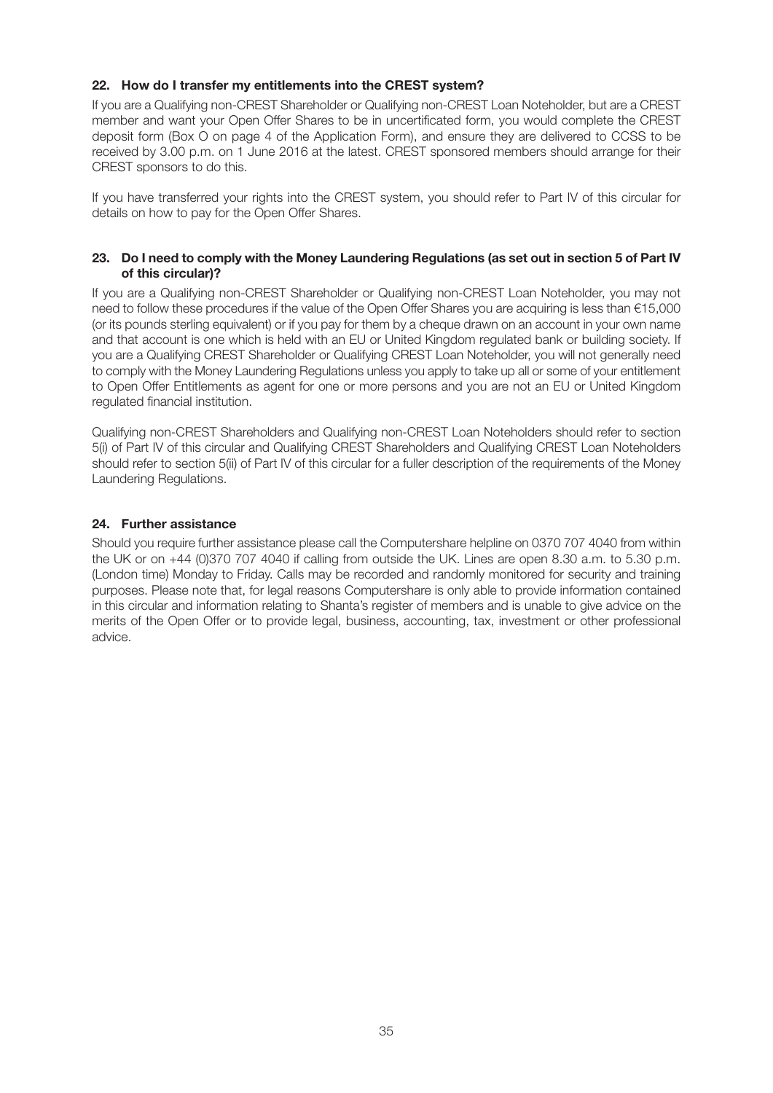#### **22. How do I transfer my entitlements into the CREST system?**

If you are a Qualifying non-CREST Shareholder or Qualifying non-CREST Loan Noteholder, but are a CREST member and want your Open Offer Shares to be in uncertificated form, you would complete the CREST deposit form (Box O on page 4 of the Application Form), and ensure they are delivered to CCSS to be received by 3.00 p.m. on 1 June 2016 at the latest. CREST sponsored members should arrange for their CREST sponsors to do this.

If you have transferred your rights into the CREST system, you should refer to Part IV of this circular for details on how to pay for the Open Offer Shares.

#### **23. Do I need to comply with the Money Laundering Regulations (as set out in section 5 of Part IV of this circular)?**

If you are a Qualifying non-CREST Shareholder or Qualifying non-CREST Loan Noteholder, you may not need to follow these procedures if the value of the Open Offer Shares you are acquiring is less than €15,000 (or its pounds sterling equivalent) or if you pay for them by a cheque drawn on an account in your own name and that account is one which is held with an EU or United Kingdom regulated bank or building society. If you are a Qualifying CREST Shareholder or Qualifying CREST Loan Noteholder, you will not generally need to comply with the Money Laundering Regulations unless you apply to take up all or some of your entitlement to Open Offer Entitlements as agent for one or more persons and you are not an EU or United Kingdom regulated financial institution.

Qualifying non-CREST Shareholders and Qualifying non-CREST Loan Noteholders should refer to section 5(i) of Part IV of this circular and Qualifying CREST Shareholders and Qualifying CREST Loan Noteholders should refer to section 5(ii) of Part IV of this circular for a fuller description of the requirements of the Money Laundering Regulations.

#### **24. Further assistance**

Should you require further assistance please call the Computershare helpline on 0370 707 4040 from within the UK or on +44 (0)370 707 4040 if calling from outside the UK. Lines are open 8.30 a.m. to 5.30 p.m. (London time) Monday to Friday. Calls may be recorded and randomly monitored for security and training purposes. Please note that, for legal reasons Computershare is only able to provide information contained in this circular and information relating to Shanta's register of members and is unable to give advice on the merits of the Open Offer or to provide legal, business, accounting, tax, investment or other professional advice.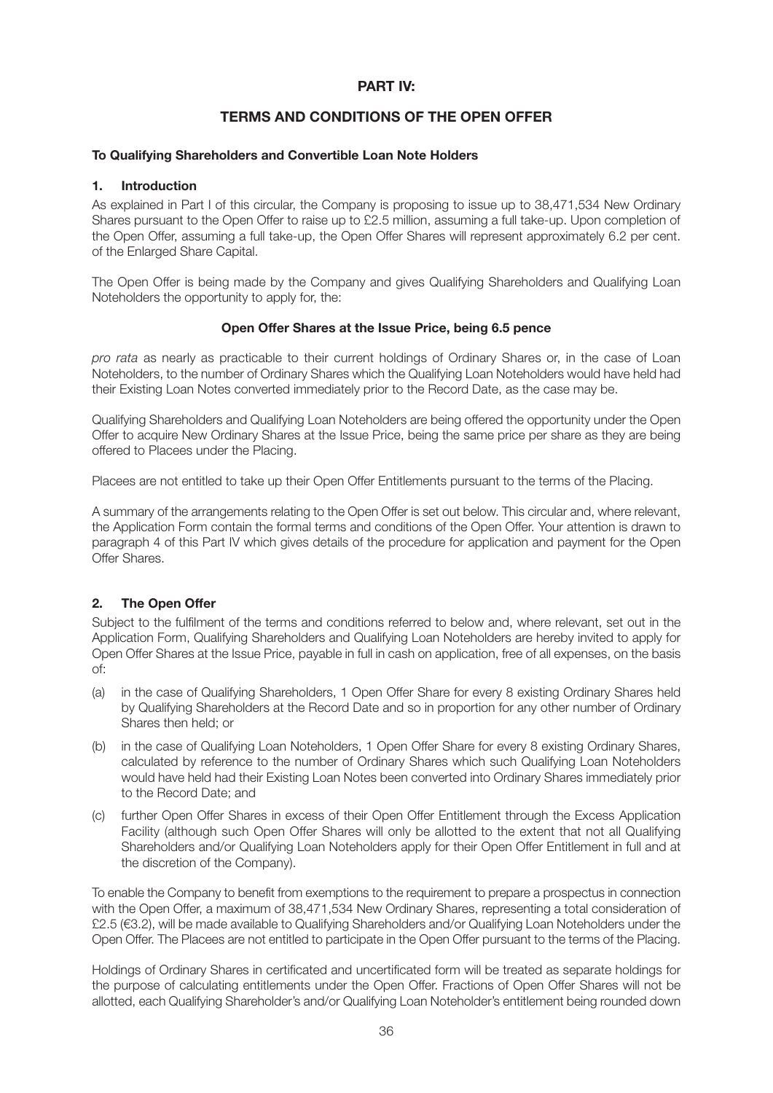#### **PART IV:**

#### **TERMS AND CONDITIONS OF THE OPEN OFFER**

#### **To Qualifying Shareholders and Convertible Loan Note Holders**

#### **1. Introduction**

As explained in Part I of this circular, the Company is proposing to issue up to 38,471,534 New Ordinary Shares pursuant to the Open Offer to raise up to £2.5 million, assuming a full take-up. Upon completion of the Open Offer, assuming a full take-up, the Open Offer Shares will represent approximately 6.2 per cent. of the Enlarged Share Capital.

The Open Offer is being made by the Company and gives Qualifying Shareholders and Qualifying Loan Noteholders the opportunity to apply for, the:

#### **Open Offer Shares at the Issue Price, being 6.5 pence**

*pro rata* as nearly as practicable to their current holdings of Ordinary Shares or, in the case of Loan Noteholders, to the number of Ordinary Shares which the Qualifying Loan Noteholders would have held had their Existing Loan Notes converted immediately prior to the Record Date, as the case may be.

Qualifying Shareholders and Qualifying Loan Noteholders are being offered the opportunity under the Open Offer to acquire New Ordinary Shares at the Issue Price, being the same price per share as they are being offered to Placees under the Placing.

Placees are not entitled to take up their Open Offer Entitlements pursuant to the terms of the Placing.

A summary of the arrangements relating to the Open Offer is set out below. This circular and, where relevant, the Application Form contain the formal terms and conditions of the Open Offer. Your attention is drawn to paragraph 4 of this Part IV which gives details of the procedure for application and payment for the Open Offer Shares.

#### **2. The Open Offer**

Subject to the fulfilment of the terms and conditions referred to below and, where relevant, set out in the Application Form, Qualifying Shareholders and Qualifying Loan Noteholders are hereby invited to apply for Open Offer Shares at the Issue Price, payable in full in cash on application, free of all expenses, on the basis of:

- (a) in the case of Qualifying Shareholders, 1 Open Offer Share for every 8 existing Ordinary Shares held by Qualifying Shareholders at the Record Date and so in proportion for any other number of Ordinary Shares then held; or
- (b) in the case of Qualifying Loan Noteholders, 1 Open Offer Share for every 8 existing Ordinary Shares, calculated by reference to the number of Ordinary Shares which such Qualifying Loan Noteholders would have held had their Existing Loan Notes been converted into Ordinary Shares immediately prior to the Record Date; and
- (c) further Open Offer Shares in excess of their Open Offer Entitlement through the Excess Application Facility (although such Open Offer Shares will only be allotted to the extent that not all Qualifying Shareholders and/or Qualifying Loan Noteholders apply for their Open Offer Entitlement in full and at the discretion of the Company).

To enable the Company to benefit from exemptions to the requirement to prepare a prospectus in connection with the Open Offer, a maximum of 38,471,534 New Ordinary Shares, representing a total consideration of £2.5 (€3.2), will be made available to Qualifying Shareholders and/or Qualifying Loan Noteholders under the Open Offer. The Placees are not entitled to participate in the Open Offer pursuant to the terms of the Placing.

Holdings of Ordinary Shares in certificated and uncertificated form will be treated as separate holdings for the purpose of calculating entitlements under the Open Offer. Fractions of Open Offer Shares will not be allotted, each Qualifying Shareholder's and/or Qualifying Loan Noteholder's entitlement being rounded down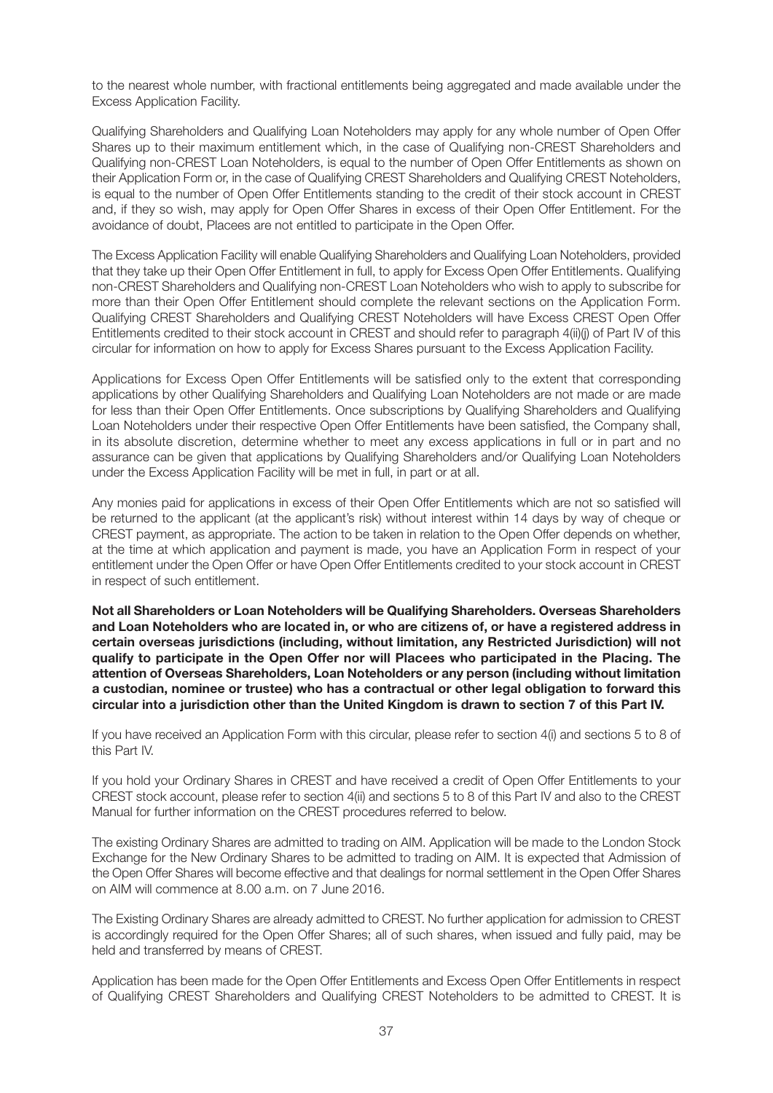to the nearest whole number, with fractional entitlements being aggregated and made available under the Excess Application Facility.

Qualifying Shareholders and Qualifying Loan Noteholders may apply for any whole number of Open Offer Shares up to their maximum entitlement which, in the case of Qualifying non-CREST Shareholders and Qualifying non-CREST Loan Noteholders, is equal to the number of Open Offer Entitlements as shown on their Application Form or, in the case of Qualifying CREST Shareholders and Qualifying CREST Noteholders, is equal to the number of Open Offer Entitlements standing to the credit of their stock account in CREST and, if they so wish, may apply for Open Offer Shares in excess of their Open Offer Entitlement. For the avoidance of doubt, Placees are not entitled to participate in the Open Offer.

The Excess Application Facility will enable Qualifying Shareholders and Qualifying Loan Noteholders, provided that they take up their Open Offer Entitlement in full, to apply for Excess Open Offer Entitlements. Qualifying non-CREST Shareholders and Qualifying non-CREST Loan Noteholders who wish to apply to subscribe for more than their Open Offer Entitlement should complete the relevant sections on the Application Form. Qualifying CREST Shareholders and Qualifying CREST Noteholders will have Excess CREST Open Offer Entitlements credited to their stock account in CREST and should refer to paragraph 4(ii)(j) of Part IV of this circular for information on how to apply for Excess Shares pursuant to the Excess Application Facility.

Applications for Excess Open Offer Entitlements will be satisfied only to the extent that corresponding applications by other Qualifying Shareholders and Qualifying Loan Noteholders are not made or are made for less than their Open Offer Entitlements. Once subscriptions by Qualifying Shareholders and Qualifying Loan Noteholders under their respective Open Offer Entitlements have been satisfied, the Company shall, in its absolute discretion, determine whether to meet any excess applications in full or in part and no assurance can be given that applications by Qualifying Shareholders and/or Qualifying Loan Noteholders under the Excess Application Facility will be met in full, in part or at all.

Any monies paid for applications in excess of their Open Offer Entitlements which are not so satisfied will be returned to the applicant (at the applicant's risk) without interest within 14 days by way of cheque or CREST payment, as appropriate. The action to be taken in relation to the Open Offer depends on whether, at the time at which application and payment is made, you have an Application Form in respect of your entitlement under the Open Offer or have Open Offer Entitlements credited to your stock account in CREST in respect of such entitlement.

**Not all Shareholders or Loan Noteholders will be Qualifying Shareholders. Overseas Shareholders and Loan Noteholders who are located in, or who are citizens of, or have a registered address in certain overseas jurisdictions (including, without limitation, any Restricted Jurisdiction) will not qualify to participate in the Open Offer nor will Placees who participated in the Placing. The attention of Overseas Shareholders, Loan Noteholders or any person (including without limitation a custodian, nominee or trustee) who has a contractual or other legal obligation to forward this circular into a jurisdiction other than the United Kingdom is drawn to section 7 of this Part IV.**

If you have received an Application Form with this circular, please refer to section 4(i) and sections 5 to 8 of this Part IV.

If you hold your Ordinary Shares in CREST and have received a credit of Open Offer Entitlements to your CREST stock account, please refer to section 4(ii) and sections 5 to 8 of this Part IV and also to the CREST Manual for further information on the CREST procedures referred to below.

The existing Ordinary Shares are admitted to trading on AIM. Application will be made to the London Stock Exchange for the New Ordinary Shares to be admitted to trading on AIM. It is expected that Admission of the Open Offer Shares will become effective and that dealings for normal settlement in the Open Offer Shares on AIM will commence at 8.00 a.m. on 7 June 2016.

The Existing Ordinary Shares are already admitted to CREST. No further application for admission to CREST is accordingly required for the Open Offer Shares; all of such shares, when issued and fully paid, may be held and transferred by means of CREST.

Application has been made for the Open Offer Entitlements and Excess Open Offer Entitlements in respect of Qualifying CREST Shareholders and Qualifying CREST Noteholders to be admitted to CREST. It is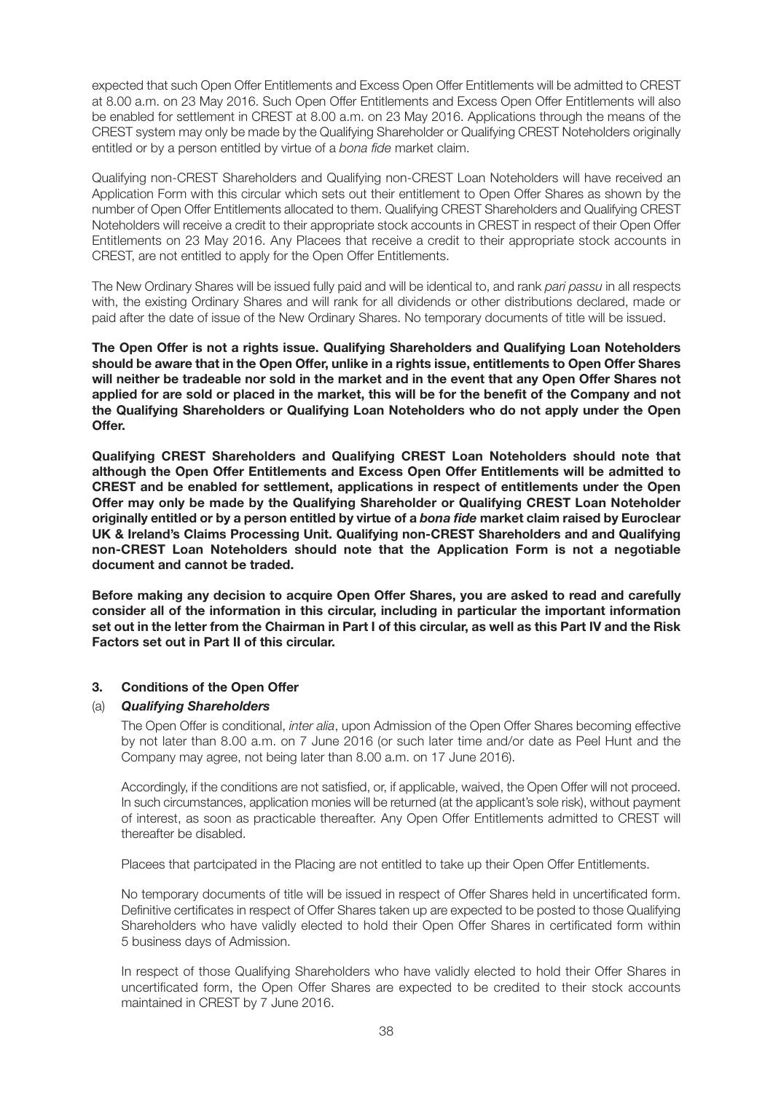expected that such Open Offer Entitlements and Excess Open Offer Entitlements will be admitted to CREST at 8.00 a.m. on 23 May 2016. Such Open Offer Entitlements and Excess Open Offer Entitlements will also be enabled for settlement in CREST at 8.00 a.m. on 23 May 2016. Applications through the means of the CREST system may only be made by the Qualifying Shareholder or Qualifying CREST Noteholders originally entitled or by a person entitled by virtue of a *bona fide* market claim.

Qualifying non-CREST Shareholders and Qualifying non-CREST Loan Noteholders will have received an Application Form with this circular which sets out their entitlement to Open Offer Shares as shown by the number of Open Offer Entitlements allocated to them. Qualifying CREST Shareholders and Qualifying CREST Noteholders will receive a credit to their appropriate stock accounts in CREST in respect of their Open Offer Entitlements on 23 May 2016. Any Placees that receive a credit to their appropriate stock accounts in CREST, are not entitled to apply for the Open Offer Entitlements.

The New Ordinary Shares will be issued fully paid and will be identical to, and rank *pari passu* in all respects with, the existing Ordinary Shares and will rank for all dividends or other distributions declared, made or paid after the date of issue of the New Ordinary Shares. No temporary documents of title will be issued.

**The Open Offer is not a rights issue. Qualifying Shareholders and Qualifying Loan Noteholders should be aware that in the Open Offer, unlike in a rights issue, entitlements to Open Offer Shares will neither be tradeable nor sold in the market and in the event that any Open Offer Shares not applied for are sold or placed in the market, this will be for the benefit of the Company and not the Qualifying Shareholders or Qualifying Loan Noteholders who do not apply under the Open Offer.**

**Qualifying CREST Shareholders and Qualifying CREST Loan Noteholders should note that although the Open Offer Entitlements and Excess Open Offer Entitlements will be admitted to CREST and be enabled for settlement, applications in respect of entitlements under the Open Offer may only be made by the Qualifying Shareholder or Qualifying CREST Loan Noteholder originally entitled or by a person entitled by virtue of a** *bona fide* **market claim raised by Euroclear UK & Ireland's Claims Processing Unit. Qualifying non-CREST Shareholders and and Qualifying non-CREST Loan Noteholders should note that the Application Form is not a negotiable document and cannot be traded.**

**Before making any decision to acquire Open Offer Shares, you are asked to read and carefully consider all of the information in this circular, including in particular the important information set out in the letter from the Chairman in Part I of this circular, as well as this Part IV and the Risk Factors set out in Part II of this circular.**

#### **3. Conditions of the Open Offer**

#### (a) *Qualifying Shareholders*

The Open Offer is conditional, *inter alia*, upon Admission of the Open Offer Shares becoming effective by not later than 8.00 a.m. on 7 June 2016 (or such later time and/or date as Peel Hunt and the Company may agree, not being later than 8.00 a.m. on 17 June 2016).

Accordingly, if the conditions are not satisfied, or, if applicable, waived, the Open Offer will not proceed. In such circumstances, application monies will be returned (at the applicant's sole risk), without payment of interest, as soon as practicable thereafter. Any Open Offer Entitlements admitted to CREST will thereafter be disabled.

Placees that partcipated in the Placing are not entitled to take up their Open Offer Entitlements.

No temporary documents of title will be issued in respect of Offer Shares held in uncertificated form. Definitive certificates in respect of Offer Shares taken up are expected to be posted to those Qualifying Shareholders who have validly elected to hold their Open Offer Shares in certificated form within 5 business days of Admission.

In respect of those Qualifying Shareholders who have validly elected to hold their Offer Shares in uncertificated form, the Open Offer Shares are expected to be credited to their stock accounts maintained in CREST by 7 June 2016.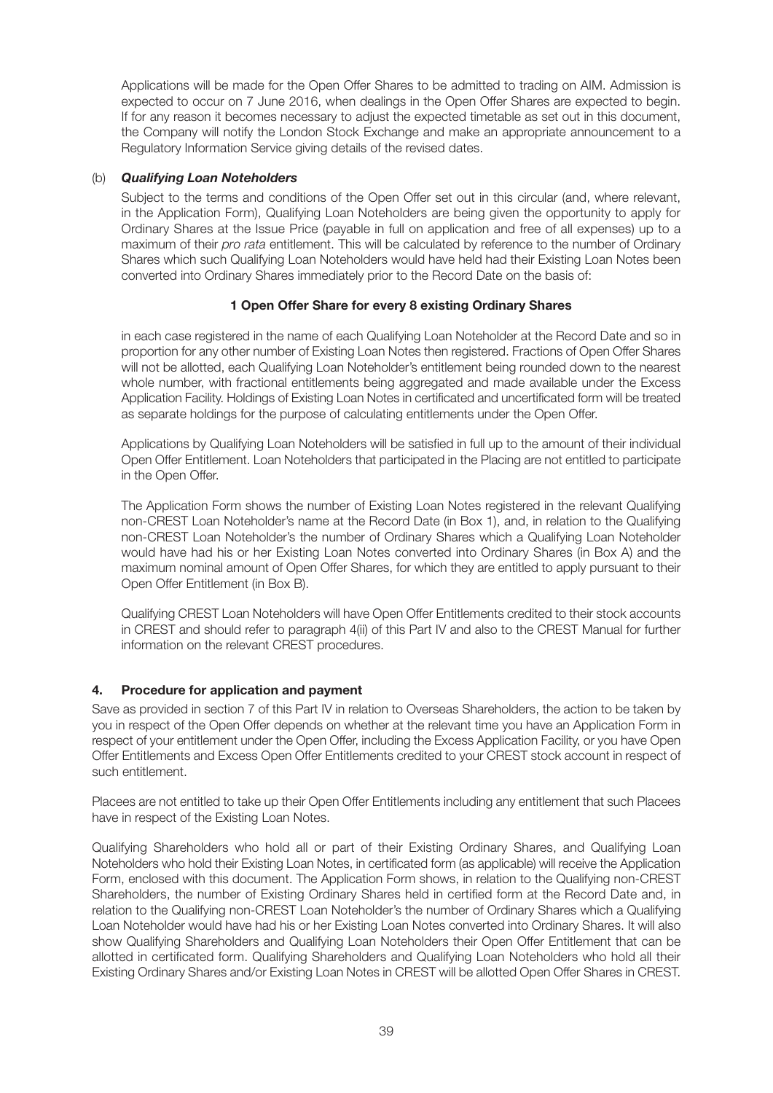Applications will be made for the Open Offer Shares to be admitted to trading on AIM. Admission is expected to occur on 7 June 2016, when dealings in the Open Offer Shares are expected to begin. If for any reason it becomes necessary to adjust the expected timetable as set out in this document, the Company will notify the London Stock Exchange and make an appropriate announcement to a Regulatory Information Service giving details of the revised dates.

#### (b) *Qualifying Loan Noteholders*

Subject to the terms and conditions of the Open Offer set out in this circular (and, where relevant, in the Application Form), Qualifying Loan Noteholders are being given the opportunity to apply for Ordinary Shares at the Issue Price (payable in full on application and free of all expenses) up to a maximum of their *pro rata* entitlement. This will be calculated by reference to the number of Ordinary Shares which such Qualifying Loan Noteholders would have held had their Existing Loan Notes been converted into Ordinary Shares immediately prior to the Record Date on the basis of:

#### **1 Open Offer Share for every 8 existing Ordinary Shares**

in each case registered in the name of each Qualifying Loan Noteholder at the Record Date and so in proportion for any other number of Existing Loan Notes then registered. Fractions of Open Offer Shares will not be allotted, each Qualifying Loan Noteholder's entitlement being rounded down to the nearest whole number, with fractional entitlements being aggregated and made available under the Excess Application Facility. Holdings of Existing Loan Notes in certificated and uncertificated form will be treated as separate holdings for the purpose of calculating entitlements under the Open Offer.

Applications by Qualifying Loan Noteholders will be satisfied in full up to the amount of their individual Open Offer Entitlement. Loan Noteholders that participated in the Placing are not entitled to participate in the Open Offer.

The Application Form shows the number of Existing Loan Notes registered in the relevant Qualifying non-CREST Loan Noteholder's name at the Record Date (in Box 1), and, in relation to the Qualifying non-CREST Loan Noteholder's the number of Ordinary Shares which a Qualifying Loan Noteholder would have had his or her Existing Loan Notes converted into Ordinary Shares (in Box A) and the maximum nominal amount of Open Offer Shares, for which they are entitled to apply pursuant to their Open Offer Entitlement (in Box B).

Qualifying CREST Loan Noteholders will have Open Offer Entitlements credited to their stock accounts in CREST and should refer to paragraph 4(ii) of this Part IV and also to the CREST Manual for further information on the relevant CREST procedures.

#### **4. Procedure for application and payment**

Save as provided in section 7 of this Part IV in relation to Overseas Shareholders, the action to be taken by you in respect of the Open Offer depends on whether at the relevant time you have an Application Form in respect of your entitlement under the Open Offer, including the Excess Application Facility, or you have Open Offer Entitlements and Excess Open Offer Entitlements credited to your CREST stock account in respect of such entitlement.

Placees are not entitled to take up their Open Offer Entitlements including any entitlement that such Placees have in respect of the Existing Loan Notes.

Qualifying Shareholders who hold all or part of their Existing Ordinary Shares, and Qualifying Loan Noteholders who hold their Existing Loan Notes, in certificated form (as applicable) will receive the Application Form, enclosed with this document. The Application Form shows, in relation to the Qualifying non-CREST Shareholders, the number of Existing Ordinary Shares held in certified form at the Record Date and, in relation to the Qualifying non-CREST Loan Noteholder's the number of Ordinary Shares which a Qualifying Loan Noteholder would have had his or her Existing Loan Notes converted into Ordinary Shares. It will also show Qualifying Shareholders and Qualifying Loan Noteholders their Open Offer Entitlement that can be allotted in certificated form. Qualifying Shareholders and Qualifying Loan Noteholders who hold all their Existing Ordinary Shares and/or Existing Loan Notes in CREST will be allotted Open Offer Shares in CREST.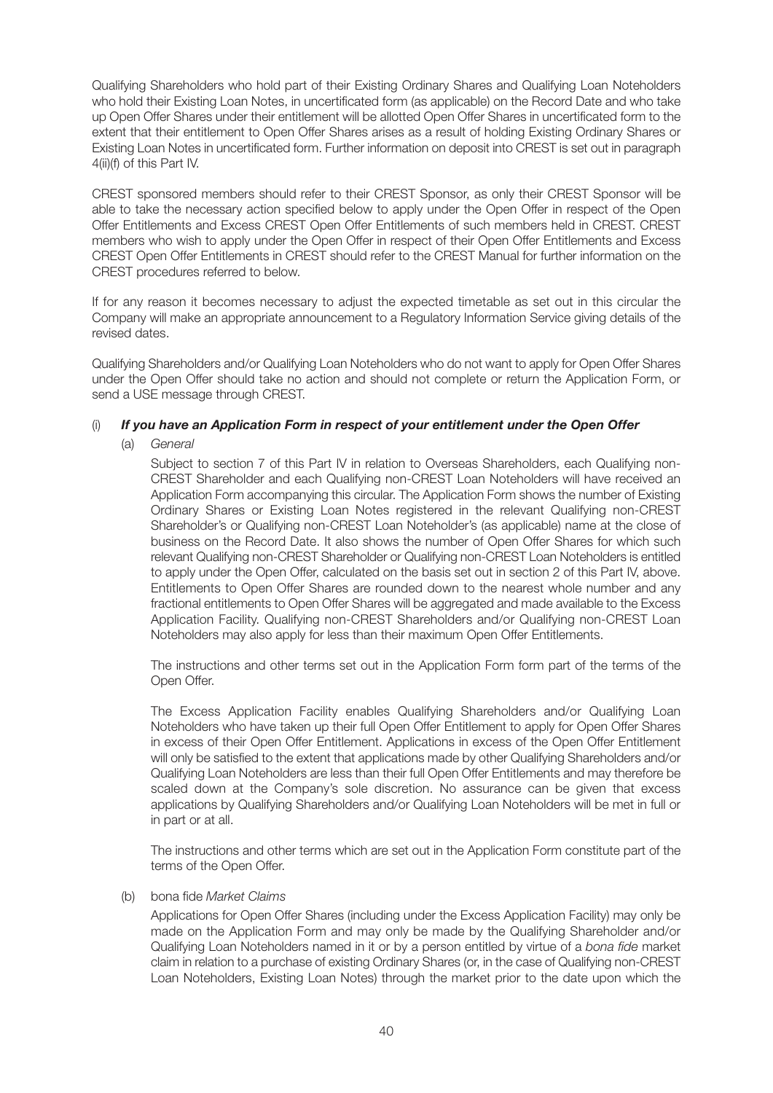Qualifying Shareholders who hold part of their Existing Ordinary Shares and Qualifying Loan Noteholders who hold their Existing Loan Notes, in uncertificated form (as applicable) on the Record Date and who take up Open Offer Shares under their entitlement will be allotted Open Offer Shares in uncertificated form to the extent that their entitlement to Open Offer Shares arises as a result of holding Existing Ordinary Shares or Existing Loan Notes in uncertificated form. Further information on deposit into CREST is set out in paragraph 4(ii)(f) of this Part IV.

CREST sponsored members should refer to their CREST Sponsor, as only their CREST Sponsor will be able to take the necessary action specified below to apply under the Open Offer in respect of the Open Offer Entitlements and Excess CREST Open Offer Entitlements of such members held in CREST. CREST members who wish to apply under the Open Offer in respect of their Open Offer Entitlements and Excess CREST Open Offer Entitlements in CREST should refer to the CREST Manual for further information on the CREST procedures referred to below.

If for any reason it becomes necessary to adjust the expected timetable as set out in this circular the Company will make an appropriate announcement to a Regulatory Information Service giving details of the revised dates.

Qualifying Shareholders and/or Qualifying Loan Noteholders who do not want to apply for Open Offer Shares under the Open Offer should take no action and should not complete or return the Application Form, or send a USE message through CREST.

#### (i) *If you have an Application Form in respect of your entitlement under the Open Offer*

(a) *General*

Subject to section 7 of this Part IV in relation to Overseas Shareholders, each Qualifying non-CREST Shareholder and each Qualifying non-CREST Loan Noteholders will have received an Application Form accompanying this circular. The Application Form shows the number of Existing Ordinary Shares or Existing Loan Notes registered in the relevant Qualifying non-CREST Shareholder's or Qualifying non-CREST Loan Noteholder's (as applicable) name at the close of business on the Record Date. It also shows the number of Open Offer Shares for which such relevant Qualifying non-CREST Shareholder or Qualifying non-CREST Loan Noteholders is entitled to apply under the Open Offer, calculated on the basis set out in section 2 of this Part IV, above. Entitlements to Open Offer Shares are rounded down to the nearest whole number and any fractional entitlements to Open Offer Shares will be aggregated and made available to the Excess Application Facility. Qualifying non-CREST Shareholders and/or Qualifying non-CREST Loan Noteholders may also apply for less than their maximum Open Offer Entitlements.

The instructions and other terms set out in the Application Form form part of the terms of the Open Offer.

The Excess Application Facility enables Qualifying Shareholders and/or Qualifying Loan Noteholders who have taken up their full Open Offer Entitlement to apply for Open Offer Shares in excess of their Open Offer Entitlement. Applications in excess of the Open Offer Entitlement will only be satisfied to the extent that applications made by other Qualifying Shareholders and/or Qualifying Loan Noteholders are less than their full Open Offer Entitlements and may therefore be scaled down at the Company's sole discretion. No assurance can be given that excess applications by Qualifying Shareholders and/or Qualifying Loan Noteholders will be met in full or in part or at all.

The instructions and other terms which are set out in the Application Form constitute part of the terms of the Open Offer.

(b) bona fide *Market Claims*

Applications for Open Offer Shares (including under the Excess Application Facility) may only be made on the Application Form and may only be made by the Qualifying Shareholder and/or Qualifying Loan Noteholders named in it or by a person entitled by virtue of a *bona fide* market claim in relation to a purchase of existing Ordinary Shares (or, in the case of Qualifying non-CREST Loan Noteholders, Existing Loan Notes) through the market prior to the date upon which the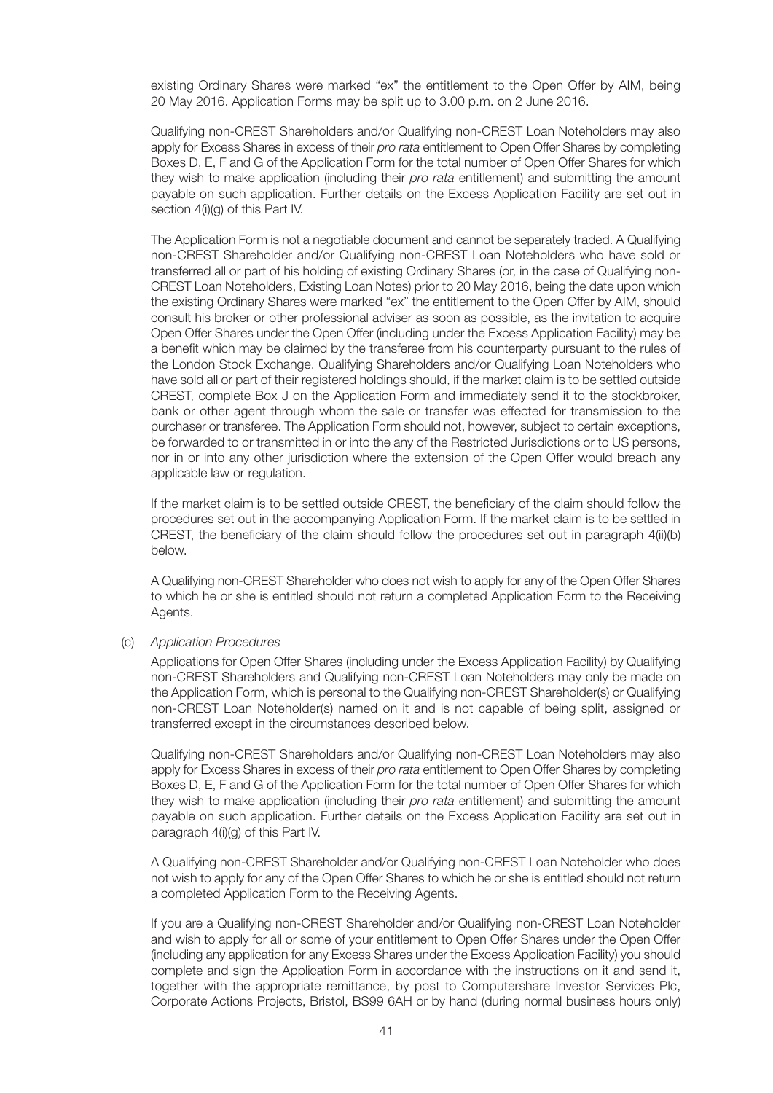existing Ordinary Shares were marked "ex" the entitlement to the Open Offer by AIM, being 20 May 2016. Application Forms may be split up to 3.00 p.m. on 2 June 2016.

Qualifying non-CREST Shareholders and/or Qualifying non-CREST Loan Noteholders may also apply for Excess Shares in excess of their *pro rata* entitlement to Open Offer Shares by completing Boxes D, E, F and G of the Application Form for the total number of Open Offer Shares for which they wish to make application (including their *pro rata* entitlement) and submitting the amount payable on such application. Further details on the Excess Application Facility are set out in section  $4(i)(q)$  of this Part IV.

The Application Form is not a negotiable document and cannot be separately traded. A Qualifying non-CREST Shareholder and/or Qualifying non-CREST Loan Noteholders who have sold or transferred all or part of his holding of existing Ordinary Shares (or, in the case of Qualifying non-CREST Loan Noteholders, Existing Loan Notes) prior to 20 May 2016, being the date upon which the existing Ordinary Shares were marked "ex" the entitlement to the Open Offer by AIM, should consult his broker or other professional adviser as soon as possible, as the invitation to acquire Open Offer Shares under the Open Offer (including under the Excess Application Facility) may be a benefit which may be claimed by the transferee from his counterparty pursuant to the rules of the London Stock Exchange. Qualifying Shareholders and/or Qualifying Loan Noteholders who have sold all or part of their registered holdings should, if the market claim is to be settled outside CREST, complete Box J on the Application Form and immediately send it to the stockbroker, bank or other agent through whom the sale or transfer was effected for transmission to the purchaser or transferee. The Application Form should not, however, subject to certain exceptions, be forwarded to or transmitted in or into the any of the Restricted Jurisdictions or to US persons, nor in or into any other jurisdiction where the extension of the Open Offer would breach any applicable law or regulation.

If the market claim is to be settled outside CREST, the beneficiary of the claim should follow the procedures set out in the accompanying Application Form. If the market claim is to be settled in CREST, the beneficiary of the claim should follow the procedures set out in paragraph 4(ii)(b) below.

A Qualifying non-CREST Shareholder who does not wish to apply for any of the Open Offer Shares to which he or she is entitled should not return a completed Application Form to the Receiving Agents.

#### (c) *Application Procedures*

Applications for Open Offer Shares (including under the Excess Application Facility) by Qualifying non-CREST Shareholders and Qualifying non-CREST Loan Noteholders may only be made on the Application Form, which is personal to the Qualifying non-CREST Shareholder(s) or Qualifying non-CREST Loan Noteholder(s) named on it and is not capable of being split, assigned or transferred except in the circumstances described below.

Qualifying non-CREST Shareholders and/or Qualifying non-CREST Loan Noteholders may also apply for Excess Shares in excess of their *pro rata* entitlement to Open Offer Shares by completing Boxes D, E, F and G of the Application Form for the total number of Open Offer Shares for which they wish to make application (including their *pro rata* entitlement) and submitting the amount payable on such application. Further details on the Excess Application Facility are set out in paragraph 4(i)(g) of this Part IV.

A Qualifying non-CREST Shareholder and/or Qualifying non-CREST Loan Noteholder who does not wish to apply for any of the Open Offer Shares to which he or she is entitled should not return a completed Application Form to the Receiving Agents.

If you are a Qualifying non-CREST Shareholder and/or Qualifying non-CREST Loan Noteholder and wish to apply for all or some of your entitlement to Open Offer Shares under the Open Offer (including any application for any Excess Shares under the Excess Application Facility) you should complete and sign the Application Form in accordance with the instructions on it and send it, together with the appropriate remittance, by post to Computershare Investor Services Plc, Corporate Actions Projects, Bristol, BS99 6AH or by hand (during normal business hours only)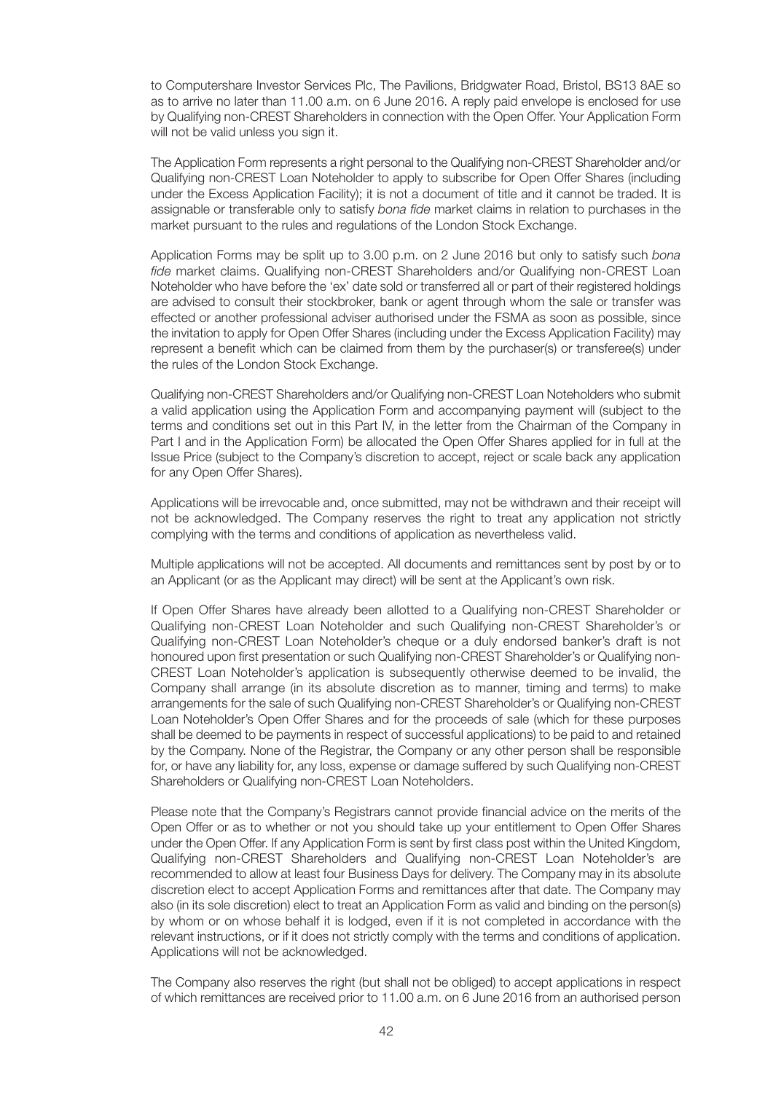to Computershare Investor Services Plc, The Pavilions, Bridgwater Road, Bristol, BS13 8AE so as to arrive no later than 11.00 a.m. on 6 June 2016. A reply paid envelope is enclosed for use by Qualifying non-CREST Shareholders in connection with the Open Offer. Your Application Form will not be valid unless you sign it.

The Application Form represents a right personal to the Qualifying non-CREST Shareholder and/or Qualifying non-CREST Loan Noteholder to apply to subscribe for Open Offer Shares (including under the Excess Application Facility); it is not a document of title and it cannot be traded. It is assignable or transferable only to satisfy *bona fide* market claims in relation to purchases in the market pursuant to the rules and regulations of the London Stock Exchange.

Application Forms may be split up to 3.00 p.m. on 2 June 2016 but only to satisfy such *bona fide* market claims. Qualifying non-CREST Shareholders and/or Qualifying non-CREST Loan Noteholder who have before the 'ex' date sold or transferred all or part of their registered holdings are advised to consult their stockbroker, bank or agent through whom the sale or transfer was effected or another professional adviser authorised under the FSMA as soon as possible, since the invitation to apply for Open Offer Shares (including under the Excess Application Facility) may represent a benefit which can be claimed from them by the purchaser(s) or transferee(s) under the rules of the London Stock Exchange.

Qualifying non-CREST Shareholders and/or Qualifying non-CREST Loan Noteholders who submit a valid application using the Application Form and accompanying payment will (subject to the terms and conditions set out in this Part IV, in the letter from the Chairman of the Company in Part I and in the Application Form) be allocated the Open Offer Shares applied for in full at the Issue Price (subject to the Company's discretion to accept, reject or scale back any application for any Open Offer Shares).

Applications will be irrevocable and, once submitted, may not be withdrawn and their receipt will not be acknowledged. The Company reserves the right to treat any application not strictly complying with the terms and conditions of application as nevertheless valid.

Multiple applications will not be accepted. All documents and remittances sent by post by or to an Applicant (or as the Applicant may direct) will be sent at the Applicant's own risk.

If Open Offer Shares have already been allotted to a Qualifying non-CREST Shareholder or Qualifying non-CREST Loan Noteholder and such Qualifying non-CREST Shareholder's or Qualifying non-CREST Loan Noteholder's cheque or a duly endorsed banker's draft is not honoured upon first presentation or such Qualifying non-CREST Shareholder's or Qualifying non-CREST Loan Noteholder's application is subsequently otherwise deemed to be invalid, the Company shall arrange (in its absolute discretion as to manner, timing and terms) to make arrangements for the sale of such Qualifying non-CREST Shareholder's or Qualifying non-CREST Loan Noteholder's Open Offer Shares and for the proceeds of sale (which for these purposes shall be deemed to be payments in respect of successful applications) to be paid to and retained by the Company. None of the Registrar, the Company or any other person shall be responsible for, or have any liability for, any loss, expense or damage suffered by such Qualifying non-CREST Shareholders or Qualifying non-CREST Loan Noteholders.

Please note that the Company's Registrars cannot provide financial advice on the merits of the Open Offer or as to whether or not you should take up your entitlement to Open Offer Shares under the Open Offer. If any Application Form is sent by first class post within the United Kingdom, Qualifying non-CREST Shareholders and Qualifying non-CREST Loan Noteholder's are recommended to allow at least four Business Days for delivery. The Company may in its absolute discretion elect to accept Application Forms and remittances after that date. The Company may also (in its sole discretion) elect to treat an Application Form as valid and binding on the person(s) by whom or on whose behalf it is lodged, even if it is not completed in accordance with the relevant instructions, or if it does not strictly comply with the terms and conditions of application. Applications will not be acknowledged.

The Company also reserves the right (but shall not be obliged) to accept applications in respect of which remittances are received prior to 11.00 a.m. on 6 June 2016 from an authorised person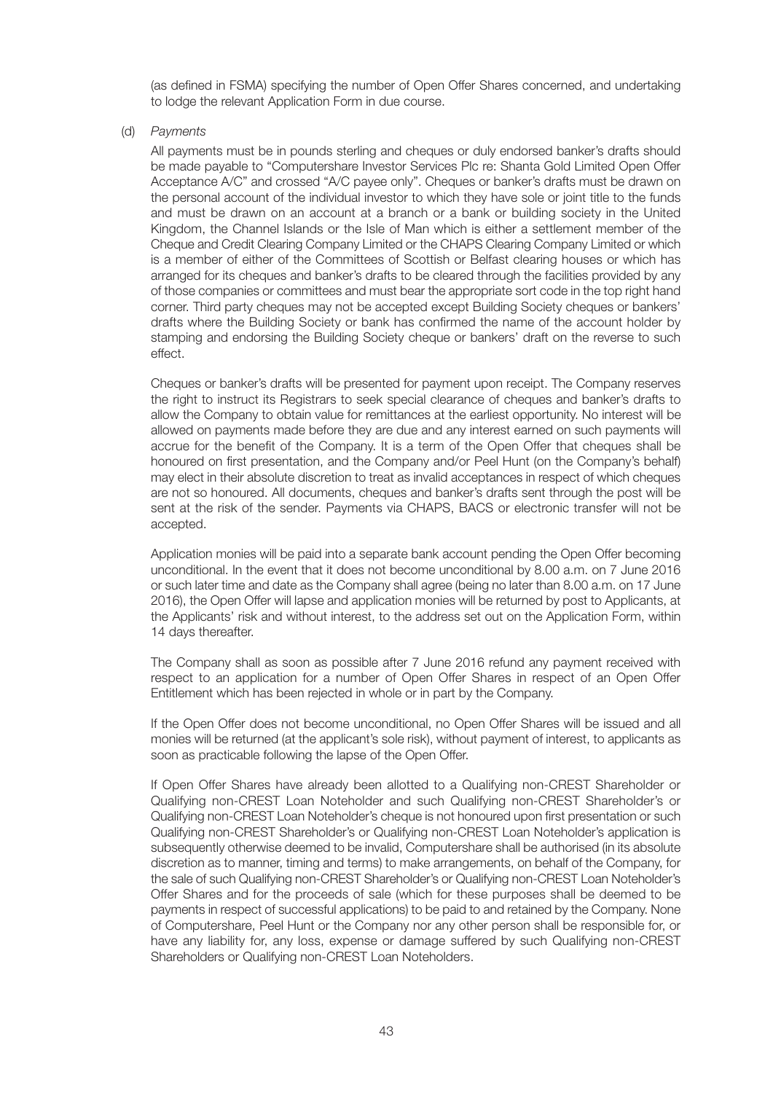(as defined in FSMA) specifying the number of Open Offer Shares concerned, and undertaking to lodge the relevant Application Form in due course.

(d) *Payments*

All payments must be in pounds sterling and cheques or duly endorsed banker's drafts should be made payable to "Computershare Investor Services Plc re: Shanta Gold Limited Open Offer Acceptance A/C" and crossed "A/C payee only". Cheques or banker's drafts must be drawn on the personal account of the individual investor to which they have sole or joint title to the funds and must be drawn on an account at a branch or a bank or building society in the United Kingdom, the Channel Islands or the Isle of Man which is either a settlement member of the Cheque and Credit Clearing Company Limited or the CHAPS Clearing Company Limited or which is a member of either of the Committees of Scottish or Belfast clearing houses or which has arranged for its cheques and banker's drafts to be cleared through the facilities provided by any of those companies or committees and must bear the appropriate sort code in the top right hand corner. Third party cheques may not be accepted except Building Society cheques or bankers' drafts where the Building Society or bank has confirmed the name of the account holder by stamping and endorsing the Building Society cheque or bankers' draft on the reverse to such effect.

Cheques or banker's drafts will be presented for payment upon receipt. The Company reserves the right to instruct its Registrars to seek special clearance of cheques and banker's drafts to allow the Company to obtain value for remittances at the earliest opportunity. No interest will be allowed on payments made before they are due and any interest earned on such payments will accrue for the benefit of the Company. It is a term of the Open Offer that cheques shall be honoured on first presentation, and the Company and/or Peel Hunt (on the Company's behalf) may elect in their absolute discretion to treat as invalid acceptances in respect of which cheques are not so honoured. All documents, cheques and banker's drafts sent through the post will be sent at the risk of the sender. Payments via CHAPS, BACS or electronic transfer will not be accepted.

Application monies will be paid into a separate bank account pending the Open Offer becoming unconditional. In the event that it does not become unconditional by 8.00 a.m. on 7 June 2016 or such later time and date as the Company shall agree (being no later than 8.00 a.m. on 17 June 2016), the Open Offer will lapse and application monies will be returned by post to Applicants, at the Applicants' risk and without interest, to the address set out on the Application Form, within 14 days thereafter.

The Company shall as soon as possible after 7 June 2016 refund any payment received with respect to an application for a number of Open Offer Shares in respect of an Open Offer Entitlement which has been rejected in whole or in part by the Company.

If the Open Offer does not become unconditional, no Open Offer Shares will be issued and all monies will be returned (at the applicant's sole risk), without payment of interest, to applicants as soon as practicable following the lapse of the Open Offer.

If Open Offer Shares have already been allotted to a Qualifying non-CREST Shareholder or Qualifying non-CREST Loan Noteholder and such Qualifying non-CREST Shareholder's or Qualifying non-CREST Loan Noteholder's cheque is not honoured upon first presentation or such Qualifying non-CREST Shareholder's or Qualifying non-CREST Loan Noteholder's application is subsequently otherwise deemed to be invalid, Computershare shall be authorised (in its absolute discretion as to manner, timing and terms) to make arrangements, on behalf of the Company, for the sale of such Qualifying non-CREST Shareholder's or Qualifying non-CREST Loan Noteholder's Offer Shares and for the proceeds of sale (which for these purposes shall be deemed to be payments in respect of successful applications) to be paid to and retained by the Company. None of Computershare, Peel Hunt or the Company nor any other person shall be responsible for, or have any liability for, any loss, expense or damage suffered by such Qualifying non-CREST Shareholders or Qualifying non-CREST Loan Noteholders.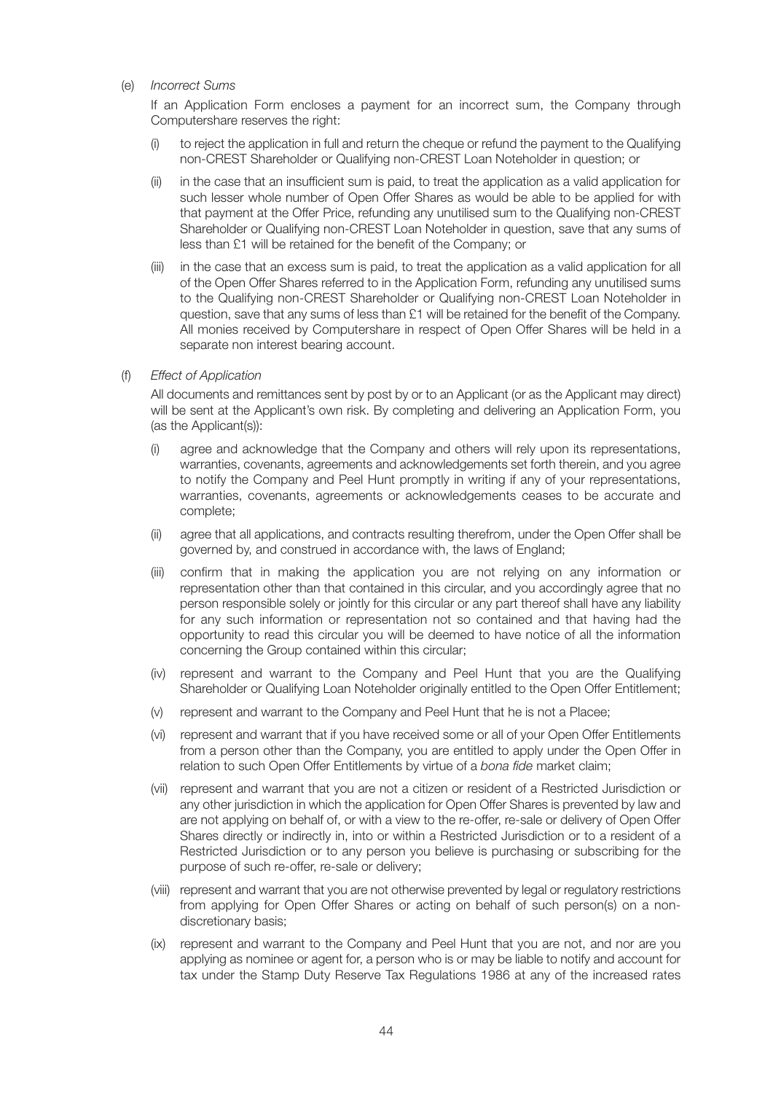#### (e) *Incorrect Sums*

If an Application Form encloses a payment for an incorrect sum, the Company through Computershare reserves the right:

- (i) to reject the application in full and return the cheque or refund the payment to the Qualifying non-CREST Shareholder or Qualifying non-CREST Loan Noteholder in question; or
- (ii) in the case that an insufficient sum is paid, to treat the application as a valid application for such lesser whole number of Open Offer Shares as would be able to be applied for with that payment at the Offer Price, refunding any unutilised sum to the Qualifying non-CREST Shareholder or Qualifying non-CREST Loan Noteholder in question, save that any sums of less than £1 will be retained for the benefit of the Company; or
- (iii) in the case that an excess sum is paid, to treat the application as a valid application for all of the Open Offer Shares referred to in the Application Form, refunding any unutilised sums to the Qualifying non-CREST Shareholder or Qualifying non-CREST Loan Noteholder in question, save that any sums of less than £1 will be retained for the benefit of the Company. All monies received by Computershare in respect of Open Offer Shares will be held in a separate non interest bearing account.
- (f) *Effect of Application*

All documents and remittances sent by post by or to an Applicant (or as the Applicant may direct) will be sent at the Applicant's own risk. By completing and delivering an Application Form, you (as the Applicant(s)):

- (i) agree and acknowledge that the Company and others will rely upon its representations, warranties, covenants, agreements and acknowledgements set forth therein, and you agree to notify the Company and Peel Hunt promptly in writing if any of your representations, warranties, covenants, agreements or acknowledgements ceases to be accurate and complete;
- (ii) agree that all applications, and contracts resulting therefrom, under the Open Offer shall be governed by, and construed in accordance with, the laws of England;
- (iii) confirm that in making the application you are not relying on any information or representation other than that contained in this circular, and you accordingly agree that no person responsible solely or jointly for this circular or any part thereof shall have any liability for any such information or representation not so contained and that having had the opportunity to read this circular you will be deemed to have notice of all the information concerning the Group contained within this circular;
- (iv) represent and warrant to the Company and Peel Hunt that you are the Qualifying Shareholder or Qualifying Loan Noteholder originally entitled to the Open Offer Entitlement;
- (v) represent and warrant to the Company and Peel Hunt that he is not a Placee;
- (vi) represent and warrant that if you have received some or all of your Open Offer Entitlements from a person other than the Company, you are entitled to apply under the Open Offer in relation to such Open Offer Entitlements by virtue of a *bona fide* market claim;
- (vii) represent and warrant that you are not a citizen or resident of a Restricted Jurisdiction or any other jurisdiction in which the application for Open Offer Shares is prevented by law and are not applying on behalf of, or with a view to the re-offer, re-sale or delivery of Open Offer Shares directly or indirectly in, into or within a Restricted Jurisdiction or to a resident of a Restricted Jurisdiction or to any person you believe is purchasing or subscribing for the purpose of such re-offer, re-sale or delivery;
- (viii) represent and warrant that you are not otherwise prevented by legal or regulatory restrictions from applying for Open Offer Shares or acting on behalf of such person(s) on a nondiscretionary basis;
- (ix) represent and warrant to the Company and Peel Hunt that you are not, and nor are you applying as nominee or agent for, a person who is or may be liable to notify and account for tax under the Stamp Duty Reserve Tax Regulations 1986 at any of the increased rates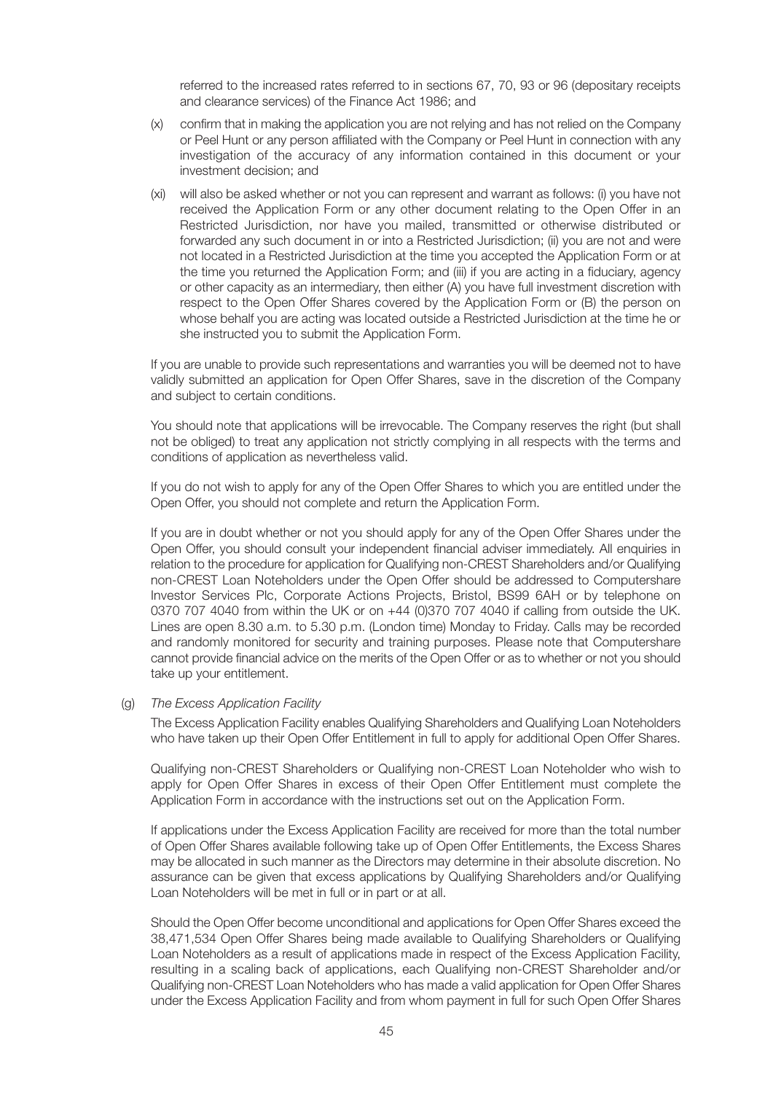referred to the increased rates referred to in sections 67, 70, 93 or 96 (depositary receipts and clearance services) of the Finance Act 1986; and

- (x) confirm that in making the application you are not relying and has not relied on the Company or Peel Hunt or any person affiliated with the Company or Peel Hunt in connection with any investigation of the accuracy of any information contained in this document or your investment decision; and
- (xi) will also be asked whether or not you can represent and warrant as follows: (i) you have not received the Application Form or any other document relating to the Open Offer in an Restricted Jurisdiction, nor have you mailed, transmitted or otherwise distributed or forwarded any such document in or into a Restricted Jurisdiction; (ii) you are not and were not located in a Restricted Jurisdiction at the time you accepted the Application Form or at the time you returned the Application Form; and (iii) if you are acting in a fiduciary, agency or other capacity as an intermediary, then either (A) you have full investment discretion with respect to the Open Offer Shares covered by the Application Form or (B) the person on whose behalf you are acting was located outside a Restricted Jurisdiction at the time he or she instructed you to submit the Application Form.

If you are unable to provide such representations and warranties you will be deemed not to have validly submitted an application for Open Offer Shares, save in the discretion of the Company and subject to certain conditions.

You should note that applications will be irrevocable. The Company reserves the right (but shall not be obliged) to treat any application not strictly complying in all respects with the terms and conditions of application as nevertheless valid.

If you do not wish to apply for any of the Open Offer Shares to which you are entitled under the Open Offer, you should not complete and return the Application Form.

If you are in doubt whether or not you should apply for any of the Open Offer Shares under the Open Offer, you should consult your independent financial adviser immediately. All enquiries in relation to the procedure for application for Qualifying non-CREST Shareholders and/or Qualifying non-CREST Loan Noteholders under the Open Offer should be addressed to Computershare Investor Services Plc, Corporate Actions Projects, Bristol, BS99 6AH or by telephone on 0370 707 4040 from within the UK or on +44 (0)370 707 4040 if calling from outside the UK. Lines are open 8.30 a.m. to 5.30 p.m. (London time) Monday to Friday. Calls may be recorded and randomly monitored for security and training purposes. Please note that Computershare cannot provide financial advice on the merits of the Open Offer or as to whether or not you should take up your entitlement.

#### (g) *The Excess Application Facility*

The Excess Application Facility enables Qualifying Shareholders and Qualifying Loan Noteholders who have taken up their Open Offer Entitlement in full to apply for additional Open Offer Shares.

Qualifying non-CREST Shareholders or Qualifying non-CREST Loan Noteholder who wish to apply for Open Offer Shares in excess of their Open Offer Entitlement must complete the Application Form in accordance with the instructions set out on the Application Form.

If applications under the Excess Application Facility are received for more than the total number of Open Offer Shares available following take up of Open Offer Entitlements, the Excess Shares may be allocated in such manner as the Directors may determine in their absolute discretion. No assurance can be given that excess applications by Qualifying Shareholders and/or Qualifying Loan Noteholders will be met in full or in part or at all.

Should the Open Offer become unconditional and applications for Open Offer Shares exceed the 38,471,534 Open Offer Shares being made available to Qualifying Shareholders or Qualifying Loan Noteholders as a result of applications made in respect of the Excess Application Facility, resulting in a scaling back of applications, each Qualifying non-CREST Shareholder and/or Qualifying non-CREST Loan Noteholders who has made a valid application for Open Offer Shares under the Excess Application Facility and from whom payment in full for such Open Offer Shares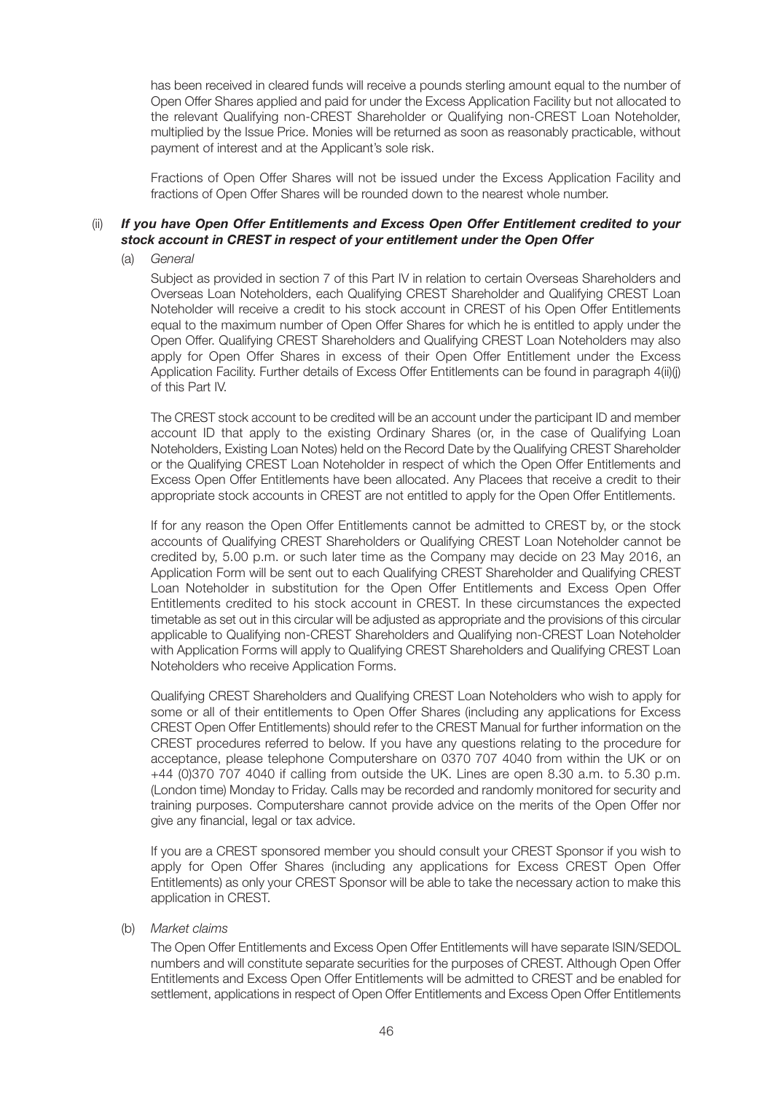has been received in cleared funds will receive a pounds sterling amount equal to the number of Open Offer Shares applied and paid for under the Excess Application Facility but not allocated to the relevant Qualifying non-CREST Shareholder or Qualifying non-CREST Loan Noteholder, multiplied by the Issue Price. Monies will be returned as soon as reasonably practicable, without payment of interest and at the Applicant's sole risk.

Fractions of Open Offer Shares will not be issued under the Excess Application Facility and fractions of Open Offer Shares will be rounded down to the nearest whole number.

#### (ii) *If you have Open Offer Entitlements and Excess Open Offer Entitlement credited to your stock account in CREST in respect of your entitlement under the Open Offer*

(a) *General*

Subject as provided in section 7 of this Part IV in relation to certain Overseas Shareholders and Overseas Loan Noteholders, each Qualifying CREST Shareholder and Qualifying CREST Loan Noteholder will receive a credit to his stock account in CREST of his Open Offer Entitlements equal to the maximum number of Open Offer Shares for which he is entitled to apply under the Open Offer. Qualifying CREST Shareholders and Qualifying CREST Loan Noteholders may also apply for Open Offer Shares in excess of their Open Offer Entitlement under the Excess Application Facility. Further details of Excess Offer Entitlements can be found in paragraph 4(ii)(j) of this Part IV.

The CREST stock account to be credited will be an account under the participant ID and member account ID that apply to the existing Ordinary Shares (or, in the case of Qualifying Loan Noteholders, Existing Loan Notes) held on the Record Date by the Qualifying CREST Shareholder or the Qualifying CREST Loan Noteholder in respect of which the Open Offer Entitlements and Excess Open Offer Entitlements have been allocated. Any Placees that receive a credit to their appropriate stock accounts in CREST are not entitled to apply for the Open Offer Entitlements.

If for any reason the Open Offer Entitlements cannot be admitted to CREST by, or the stock accounts of Qualifying CREST Shareholders or Qualifying CREST Loan Noteholder cannot be credited by, 5.00 p.m. or such later time as the Company may decide on 23 May 2016, an Application Form will be sent out to each Qualifying CREST Shareholder and Qualifying CREST Loan Noteholder in substitution for the Open Offer Entitlements and Excess Open Offer Entitlements credited to his stock account in CREST. In these circumstances the expected timetable as set out in this circular will be adjusted as appropriate and the provisions of this circular applicable to Qualifying non-CREST Shareholders and Qualifying non-CREST Loan Noteholder with Application Forms will apply to Qualifying CREST Shareholders and Qualifying CREST Loan Noteholders who receive Application Forms.

Qualifying CREST Shareholders and Qualifying CREST Loan Noteholders who wish to apply for some or all of their entitlements to Open Offer Shares (including any applications for Excess CREST Open Offer Entitlements) should refer to the CREST Manual for further information on the CREST procedures referred to below. If you have any questions relating to the procedure for acceptance, please telephone Computershare on 0370 707 4040 from within the UK or on +44 (0)370 707 4040 if calling from outside the UK. Lines are open 8.30 a.m. to 5.30 p.m. (London time) Monday to Friday. Calls may be recorded and randomly monitored for security and training purposes. Computershare cannot provide advice on the merits of the Open Offer nor give any financial, legal or tax advice.

If you are a CREST sponsored member you should consult your CREST Sponsor if you wish to apply for Open Offer Shares (including any applications for Excess CREST Open Offer Entitlements) as only your CREST Sponsor will be able to take the necessary action to make this application in CREST.

(b) *Market claims*

The Open Offer Entitlements and Excess Open Offer Entitlements will have separate ISIN/SEDOL numbers and will constitute separate securities for the purposes of CREST. Although Open Offer Entitlements and Excess Open Offer Entitlements will be admitted to CREST and be enabled for settlement, applications in respect of Open Offer Entitlements and Excess Open Offer Entitlements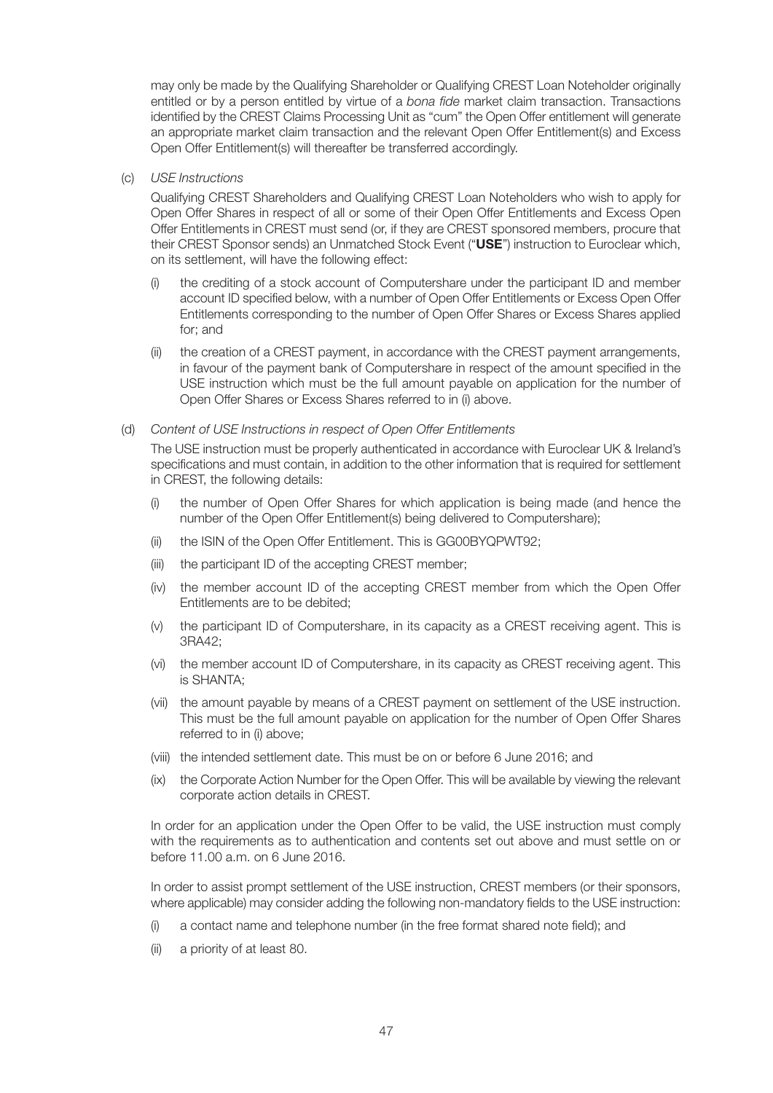may only be made by the Qualifying Shareholder or Qualifying CREST Loan Noteholder originally entitled or by a person entitled by virtue of a *bona fide* market claim transaction. Transactions identified by the CREST Claims Processing Unit as "cum" the Open Offer entitlement will generate an appropriate market claim transaction and the relevant Open Offer Entitlement(s) and Excess Open Offer Entitlement(s) will thereafter be transferred accordingly.

#### (c) *USE Instructions*

Qualifying CREST Shareholders and Qualifying CREST Loan Noteholders who wish to apply for Open Offer Shares in respect of all or some of their Open Offer Entitlements and Excess Open Offer Entitlements in CREST must send (or, if they are CREST sponsored members, procure that their CREST Sponsor sends) an Unmatched Stock Event ("**USE**") instruction to Euroclear which, on its settlement, will have the following effect:

- (i) the crediting of a stock account of Computershare under the participant ID and member account ID specified below, with a number of Open Offer Entitlements or Excess Open Offer Entitlements corresponding to the number of Open Offer Shares or Excess Shares applied for; and
- (ii) the creation of a CREST payment, in accordance with the CREST payment arrangements, in favour of the payment bank of Computershare in respect of the amount specified in the USE instruction which must be the full amount payable on application for the number of Open Offer Shares or Excess Shares referred to in (i) above.

#### (d) *Content of USE Instructions in respect of Open Offer Entitlements*

The USE instruction must be properly authenticated in accordance with Euroclear UK & Ireland's specifications and must contain, in addition to the other information that is required for settlement in CREST, the following details:

- the number of Open Offer Shares for which application is being made (and hence the number of the Open Offer Entitlement(s) being delivered to Computershare);
- (ii) the ISIN of the Open Offer Entitlement. This is GG00BYQPWT92;
- (iii) the participant ID of the accepting CREST member;
- (iv) the member account ID of the accepting CREST member from which the Open Offer Entitlements are to be debited;
- (v) the participant ID of Computershare, in its capacity as a CREST receiving agent. This is 3RA42;
- (vi) the member account ID of Computershare, in its capacity as CREST receiving agent. This is SHANTA;
- (vii) the amount payable by means of a CREST payment on settlement of the USE instruction. This must be the full amount payable on application for the number of Open Offer Shares referred to in (i) above;
- (viii) the intended settlement date. This must be on or before 6 June 2016; and
- (ix) the Corporate Action Number for the Open Offer. This will be available by viewing the relevant corporate action details in CREST.

In order for an application under the Open Offer to be valid, the USE instruction must comply with the requirements as to authentication and contents set out above and must settle on or before 11.00 a.m. on 6 June 2016.

In order to assist prompt settlement of the USE instruction, CREST members (or their sponsors, where applicable) may consider adding the following non-mandatory fields to the USE instruction:

- (i) a contact name and telephone number (in the free format shared note field); and
- (ii) a priority of at least 80.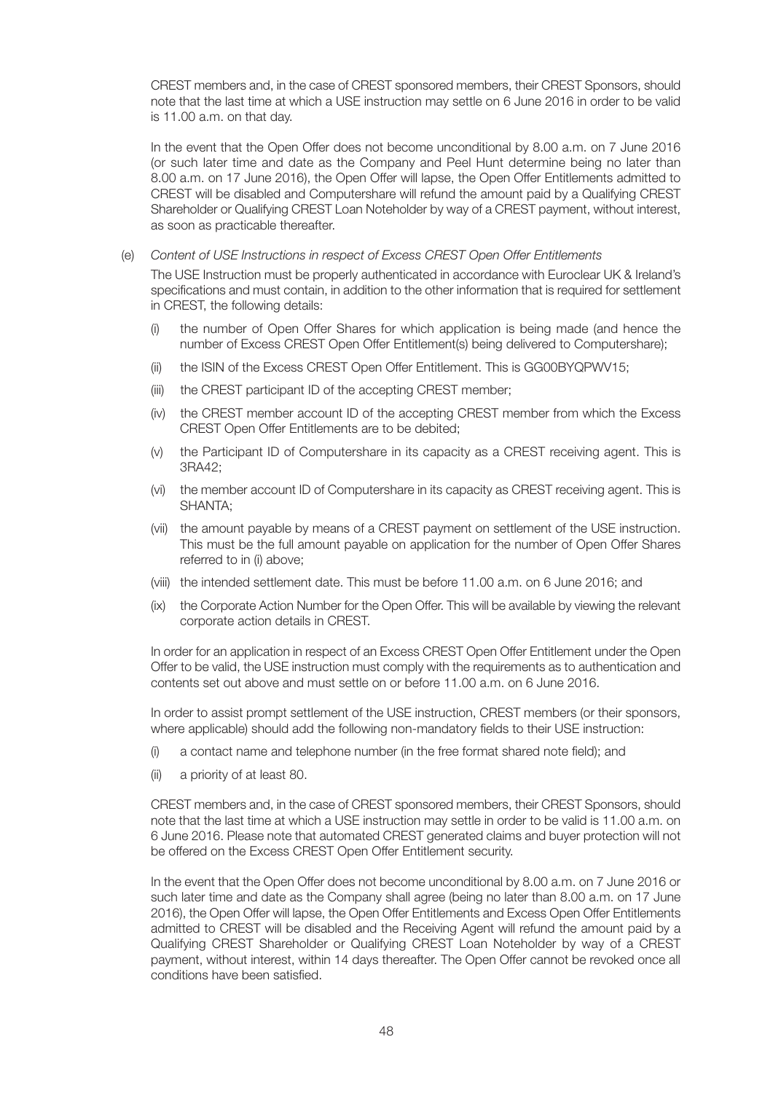CREST members and, in the case of CREST sponsored members, their CREST Sponsors, should note that the last time at which a USE instruction may settle on 6 June 2016 in order to be valid is 11.00 a.m. on that day.

In the event that the Open Offer does not become unconditional by 8.00 a.m. on 7 June 2016 (or such later time and date as the Company and Peel Hunt determine being no later than 8.00 a.m. on 17 June 2016), the Open Offer will lapse, the Open Offer Entitlements admitted to CREST will be disabled and Computershare will refund the amount paid by a Qualifying CREST Shareholder or Qualifying CREST Loan Noteholder by way of a CREST payment, without interest, as soon as practicable thereafter.

(e) *Content of USE Instructions in respect of Excess CREST Open Offer Entitlements*

The USE Instruction must be properly authenticated in accordance with Euroclear UK & Ireland's specifications and must contain, in addition to the other information that is required for settlement in CREST, the following details:

- (i) the number of Open Offer Shares for which application is being made (and hence the number of Excess CREST Open Offer Entitlement(s) being delivered to Computershare);
- (ii) the ISIN of the Excess CREST Open Offer Entitlement. This is GG00BYQPWV15;
- (iii) the CREST participant ID of the accepting CREST member;
- (iv) the CREST member account ID of the accepting CREST member from which the Excess CREST Open Offer Entitlements are to be debited;
- (v) the Participant ID of Computershare in its capacity as a CREST receiving agent. This is 3RA42;
- (vi) the member account ID of Computershare in its capacity as CREST receiving agent. This is SHANTA;
- (vii) the amount payable by means of a CREST payment on settlement of the USE instruction. This must be the full amount payable on application for the number of Open Offer Shares referred to in (i) above;
- (viii) the intended settlement date. This must be before 11.00 a.m. on 6 June 2016; and
- (ix) the Corporate Action Number for the Open Offer. This will be available by viewing the relevant corporate action details in CREST.

In order for an application in respect of an Excess CREST Open Offer Entitlement under the Open Offer to be valid, the USE instruction must comply with the requirements as to authentication and contents set out above and must settle on or before 11.00 a.m. on 6 June 2016.

In order to assist prompt settlement of the USE instruction, CREST members (or their sponsors, where applicable) should add the following non-mandatory fields to their USE instruction:

- (i) a contact name and telephone number (in the free format shared note field); and
- (ii) a priority of at least 80.

CREST members and, in the case of CREST sponsored members, their CREST Sponsors, should note that the last time at which a USE instruction may settle in order to be valid is 11.00 a.m. on 6 June 2016. Please note that automated CREST generated claims and buyer protection will not be offered on the Excess CREST Open Offer Entitlement security.

In the event that the Open Offer does not become unconditional by 8.00 a.m. on 7 June 2016 or such later time and date as the Company shall agree (being no later than 8.00 a.m. on 17 June 2016), the Open Offer will lapse, the Open Offer Entitlements and Excess Open Offer Entitlements admitted to CREST will be disabled and the Receiving Agent will refund the amount paid by a Qualifying CREST Shareholder or Qualifying CREST Loan Noteholder by way of a CREST payment, without interest, within 14 days thereafter. The Open Offer cannot be revoked once all conditions have been satisfied.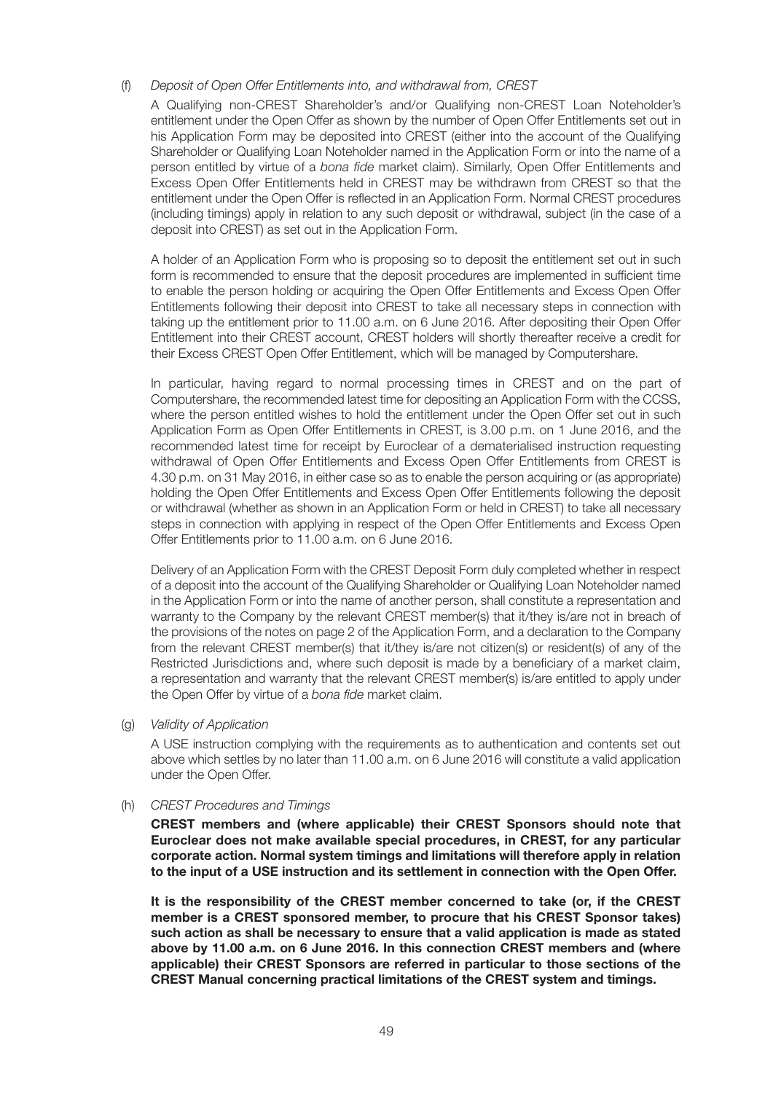#### (f) *Deposit of Open Offer Entitlements into, and withdrawal from, CREST*

A Qualifying non-CREST Shareholder's and/or Qualifying non-CREST Loan Noteholder's entitlement under the Open Offer as shown by the number of Open Offer Entitlements set out in his Application Form may be deposited into CREST (either into the account of the Qualifying Shareholder or Qualifying Loan Noteholder named in the Application Form or into the name of a person entitled by virtue of a *bona fide* market claim). Similarly, Open Offer Entitlements and Excess Open Offer Entitlements held in CREST may be withdrawn from CREST so that the entitlement under the Open Offer is reflected in an Application Form. Normal CREST procedures (including timings) apply in relation to any such deposit or withdrawal, subject (in the case of a deposit into CREST) as set out in the Application Form.

A holder of an Application Form who is proposing so to deposit the entitlement set out in such form is recommended to ensure that the deposit procedures are implemented in sufficient time to enable the person holding or acquiring the Open Offer Entitlements and Excess Open Offer Entitlements following their deposit into CREST to take all necessary steps in connection with taking up the entitlement prior to 11.00 a.m. on 6 June 2016. After depositing their Open Offer Entitlement into their CREST account, CREST holders will shortly thereafter receive a credit for their Excess CREST Open Offer Entitlement, which will be managed by Computershare.

In particular, having regard to normal processing times in CREST and on the part of Computershare, the recommended latest time for depositing an Application Form with the CCSS, where the person entitled wishes to hold the entitlement under the Open Offer set out in such Application Form as Open Offer Entitlements in CREST, is 3.00 p.m. on 1 June 2016, and the recommended latest time for receipt by Euroclear of a dematerialised instruction requesting withdrawal of Open Offer Entitlements and Excess Open Offer Entitlements from CREST is 4.30 p.m. on 31 May 2016, in either case so as to enable the person acquiring or (as appropriate) holding the Open Offer Entitlements and Excess Open Offer Entitlements following the deposit or withdrawal (whether as shown in an Application Form or held in CREST) to take all necessary steps in connection with applying in respect of the Open Offer Entitlements and Excess Open Offer Entitlements prior to 11.00 a.m. on 6 June 2016.

Delivery of an Application Form with the CREST Deposit Form duly completed whether in respect of a deposit into the account of the Qualifying Shareholder or Qualifying Loan Noteholder named in the Application Form or into the name of another person, shall constitute a representation and warranty to the Company by the relevant CREST member(s) that it/they is/are not in breach of the provisions of the notes on page 2 of the Application Form, and a declaration to the Company from the relevant CREST member(s) that it/they is/are not citizen(s) or resident(s) of any of the Restricted Jurisdictions and, where such deposit is made by a beneficiary of a market claim, a representation and warranty that the relevant CREST member(s) is/are entitled to apply under the Open Offer by virtue of a *bona fide* market claim.

(g) *Validity of Application*

A USE instruction complying with the requirements as to authentication and contents set out above which settles by no later than 11.00 a.m. on 6 June 2016 will constitute a valid application under the Open Offer.

#### (h) *CREST Procedures and Timings*

**CREST members and (where applicable) their CREST Sponsors should note that Euroclear does not make available special procedures, in CREST, for any particular corporate action. Normal system timings and limitations will therefore apply in relation to the input of a USE instruction and its settlement in connection with the Open Offer.**

**It is the responsibility of the CREST member concerned to take (or, if the CREST member is a CREST sponsored member, to procure that his CREST Sponsor takes) such action as shall be necessary to ensure that a valid application is made as stated above by 11.00 a.m. on 6 June 2016. In this connection CREST members and (where applicable) their CREST Sponsors are referred in particular to those sections of the CREST Manual concerning practical limitations of the CREST system and timings.**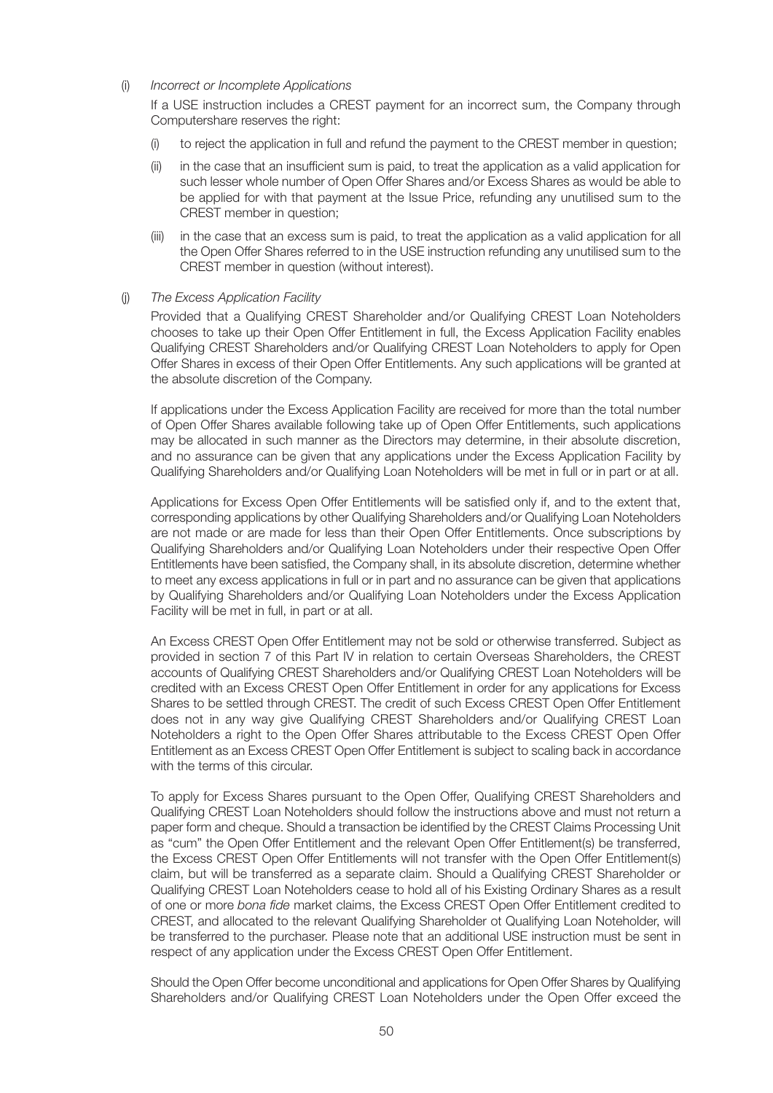#### (i) *Incorrect or Incomplete Applications*

If a USE instruction includes a CREST payment for an incorrect sum, the Company through Computershare reserves the right:

- (i) to reject the application in full and refund the payment to the CREST member in question;
- (ii) in the case that an insufficient sum is paid, to treat the application as a valid application for such lesser whole number of Open Offer Shares and/or Excess Shares as would be able to be applied for with that payment at the Issue Price, refunding any unutilised sum to the CREST member in question;
- (iii) in the case that an excess sum is paid, to treat the application as a valid application for all the Open Offer Shares referred to in the USE instruction refunding any unutilised sum to the CREST member in question (without interest).

#### (j) *The Excess Application Facility*

Provided that a Qualifying CREST Shareholder and/or Qualifying CREST Loan Noteholders chooses to take up their Open Offer Entitlement in full, the Excess Application Facility enables Qualifying CREST Shareholders and/or Qualifying CREST Loan Noteholders to apply for Open Offer Shares in excess of their Open Offer Entitlements. Any such applications will be granted at the absolute discretion of the Company.

If applications under the Excess Application Facility are received for more than the total number of Open Offer Shares available following take up of Open Offer Entitlements, such applications may be allocated in such manner as the Directors may determine, in their absolute discretion, and no assurance can be given that any applications under the Excess Application Facility by Qualifying Shareholders and/or Qualifying Loan Noteholders will be met in full or in part or at all.

Applications for Excess Open Offer Entitlements will be satisfied only if, and to the extent that, corresponding applications by other Qualifying Shareholders and/or Qualifying Loan Noteholders are not made or are made for less than their Open Offer Entitlements. Once subscriptions by Qualifying Shareholders and/or Qualifying Loan Noteholders under their respective Open Offer Entitlements have been satisfied, the Company shall, in its absolute discretion, determine whether to meet any excess applications in full or in part and no assurance can be given that applications by Qualifying Shareholders and/or Qualifying Loan Noteholders under the Excess Application Facility will be met in full, in part or at all.

An Excess CREST Open Offer Entitlement may not be sold or otherwise transferred. Subject as provided in section 7 of this Part IV in relation to certain Overseas Shareholders, the CREST accounts of Qualifying CREST Shareholders and/or Qualifying CREST Loan Noteholders will be credited with an Excess CREST Open Offer Entitlement in order for any applications for Excess Shares to be settled through CREST. The credit of such Excess CREST Open Offer Entitlement does not in any way give Qualifying CREST Shareholders and/or Qualifying CREST Loan Noteholders a right to the Open Offer Shares attributable to the Excess CREST Open Offer Entitlement as an Excess CREST Open Offer Entitlement is subject to scaling back in accordance with the terms of this circular.

To apply for Excess Shares pursuant to the Open Offer, Qualifying CREST Shareholders and Qualifying CREST Loan Noteholders should follow the instructions above and must not return a paper form and cheque. Should a transaction be identified by the CREST Claims Processing Unit as "cum" the Open Offer Entitlement and the relevant Open Offer Entitlement(s) be transferred, the Excess CREST Open Offer Entitlements will not transfer with the Open Offer Entitlement(s) claim, but will be transferred as a separate claim. Should a Qualifying CREST Shareholder or Qualifying CREST Loan Noteholders cease to hold all of his Existing Ordinary Shares as a result of one or more *bona fide* market claims, the Excess CREST Open Offer Entitlement credited to CREST, and allocated to the relevant Qualifying Shareholder ot Qualifying Loan Noteholder, will be transferred to the purchaser. Please note that an additional USE instruction must be sent in respect of any application under the Excess CREST Open Offer Entitlement.

Should the Open Offer become unconditional and applications for Open Offer Shares by Qualifying Shareholders and/or Qualifying CREST Loan Noteholders under the Open Offer exceed the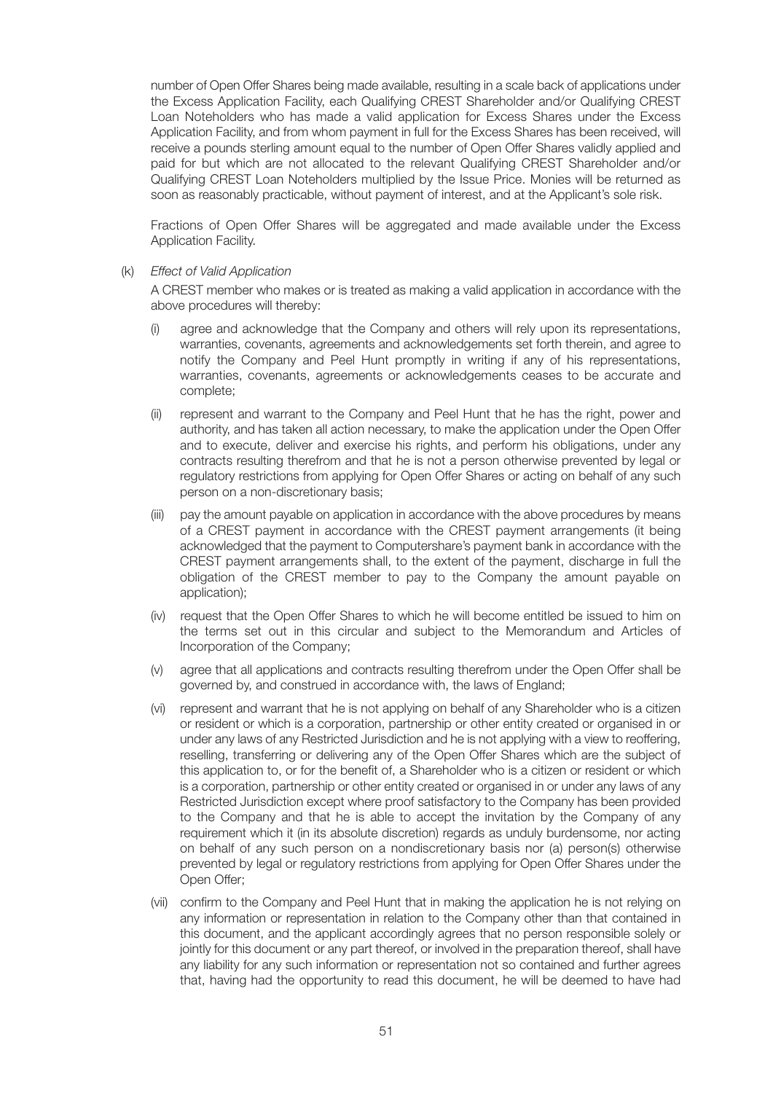number of Open Offer Shares being made available, resulting in a scale back of applications under the Excess Application Facility, each Qualifying CREST Shareholder and/or Qualifying CREST Loan Noteholders who has made a valid application for Excess Shares under the Excess Application Facility, and from whom payment in full for the Excess Shares has been received, will receive a pounds sterling amount equal to the number of Open Offer Shares validly applied and paid for but which are not allocated to the relevant Qualifying CREST Shareholder and/or Qualifying CREST Loan Noteholders multiplied by the Issue Price. Monies will be returned as soon as reasonably practicable, without payment of interest, and at the Applicant's sole risk.

Fractions of Open Offer Shares will be aggregated and made available under the Excess Application Facility.

(k) *Effect of Valid Application*

A CREST member who makes or is treated as making a valid application in accordance with the above procedures will thereby:

- (i) agree and acknowledge that the Company and others will rely upon its representations, warranties, covenants, agreements and acknowledgements set forth therein, and agree to notify the Company and Peel Hunt promptly in writing if any of his representations, warranties, covenants, agreements or acknowledgements ceases to be accurate and complete;
- (ii) represent and warrant to the Company and Peel Hunt that he has the right, power and authority, and has taken all action necessary, to make the application under the Open Offer and to execute, deliver and exercise his rights, and perform his obligations, under any contracts resulting therefrom and that he is not a person otherwise prevented by legal or regulatory restrictions from applying for Open Offer Shares or acting on behalf of any such person on a non-discretionary basis;
- (iii) pay the amount payable on application in accordance with the above procedures by means of a CREST payment in accordance with the CREST payment arrangements (it being acknowledged that the payment to Computershare's payment bank in accordance with the CREST payment arrangements shall, to the extent of the payment, discharge in full the obligation of the CREST member to pay to the Company the amount payable on application);
- (iv) request that the Open Offer Shares to which he will become entitled be issued to him on the terms set out in this circular and subject to the Memorandum and Articles of Incorporation of the Company;
- (v) agree that all applications and contracts resulting therefrom under the Open Offer shall be governed by, and construed in accordance with, the laws of England;
- (vi) represent and warrant that he is not applying on behalf of any Shareholder who is a citizen or resident or which is a corporation, partnership or other entity created or organised in or under any laws of any Restricted Jurisdiction and he is not applying with a view to reoffering, reselling, transferring or delivering any of the Open Offer Shares which are the subject of this application to, or for the benefit of, a Shareholder who is a citizen or resident or which is a corporation, partnership or other entity created or organised in or under any laws of any Restricted Jurisdiction except where proof satisfactory to the Company has been provided to the Company and that he is able to accept the invitation by the Company of any requirement which it (in its absolute discretion) regards as unduly burdensome, nor acting on behalf of any such person on a nondiscretionary basis nor (a) person(s) otherwise prevented by legal or regulatory restrictions from applying for Open Offer Shares under the Open Offer;
- (vii) confirm to the Company and Peel Hunt that in making the application he is not relying on any information or representation in relation to the Company other than that contained in this document, and the applicant accordingly agrees that no person responsible solely or jointly for this document or any part thereof, or involved in the preparation thereof, shall have any liability for any such information or representation not so contained and further agrees that, having had the opportunity to read this document, he will be deemed to have had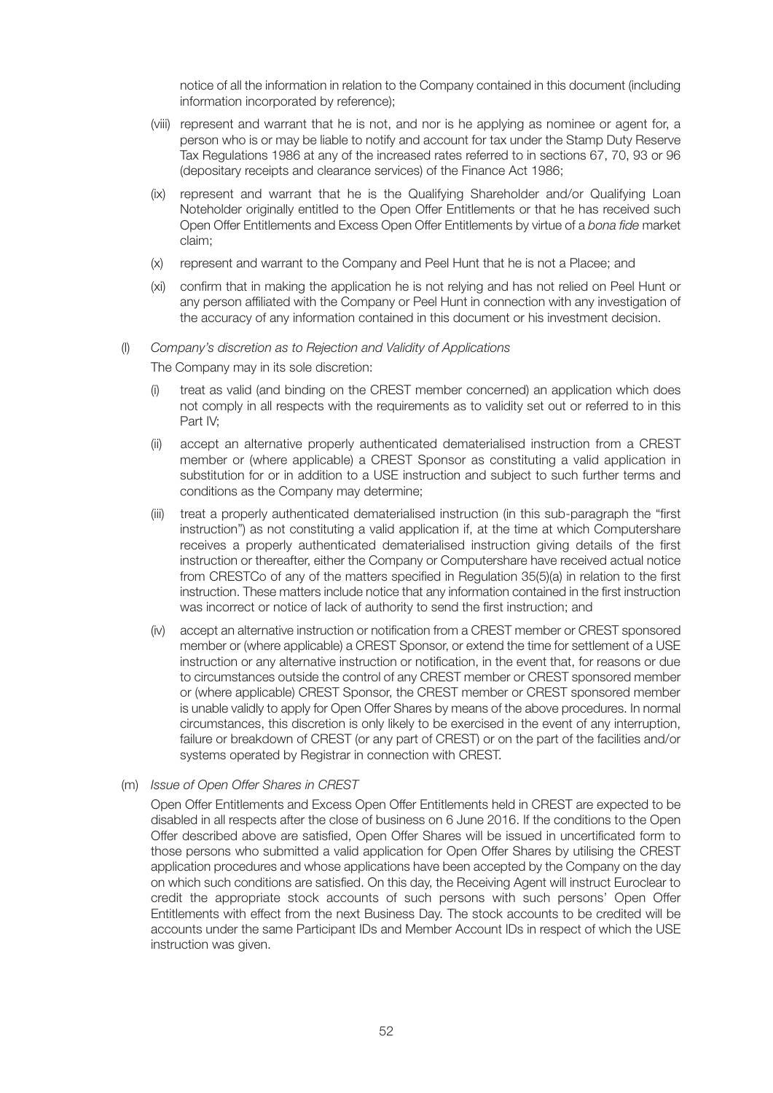notice of all the information in relation to the Company contained in this document (including information incorporated by reference);

- (viii) represent and warrant that he is not, and nor is he applying as nominee or agent for, a person who is or may be liable to notify and account for tax under the Stamp Duty Reserve Tax Regulations 1986 at any of the increased rates referred to in sections 67, 70, 93 or 96 (depositary receipts and clearance services) of the Finance Act 1986;
- (ix) represent and warrant that he is the Qualifying Shareholder and/or Qualifying Loan Noteholder originally entitled to the Open Offer Entitlements or that he has received such Open Offer Entitlements and Excess Open Offer Entitlements by virtue of a *bona fide* market claim;
- (x) represent and warrant to the Company and Peel Hunt that he is not a Placee; and
- (xi) confirm that in making the application he is not relying and has not relied on Peel Hunt or any person affiliated with the Company or Peel Hunt in connection with any investigation of the accuracy of any information contained in this document or his investment decision.

#### (l) *Company's discretion as to Rejection and Validity of Applications*

The Company may in its sole discretion:

- (i) treat as valid (and binding on the CREST member concerned) an application which does not comply in all respects with the requirements as to validity set out or referred to in this Part IV;
- accept an alternative properly authenticated dematerialised instruction from a CREST member or (where applicable) a CREST Sponsor as constituting a valid application in substitution for or in addition to a USE instruction and subject to such further terms and conditions as the Company may determine;
- (iii) treat a properly authenticated dematerialised instruction (in this sub-paragraph the "first instruction") as not constituting a valid application if, at the time at which Computershare receives a properly authenticated dematerialised instruction giving details of the first instruction or thereafter, either the Company or Computershare have received actual notice from CRESTCo of any of the matters specified in Regulation 35(5)(a) in relation to the first instruction. These matters include notice that any information contained in the first instruction was incorrect or notice of lack of authority to send the first instruction; and
- (iv) accept an alternative instruction or notification from a CREST member or CREST sponsored member or (where applicable) a CREST Sponsor, or extend the time for settlement of a USE instruction or any alternative instruction or notification, in the event that, for reasons or due to circumstances outside the control of any CREST member or CREST sponsored member or (where applicable) CREST Sponsor, the CREST member or CREST sponsored member is unable validly to apply for Open Offer Shares by means of the above procedures. In normal circumstances, this discretion is only likely to be exercised in the event of any interruption, failure or breakdown of CREST (or any part of CREST) or on the part of the facilities and/or systems operated by Registrar in connection with CREST.
- (m) *Issue of Open Offer Shares in CREST*

Open Offer Entitlements and Excess Open Offer Entitlements held in CREST are expected to be disabled in all respects after the close of business on 6 June 2016. If the conditions to the Open Offer described above are satisfied, Open Offer Shares will be issued in uncertificated form to those persons who submitted a valid application for Open Offer Shares by utilising the CREST application procedures and whose applications have been accepted by the Company on the day on which such conditions are satisfied. On this day, the Receiving Agent will instruct Euroclear to credit the appropriate stock accounts of such persons with such persons' Open Offer Entitlements with effect from the next Business Day. The stock accounts to be credited will be accounts under the same Participant IDs and Member Account IDs in respect of which the USE instruction was given.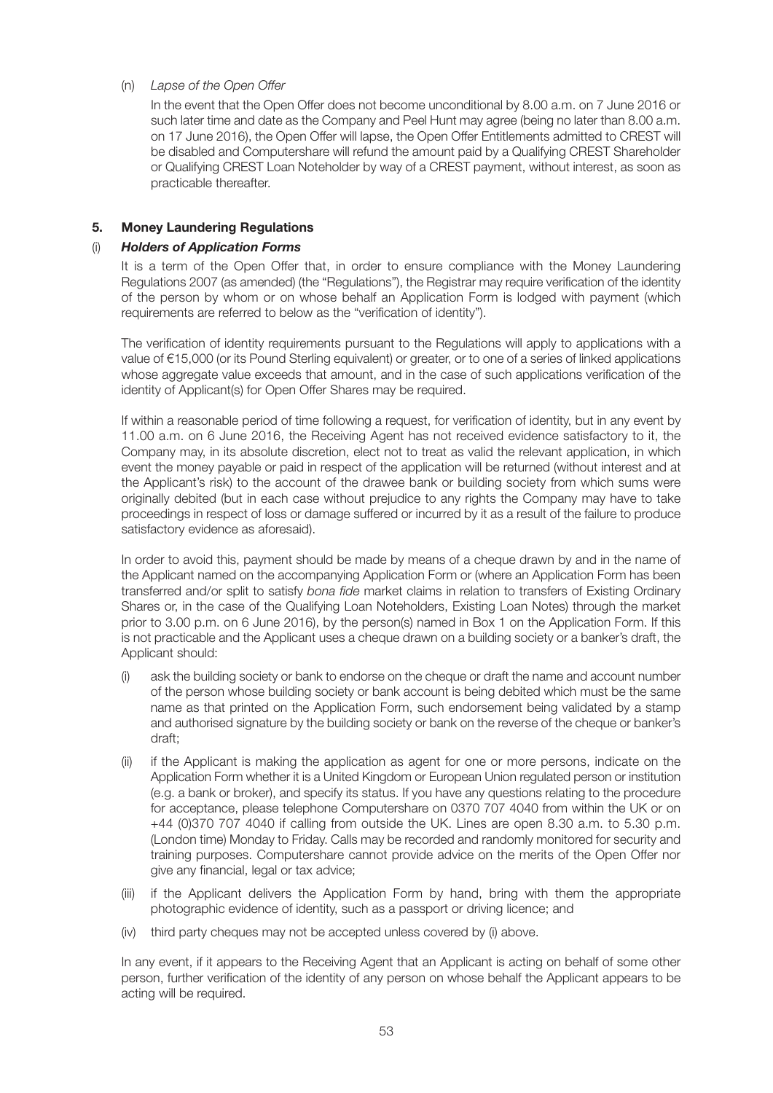#### (n) *Lapse of the Open Offer*

In the event that the Open Offer does not become unconditional by 8.00 a.m. on 7 June 2016 or such later time and date as the Company and Peel Hunt may agree (being no later than 8.00 a.m. on 17 June 2016), the Open Offer will lapse, the Open Offer Entitlements admitted to CREST will be disabled and Computershare will refund the amount paid by a Qualifying CREST Shareholder or Qualifying CREST Loan Noteholder by way of a CREST payment, without interest, as soon as practicable thereafter.

#### **5. Money Laundering Regulations**

#### (i) *Holders of Application Forms*

It is a term of the Open Offer that, in order to ensure compliance with the Money Laundering Regulations 2007 (as amended) (the "Regulations"), the Registrar may require verification of the identity of the person by whom or on whose behalf an Application Form is lodged with payment (which requirements are referred to below as the "verification of identity").

The verification of identity requirements pursuant to the Regulations will apply to applications with a value of €15,000 (or its Pound Sterling equivalent) or greater, or to one of a series of linked applications whose aggregate value exceeds that amount, and in the case of such applications verification of the identity of Applicant(s) for Open Offer Shares may be required.

If within a reasonable period of time following a request, for verification of identity, but in any event by 11.00 a.m. on 6 June 2016, the Receiving Agent has not received evidence satisfactory to it, the Company may, in its absolute discretion, elect not to treat as valid the relevant application, in which event the money payable or paid in respect of the application will be returned (without interest and at the Applicant's risk) to the account of the drawee bank or building society from which sums were originally debited (but in each case without prejudice to any rights the Company may have to take proceedings in respect of loss or damage suffered or incurred by it as a result of the failure to produce satisfactory evidence as aforesaid).

In order to avoid this, payment should be made by means of a cheque drawn by and in the name of the Applicant named on the accompanying Application Form or (where an Application Form has been transferred and/or split to satisfy *bona fide* market claims in relation to transfers of Existing Ordinary Shares or, in the case of the Qualifying Loan Noteholders, Existing Loan Notes) through the market prior to 3.00 p.m. on 6 June 2016), by the person(s) named in Box 1 on the Application Form. If this is not practicable and the Applicant uses a cheque drawn on a building society or a banker's draft, the Applicant should:

- (i) ask the building society or bank to endorse on the cheque or draft the name and account number of the person whose building society or bank account is being debited which must be the same name as that printed on the Application Form, such endorsement being validated by a stamp and authorised signature by the building society or bank on the reverse of the cheque or banker's draft;
- (ii) if the Applicant is making the application as agent for one or more persons, indicate on the Application Form whether it is a United Kingdom or European Union regulated person or institution (e.g. a bank or broker), and specify its status. If you have any questions relating to the procedure for acceptance, please telephone Computershare on 0370 707 4040 from within the UK or on +44 (0)370 707 4040 if calling from outside the UK. Lines are open 8.30 a.m. to 5.30 p.m. (London time) Monday to Friday. Calls may be recorded and randomly monitored for security and training purposes. Computershare cannot provide advice on the merits of the Open Offer nor give any financial, legal or tax advice;
- (iii) if the Applicant delivers the Application Form by hand, bring with them the appropriate photographic evidence of identity, such as a passport or driving licence; and
- (iv) third party cheques may not be accepted unless covered by (i) above.

In any event, if it appears to the Receiving Agent that an Applicant is acting on behalf of some other person, further verification of the identity of any person on whose behalf the Applicant appears to be acting will be required.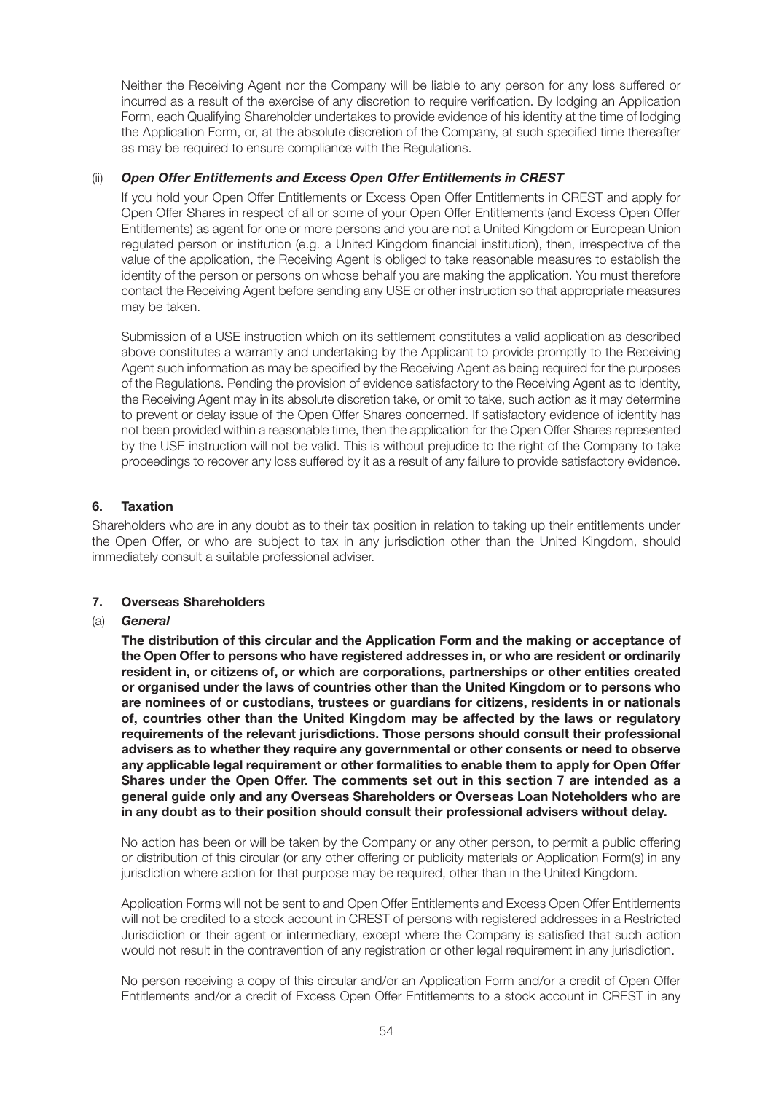Neither the Receiving Agent nor the Company will be liable to any person for any loss suffered or incurred as a result of the exercise of any discretion to require verification. By lodging an Application Form, each Qualifying Shareholder undertakes to provide evidence of his identity at the time of lodging the Application Form, or, at the absolute discretion of the Company, at such specified time thereafter as may be required to ensure compliance with the Regulations.

#### (ii) *Open Offer Entitlements and Excess Open Offer Entitlements in CREST*

If you hold your Open Offer Entitlements or Excess Open Offer Entitlements in CREST and apply for Open Offer Shares in respect of all or some of your Open Offer Entitlements (and Excess Open Offer Entitlements) as agent for one or more persons and you are not a United Kingdom or European Union regulated person or institution (e.g. a United Kingdom financial institution), then, irrespective of the value of the application, the Receiving Agent is obliged to take reasonable measures to establish the identity of the person or persons on whose behalf you are making the application. You must therefore contact the Receiving Agent before sending any USE or other instruction so that appropriate measures may be taken.

Submission of a USE instruction which on its settlement constitutes a valid application as described above constitutes a warranty and undertaking by the Applicant to provide promptly to the Receiving Agent such information as may be specified by the Receiving Agent as being required for the purposes of the Regulations. Pending the provision of evidence satisfactory to the Receiving Agent as to identity, the Receiving Agent may in its absolute discretion take, or omit to take, such action as it may determine to prevent or delay issue of the Open Offer Shares concerned. If satisfactory evidence of identity has not been provided within a reasonable time, then the application for the Open Offer Shares represented by the USE instruction will not be valid. This is without prejudice to the right of the Company to take proceedings to recover any loss suffered by it as a result of any failure to provide satisfactory evidence.

#### **6. Taxation**

Shareholders who are in any doubt as to their tax position in relation to taking up their entitlements under the Open Offer, or who are subject to tax in any jurisdiction other than the United Kingdom, should immediately consult a suitable professional adviser.

#### **7. Overseas Shareholders**

#### (a) *General*

**The distribution of this circular and the Application Form and the making or acceptance of the Open Offer to persons who have registered addresses in, or who are resident or ordinarily resident in, or citizens of, or which are corporations, partnerships or other entities created or organised under the laws of countries other than the United Kingdom or to persons who are nominees of or custodians, trustees or guardians for citizens, residents in or nationals of, countries other than the United Kingdom may be affected by the laws or regulatory requirements of the relevant jurisdictions. Those persons should consult their professional advisers as to whether they require any governmental or other consents or need to observe any applicable legal requirement or other formalities to enable them to apply for Open Offer Shares under the Open Offer. The comments set out in this section 7 are intended as a general guide only and any Overseas Shareholders or Overseas Loan Noteholders who are in any doubt as to their position should consult their professional advisers without delay.**

No action has been or will be taken by the Company or any other person, to permit a public offering or distribution of this circular (or any other offering or publicity materials or Application Form(s) in any jurisdiction where action for that purpose may be required, other than in the United Kingdom.

Application Forms will not be sent to and Open Offer Entitlements and Excess Open Offer Entitlements will not be credited to a stock account in CREST of persons with registered addresses in a Restricted Jurisdiction or their agent or intermediary, except where the Company is satisfied that such action would not result in the contravention of any registration or other legal requirement in any jurisdiction.

No person receiving a copy of this circular and/or an Application Form and/or a credit of Open Offer Entitlements and/or a credit of Excess Open Offer Entitlements to a stock account in CREST in any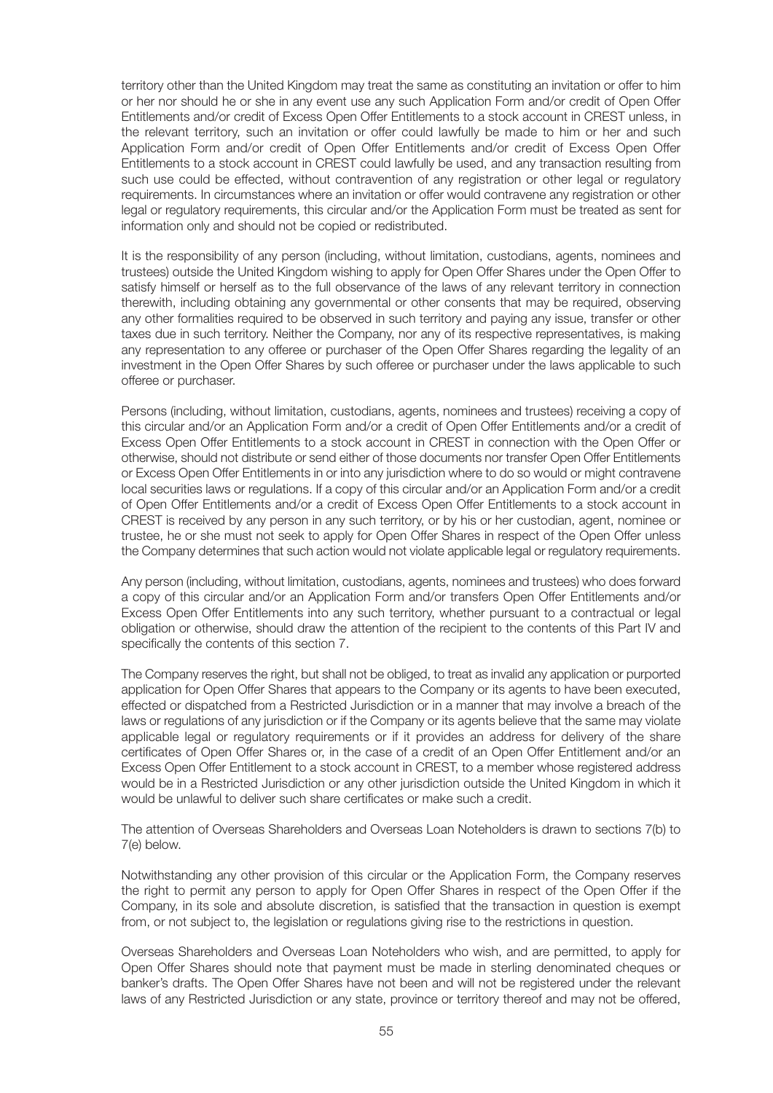territory other than the United Kingdom may treat the same as constituting an invitation or offer to him or her nor should he or she in any event use any such Application Form and/or credit of Open Offer Entitlements and/or credit of Excess Open Offer Entitlements to a stock account in CREST unless, in the relevant territory, such an invitation or offer could lawfully be made to him or her and such Application Form and/or credit of Open Offer Entitlements and/or credit of Excess Open Offer Entitlements to a stock account in CREST could lawfully be used, and any transaction resulting from such use could be effected, without contravention of any registration or other legal or regulatory requirements. In circumstances where an invitation or offer would contravene any registration or other legal or regulatory requirements, this circular and/or the Application Form must be treated as sent for information only and should not be copied or redistributed.

It is the responsibility of any person (including, without limitation, custodians, agents, nominees and trustees) outside the United Kingdom wishing to apply for Open Offer Shares under the Open Offer to satisfy himself or herself as to the full observance of the laws of any relevant territory in connection therewith, including obtaining any governmental or other consents that may be required, observing any other formalities required to be observed in such territory and paying any issue, transfer or other taxes due in such territory. Neither the Company, nor any of its respective representatives, is making any representation to any offeree or purchaser of the Open Offer Shares regarding the legality of an investment in the Open Offer Shares by such offeree or purchaser under the laws applicable to such offeree or purchaser.

Persons (including, without limitation, custodians, agents, nominees and trustees) receiving a copy of this circular and/or an Application Form and/or a credit of Open Offer Entitlements and/or a credit of Excess Open Offer Entitlements to a stock account in CREST in connection with the Open Offer or otherwise, should not distribute or send either of those documents nor transfer Open Offer Entitlements or Excess Open Offer Entitlements in or into any jurisdiction where to do so would or might contravene local securities laws or regulations. If a copy of this circular and/or an Application Form and/or a credit of Open Offer Entitlements and/or a credit of Excess Open Offer Entitlements to a stock account in CREST is received by any person in any such territory, or by his or her custodian, agent, nominee or trustee, he or she must not seek to apply for Open Offer Shares in respect of the Open Offer unless the Company determines that such action would not violate applicable legal or regulatory requirements.

Any person (including, without limitation, custodians, agents, nominees and trustees) who does forward a copy of this circular and/or an Application Form and/or transfers Open Offer Entitlements and/or Excess Open Offer Entitlements into any such territory, whether pursuant to a contractual or legal obligation or otherwise, should draw the attention of the recipient to the contents of this Part IV and specifically the contents of this section 7.

The Company reserves the right, but shall not be obliged, to treat as invalid any application or purported application for Open Offer Shares that appears to the Company or its agents to have been executed, effected or dispatched from a Restricted Jurisdiction or in a manner that may involve a breach of the laws or regulations of any jurisdiction or if the Company or its agents believe that the same may violate applicable legal or regulatory requirements or if it provides an address for delivery of the share certificates of Open Offer Shares or, in the case of a credit of an Open Offer Entitlement and/or an Excess Open Offer Entitlement to a stock account in CREST, to a member whose registered address would be in a Restricted Jurisdiction or any other jurisdiction outside the United Kingdom in which it would be unlawful to deliver such share certificates or make such a credit.

The attention of Overseas Shareholders and Overseas Loan Noteholders is drawn to sections 7(b) to 7(e) below.

Notwithstanding any other provision of this circular or the Application Form, the Company reserves the right to permit any person to apply for Open Offer Shares in respect of the Open Offer if the Company, in its sole and absolute discretion, is satisfied that the transaction in question is exempt from, or not subject to, the legislation or regulations giving rise to the restrictions in question.

Overseas Shareholders and Overseas Loan Noteholders who wish, and are permitted, to apply for Open Offer Shares should note that payment must be made in sterling denominated cheques or banker's drafts. The Open Offer Shares have not been and will not be registered under the relevant laws of any Restricted Jurisdiction or any state, province or territory thereof and may not be offered,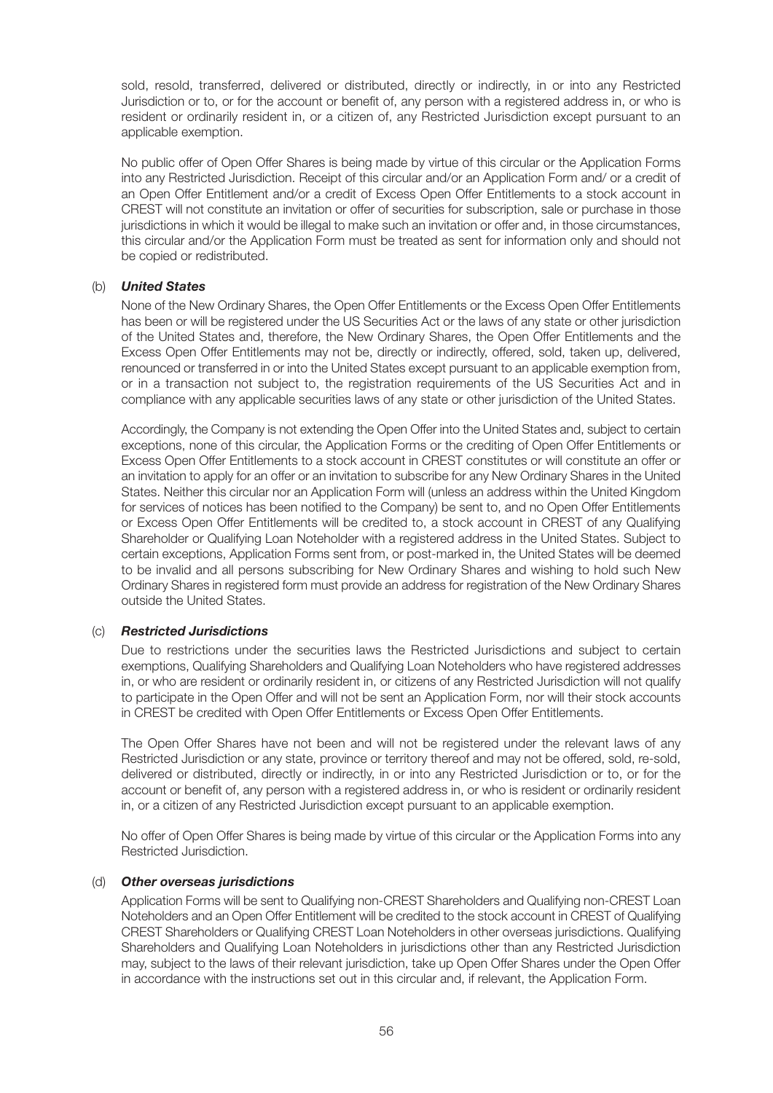sold, resold, transferred, delivered or distributed, directly or indirectly, in or into any Restricted Jurisdiction or to, or for the account or benefit of, any person with a registered address in, or who is resident or ordinarily resident in, or a citizen of, any Restricted Jurisdiction except pursuant to an applicable exemption.

No public offer of Open Offer Shares is being made by virtue of this circular or the Application Forms into any Restricted Jurisdiction. Receipt of this circular and/or an Application Form and/ or a credit of an Open Offer Entitlement and/or a credit of Excess Open Offer Entitlements to a stock account in CREST will not constitute an invitation or offer of securities for subscription, sale or purchase in those jurisdictions in which it would be illegal to make such an invitation or offer and, in those circumstances, this circular and/or the Application Form must be treated as sent for information only and should not be copied or redistributed.

#### (b) *United States*

None of the New Ordinary Shares, the Open Offer Entitlements or the Excess Open Offer Entitlements has been or will be registered under the US Securities Act or the laws of any state or other jurisdiction of the United States and, therefore, the New Ordinary Shares, the Open Offer Entitlements and the Excess Open Offer Entitlements may not be, directly or indirectly, offered, sold, taken up, delivered, renounced or transferred in or into the United States except pursuant to an applicable exemption from, or in a transaction not subject to, the registration requirements of the US Securities Act and in compliance with any applicable securities laws of any state or other jurisdiction of the United States.

Accordingly, the Company is not extending the Open Offer into the United States and, subject to certain exceptions, none of this circular, the Application Forms or the crediting of Open Offer Entitlements or Excess Open Offer Entitlements to a stock account in CREST constitutes or will constitute an offer or an invitation to apply for an offer or an invitation to subscribe for any New Ordinary Shares in the United States. Neither this circular nor an Application Form will (unless an address within the United Kingdom for services of notices has been notified to the Company) be sent to, and no Open Offer Entitlements or Excess Open Offer Entitlements will be credited to, a stock account in CREST of any Qualifying Shareholder or Qualifying Loan Noteholder with a registered address in the United States. Subject to certain exceptions, Application Forms sent from, or post-marked in, the United States will be deemed to be invalid and all persons subscribing for New Ordinary Shares and wishing to hold such New Ordinary Shares in registered form must provide an address for registration of the New Ordinary Shares outside the United States.

#### (c) *Restricted Jurisdictions*

Due to restrictions under the securities laws the Restricted Jurisdictions and subject to certain exemptions, Qualifying Shareholders and Qualifying Loan Noteholders who have registered addresses in, or who are resident or ordinarily resident in, or citizens of any Restricted Jurisdiction will not qualify to participate in the Open Offer and will not be sent an Application Form, nor will their stock accounts in CREST be credited with Open Offer Entitlements or Excess Open Offer Entitlements.

The Open Offer Shares have not been and will not be registered under the relevant laws of any Restricted Jurisdiction or any state, province or territory thereof and may not be offered, sold, re-sold, delivered or distributed, directly or indirectly, in or into any Restricted Jurisdiction or to, or for the account or benefit of, any person with a registered address in, or who is resident or ordinarily resident in, or a citizen of any Restricted Jurisdiction except pursuant to an applicable exemption.

No offer of Open Offer Shares is being made by virtue of this circular or the Application Forms into any Restricted Jurisdiction.

#### (d) *Other overseas jurisdictions*

Application Forms will be sent to Qualifying non-CREST Shareholders and Qualifying non-CREST Loan Noteholders and an Open Offer Entitlement will be credited to the stock account in CREST of Qualifying CREST Shareholders or Qualifying CREST Loan Noteholders in other overseas jurisdictions. Qualifying Shareholders and Qualifying Loan Noteholders in jurisdictions other than any Restricted Jurisdiction may, subject to the laws of their relevant jurisdiction, take up Open Offer Shares under the Open Offer in accordance with the instructions set out in this circular and, if relevant, the Application Form.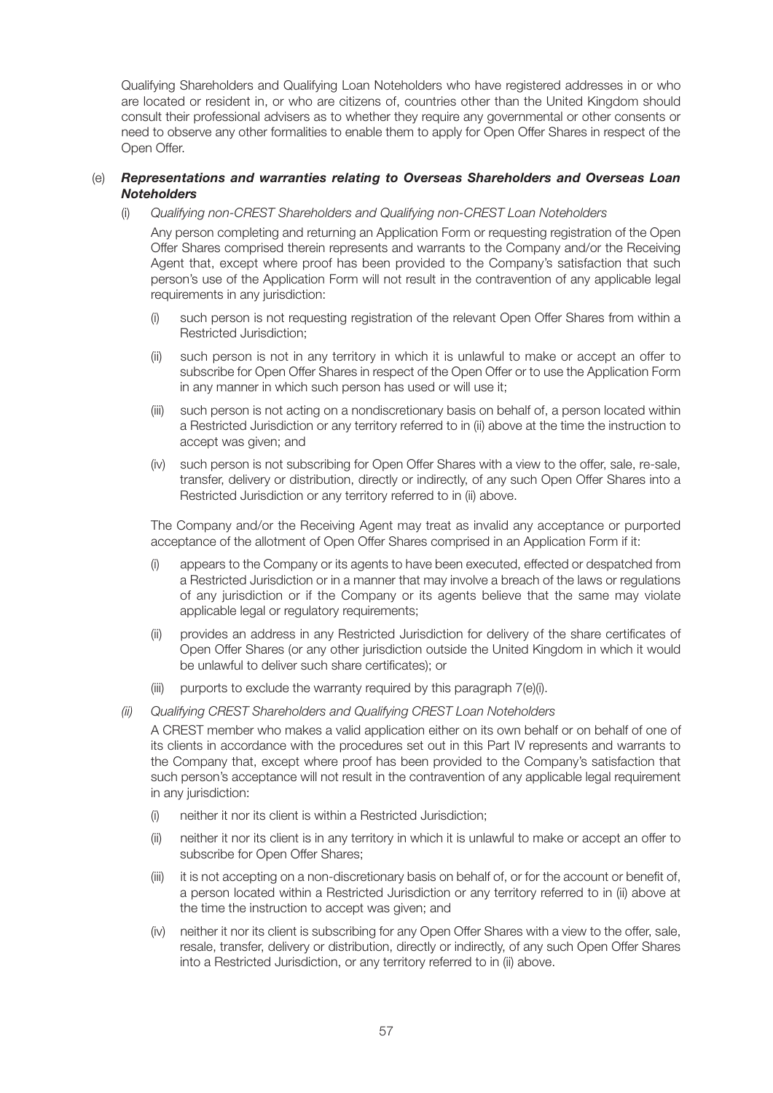Qualifying Shareholders and Qualifying Loan Noteholders who have registered addresses in or who are located or resident in, or who are citizens of, countries other than the United Kingdom should consult their professional advisers as to whether they require any governmental or other consents or need to observe any other formalities to enable them to apply for Open Offer Shares in respect of the Open Offer.

#### (e) *Representations and warranties relating to Overseas Shareholders and Overseas Loan Noteholders*

(i) *Qualifying non-CREST Shareholders and Qualifying non-CREST Loan Noteholders*

Any person completing and returning an Application Form or requesting registration of the Open Offer Shares comprised therein represents and warrants to the Company and/or the Receiving Agent that, except where proof has been provided to the Company's satisfaction that such person's use of the Application Form will not result in the contravention of any applicable legal requirements in any jurisdiction:

- (i) such person is not requesting registration of the relevant Open Offer Shares from within a Restricted Jurisdiction;
- (ii) such person is not in any territory in which it is unlawful to make or accept an offer to subscribe for Open Offer Shares in respect of the Open Offer or to use the Application Form in any manner in which such person has used or will use it;
- (iii) such person is not acting on a nondiscretionary basis on behalf of, a person located within a Restricted Jurisdiction or any territory referred to in (ii) above at the time the instruction to accept was given; and
- (iv) such person is not subscribing for Open Offer Shares with a view to the offer, sale, re-sale, transfer, delivery or distribution, directly or indirectly, of any such Open Offer Shares into a Restricted Jurisdiction or any territory referred to in (ii) above.

The Company and/or the Receiving Agent may treat as invalid any acceptance or purported acceptance of the allotment of Open Offer Shares comprised in an Application Form if it:

- (i) appears to the Company or its agents to have been executed, effected or despatched from a Restricted Jurisdiction or in a manner that may involve a breach of the laws or regulations of any jurisdiction or if the Company or its agents believe that the same may violate applicable legal or regulatory requirements;
- (ii) provides an address in any Restricted Jurisdiction for delivery of the share certificates of Open Offer Shares (or any other jurisdiction outside the United Kingdom in which it would be unlawful to deliver such share certificates); or
- (iii) purports to exclude the warranty required by this paragraph 7(e)(i).
- *(ii) Qualifying CREST Shareholders and Qualifying CREST Loan Noteholders*

A CREST member who makes a valid application either on its own behalf or on behalf of one of its clients in accordance with the procedures set out in this Part IV represents and warrants to the Company that, except where proof has been provided to the Company's satisfaction that such person's acceptance will not result in the contravention of any applicable legal requirement in any jurisdiction:

- (i) neither it nor its client is within a Restricted Jurisdiction;
- (ii) neither it nor its client is in any territory in which it is unlawful to make or accept an offer to subscribe for Open Offer Shares;
- (iii) it is not accepting on a non-discretionary basis on behalf of, or for the account or benefit of, a person located within a Restricted Jurisdiction or any territory referred to in (ii) above at the time the instruction to accept was given; and
- (iv) neither it nor its client is subscribing for any Open Offer Shares with a view to the offer, sale, resale, transfer, delivery or distribution, directly or indirectly, of any such Open Offer Shares into a Restricted Jurisdiction, or any territory referred to in (ii) above.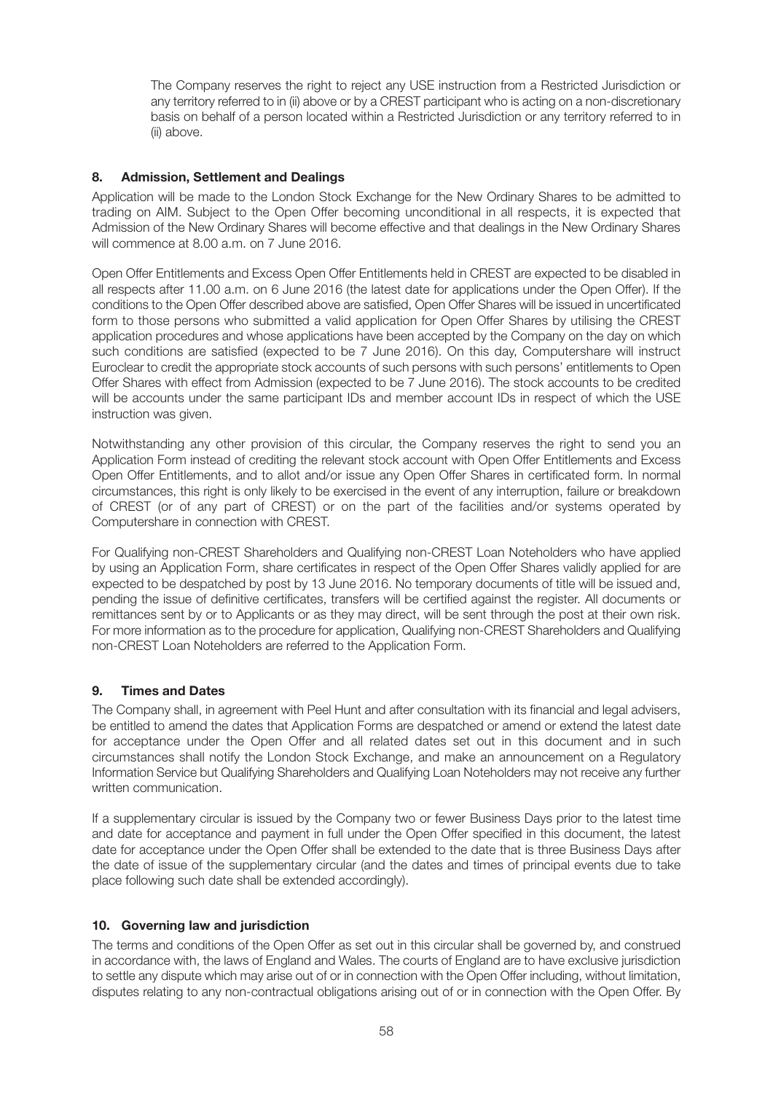The Company reserves the right to reject any USE instruction from a Restricted Jurisdiction or any territory referred to in (ii) above or by a CREST participant who is acting on a non-discretionary basis on behalf of a person located within a Restricted Jurisdiction or any territory referred to in (ii) above.

#### **8. Admission, Settlement and Dealings**

Application will be made to the London Stock Exchange for the New Ordinary Shares to be admitted to trading on AIM. Subject to the Open Offer becoming unconditional in all respects, it is expected that Admission of the New Ordinary Shares will become effective and that dealings in the New Ordinary Shares will commence at 8.00 a.m. on 7 June 2016.

Open Offer Entitlements and Excess Open Offer Entitlements held in CREST are expected to be disabled in all respects after 11.00 a.m. on 6 June 2016 (the latest date for applications under the Open Offer). If the conditions to the Open Offer described above are satisfied, Open Offer Shares will be issued in uncertificated form to those persons who submitted a valid application for Open Offer Shares by utilising the CREST application procedures and whose applications have been accepted by the Company on the day on which such conditions are satisfied (expected to be 7 June 2016). On this day, Computershare will instruct Euroclear to credit the appropriate stock accounts of such persons with such persons' entitlements to Open Offer Shares with effect from Admission (expected to be 7 June 2016). The stock accounts to be credited will be accounts under the same participant IDs and member account IDs in respect of which the USE instruction was given.

Notwithstanding any other provision of this circular, the Company reserves the right to send you an Application Form instead of crediting the relevant stock account with Open Offer Entitlements and Excess Open Offer Entitlements, and to allot and/or issue any Open Offer Shares in certificated form. In normal circumstances, this right is only likely to be exercised in the event of any interruption, failure or breakdown of CREST (or of any part of CREST) or on the part of the facilities and/or systems operated by Computershare in connection with CREST.

For Qualifying non-CREST Shareholders and Qualifying non-CREST Loan Noteholders who have applied by using an Application Form, share certificates in respect of the Open Offer Shares validly applied for are expected to be despatched by post by 13 June 2016. No temporary documents of title will be issued and, pending the issue of definitive certificates, transfers will be certified against the register. All documents or remittances sent by or to Applicants or as they may direct, will be sent through the post at their own risk. For more information as to the procedure for application, Qualifying non-CREST Shareholders and Qualifying non-CREST Loan Noteholders are referred to the Application Form.

#### **9. Times and Dates**

The Company shall, in agreement with Peel Hunt and after consultation with its financial and legal advisers, be entitled to amend the dates that Application Forms are despatched or amend or extend the latest date for acceptance under the Open Offer and all related dates set out in this document and in such circumstances shall notify the London Stock Exchange, and make an announcement on a Regulatory Information Service but Qualifying Shareholders and Qualifying Loan Noteholders may not receive any further written communication.

If a supplementary circular is issued by the Company two or fewer Business Days prior to the latest time and date for acceptance and payment in full under the Open Offer specified in this document, the latest date for acceptance under the Open Offer shall be extended to the date that is three Business Days after the date of issue of the supplementary circular (and the dates and times of principal events due to take place following such date shall be extended accordingly).

#### **10. Governing law and jurisdiction**

The terms and conditions of the Open Offer as set out in this circular shall be governed by, and construed in accordance with, the laws of England and Wales. The courts of England are to have exclusive jurisdiction to settle any dispute which may arise out of or in connection with the Open Offer including, without limitation, disputes relating to any non-contractual obligations arising out of or in connection with the Open Offer. By